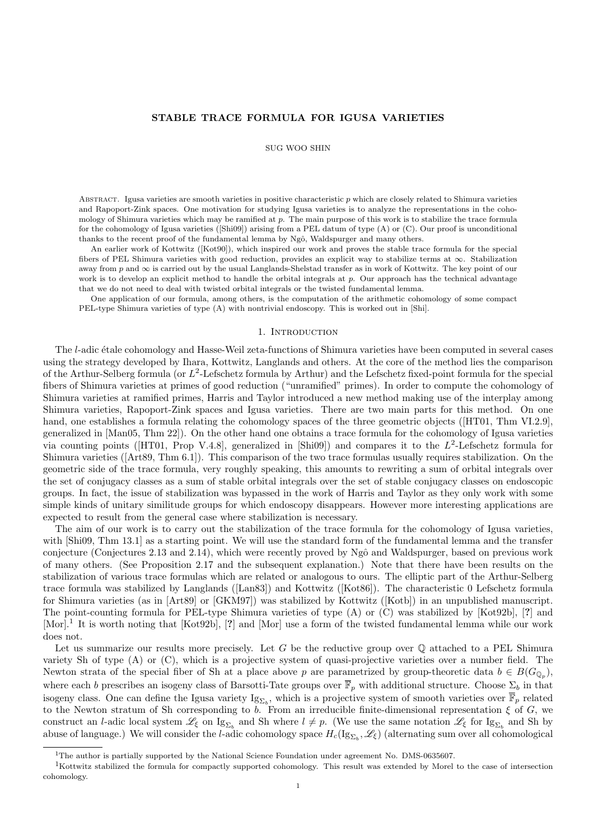# STABLE TRACE FORMULA FOR IGUSA VARIETIES

## SUG WOO SHIN

ABSTRACT. Igusa varieties are smooth varieties in positive characteristic  $p$  which are closely related to Shimura varieties and Rapoport-Zink spaces. One motivation for studying Igusa varieties is to analyze the representations in the cohomology of Shimura varieties which may be ramified at  $p$ . The main purpose of this work is to stabilize the trace formula for the cohomology of Igusa varieties ([Shi09]) arising from a PEL datum of type (A) or (C). Our proof is unconditional thanks to the recent proof of the fundamental lemma by Ngô, Waldspurger and many others.

An earlier work of Kottwitz ([Kot90]), which inspired our work and proves the stable trace formula for the special fibers of PEL Shimura varieties with good reduction, provides an explicit way to stabilize terms at ∞. Stabilization away from p and  $\infty$  is carried out by the usual Langlands-Shelstad transfer as in work of Kottwitz. The key point of our work is to develop an explicit method to handle the orbital integrals at  $p$ . Our approach has the technical advantage that we do not need to deal with twisted orbital integrals or the twisted fundamental lemma.

One application of our formula, among others, is the computation of the arithmetic cohomology of some compact PEL-type Shimura varieties of type (A) with nontrivial endoscopy. This is worked out in [Shi].

## 1. INTRODUCTION

The *l*-adic étale cohomology and Hasse-Weil zeta-functions of Shimura varieties have been computed in several cases using the strategy developed by Ihara, Kottwitz, Langlands and others. At the core of the method lies the comparison of the Arthur-Selberg formula (or  $L^2$ -Lefschetz formula by Arthur) and the Lefschetz fixed-point formula for the special fibers of Shimura varieties at primes of good reduction ("unramified" primes). In order to compute the cohomology of Shimura varieties at ramified primes, Harris and Taylor introduced a new method making use of the interplay among Shimura varieties, Rapoport-Zink spaces and Igusa varieties. There are two main parts for this method. On one hand, one establishes a formula relating the cohomology spaces of the three geometric objects ([HT01, Thm VI.2.9], generalized in [Man05, Thm 22]). On the other hand one obtains a trace formula for the cohomology of Igusa varieties via counting points (HT01, Prop V.4.8), generalized in [Shi09]) and compares it to the  $L^2$ -Lefschetz formula for Shimura varieties ([Art89, Thm 6.1]). This comparison of the two trace formulas usually requires stabilization. On the geometric side of the trace formula, very roughly speaking, this amounts to rewriting a sum of orbital integrals over the set of conjugacy classes as a sum of stable orbital integrals over the set of stable conjugacy classes on endoscopic groups. In fact, the issue of stabilization was bypassed in the work of Harris and Taylor as they only work with some simple kinds of unitary similitude groups for which endoscopy disappears. However more interesting applications are expected to result from the general case where stabilization is necessary.

The aim of our work is to carry out the stabilization of the trace formula for the cohomology of Igusa varieties, with [Shi09, Thm 13.1] as a starting point. We will use the standard form of the fundamental lemma and the transfer conjecture (Conjectures 2.13 and 2.14), which were recently proved by Ngô and Waldspurger, based on previous work of many others. (See Proposition 2.17 and the subsequent explanation.) Note that there have been results on the stabilization of various trace formulas which are related or analogous to ours. The elliptic part of the Arthur-Selberg trace formula was stabilized by Langlands ([Lan83]) and Kottwitz ([Kot86]). The characteristic 0 Lefschetz formula for Shimura varieties (as in [Art89] or [GKM97]) was stabilized by Kottwitz ([Kotb]) in an unpublished manuscript. The point-counting formula for PEL-type Shimura varieties of type (A) or (C) was stabilized by [Kot92b], [?] and [Mor].<sup>1</sup> It is worth noting that [Kot92b], [?] and [Mor] use a form of the twisted fundamental lemma while our work does not.

Let us summarize our results more precisely. Let G be the reductive group over  $\mathbb Q$  attached to a PEL Shimura variety Sh of type (A) or (C), which is a projective system of quasi-projective varieties over a number field. The Newton strata of the special fiber of Sh at a place above p are parametrized by group-theoretic data  $b \in B(G_{\mathbb{Q}_p})$ , where each b prescribes an isogeny class of Barsotti-Tate groups over  $\overline{\mathbb{F}}_p$  with additional structure. Choose  $\Sigma_b$  in that isogeny class. One can define the Igusa variety  $Ig_{\Sigma_b}$ , which is a projective system of smooth varieties over  $\overline{\mathbb{F}}_p$  related to the Newton stratum of Sh corresponding to b. From an irreducible finite-dimensional representation  $\xi$  of G, we construct an *l*-adic local system  $\mathscr{L}_{\xi}$  on Ig<sub> $\Sigma_b$ </sub> and Sh where  $l \neq p$ . (We use the same notation  $\mathscr{L}_{\xi}$  for Ig<sub> $\Sigma_b$ </sub> and Sh by abuse of language.) We will consider the *l*-adic cohomology space  $H_c(\mathrm{Ig}_{\Sigma_b},\mathscr{L}_\xi)$  (alternating sum over all cohomological

<sup>&</sup>lt;sup>1</sup>The author is partially supported by the National Science Foundation under agreement No. DMS-0635607.

<sup>&</sup>lt;sup>1</sup>Kottwitz stabilized the formula for compactly supported cohomology. This result was extended by Morel to the case of intersection cohomology.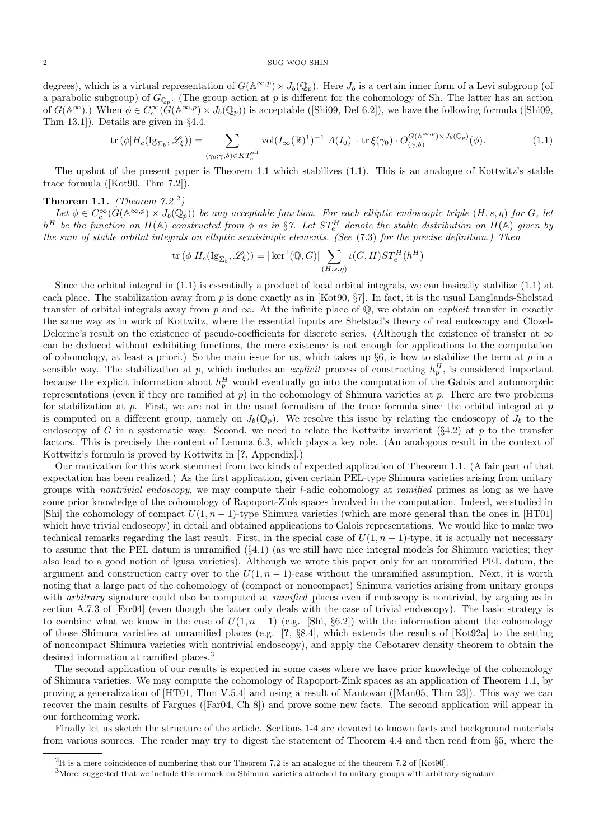degrees), which is a virtual representation of  $G(\mathbb{A}^{\infty,p}) \times J_b(\mathbb{Q}_p)$ . Here  $J_b$  is a certain inner form of a Levi subgroup (of a parabolic subgroup) of  $G_{\mathbb{Q}_p}$ . (The group action at p is different for the cohomology of Sh. The latter has an action of  $G(\mathbb{A}^{\infty})$ .) When  $\phi \in C_c^{\infty}(\widetilde{G}(\mathbb{A}^{\infty,p}) \times J_b(\mathbb{Q}_p))$  is acceptable ([Shi09, Def 6.2]), we have the following formula ([Shi09, Thm 13.1]). Details are given in §4.4.

$$
\operatorname{tr}\left(\phi|H_c(\mathrm{Ig}_{\Sigma_b},\mathscr{L}_{\xi})\right) = \sum_{(\gamma_0,\gamma,\delta)\in KT_b^{\mathrm{eff}}} \operatorname{vol}(I_{\infty}(\mathbb{R})^1)^{-1}|A(I_0)| \cdot \operatorname{tr}\xi(\gamma_0) \cdot O_{(\gamma,\delta)}^{G(\mathbb{A}^{\infty,p})\times J_b(\mathbb{Q}_p)}(\phi). \tag{1.1}
$$

The upshot of the present paper is Theorem 1.1 which stabilizes (1.1). This is an analogue of Kottwitz's stable trace formula ([Kot90, Thm 7.2]).

# **Theorem 1.1.** (Theorem  $7.2^2$ )

Let  $\phi \in C_c^{\infty}(G(\mathbb{A}^{\infty,p}) \times J_b(\mathbb{Q}_p))$  be any acceptable function. For each elliptic endoscopic triple  $(H, s, \eta)$  for G, let  $h^H$  be the function on  $H(\mathbb{A})$  constructed from  $\phi$  as in §7. Let  $ST_e^H$  denote the stable distribution on  $H(\mathbb{A})$  given by the sum of stable orbital integrals on elliptic semisimple elements. (See (7.3) for the precise definition.) Then

$$
\operatorname{tr}(\phi|H_c(\operatorname{Ig}_{\Sigma_b},\mathscr{L}_\xi)) = |\ker^1(\mathbb{Q},G)| \sum_{(H,s,\eta)} \iota(G,H)ST_e^H(h^H)
$$

Since the orbital integral in (1.1) is essentially a product of local orbital integrals, we can basically stabilize (1.1) at each place. The stabilization away from  $p$  is done exactly as in [Kot90, §7]. In fact, it is the usual Langlands-Shelstad transfer of orbital integrals away from p and  $\infty$ . At the infinite place of  $\mathbb{Q}$ , we obtain an *explicit* transfer in exactly the same way as in work of Kottwitz, where the essential inputs are Shelstad's theory of real endoscopy and Clozel-Delorme's result on the existence of pseudo-coefficients for discrete series. (Although the existence of transfer at  $\infty$ can be deduced without exhibiting functions, the mere existence is not enough for applications to the computation of cohomology, at least a priori.) So the main issue for us, which takes up  $\S6$ , is how to stabilize the term at p in a sensible way. The stabilization at p, which includes an *explicit* process of constructing  $h_p^H$ , is considered important because the explicit information about  $h_p^H$  would eventually go into the computation of the Galois and automorphic representations (even if they are ramified at  $p$ ) in the cohomology of Shimura varieties at  $p$ . There are two problems for stabilization at  $p$ . First, we are not in the usual formalism of the trace formula since the orbital integral at  $p$ is computed on a different group, namely on  $J_b(\mathbb{Q}_p)$ . We resolve this issue by relating the endoscopy of  $J_b$  to the endoscopy of G in a systematic way. Second, we need to relate the Kottwitz invariant  $(\S 4.2)$  at p to the transfer factors. This is precisely the content of Lemma 6.3, which plays a key role. (An analogous result in the context of Kottwitz's formula is proved by Kottwitz in [?, Appendix].)

Our motivation for this work stemmed from two kinds of expected application of Theorem 1.1. (A fair part of that expectation has been realized.) As the first application, given certain PEL-type Shimura varieties arising from unitary groups with nontrivial endoscopy, we may compute their l-adic cohomology at ramified primes as long as we have some prior knowledge of the cohomology of Rapoport-Zink spaces involved in the computation. Indeed, we studied in [Shi] the cohomology of compact  $U(1, n - 1)$ -type Shimura varieties (which are more general than the ones in [HT01] which have trivial endoscopy) in detail and obtained applications to Galois representations. We would like to make two technical remarks regarding the last result. First, in the special case of  $U(1, n - 1)$ -type, it is actually not necessary to assume that the PEL datum is unramified (§4.1) (as we still have nice integral models for Shimura varieties; they also lead to a good notion of Igusa varieties). Although we wrote this paper only for an unramified PEL datum, the argument and construction carry over to the  $U(1, n - 1)$ -case without the unramified assumption. Next, it is worth noting that a large part of the cohomology of (compact or noncompact) Shimura varieties arising from unitary groups with *arbitrary* signature could also be computed at *ramified* places even if endoscopy is nontrivial, by arguing as in section A.7.3 of [Far04] (even though the latter only deals with the case of trivial endoscopy). The basic strategy is to combine what we know in the case of  $U(1, n - 1)$  (e.g. [Shi, §6.2]) with the information about the cohomology of those Shimura varieties at unramified places (e.g. [?, §8.4], which extends the results of [Kot92a] to the setting of noncompact Shimura varieties with nontrivial endoscopy), and apply the Cebotarev density theorem to obtain the desired information at ramified places.<sup>3</sup>

The second application of our results is expected in some cases where we have prior knowledge of the cohomology of Shimura varieties. We may compute the cohomology of Rapoport-Zink spaces as an application of Theorem 1.1, by proving a generalization of [HT01, Thm V.5.4] and using a result of Mantovan ([Man05, Thm 23]). This way we can recover the main results of Fargues ([Far04, Ch 8]) and prove some new facts. The second application will appear in our forthcoming work.

Finally let us sketch the structure of the article. Sections 1-4 are devoted to known facts and background materials from various sources. The reader may try to digest the statement of Theorem 4.4 and then read from §5, where the

<sup>&</sup>lt;sup>2</sup>It is a mere coincidence of numbering that our Theorem 7.2 is an analogue of the theorem 7.2 of [Kot90].

 $3$ Morel suggested that we include this remark on Shimura varieties attached to unitary groups with arbitrary signature.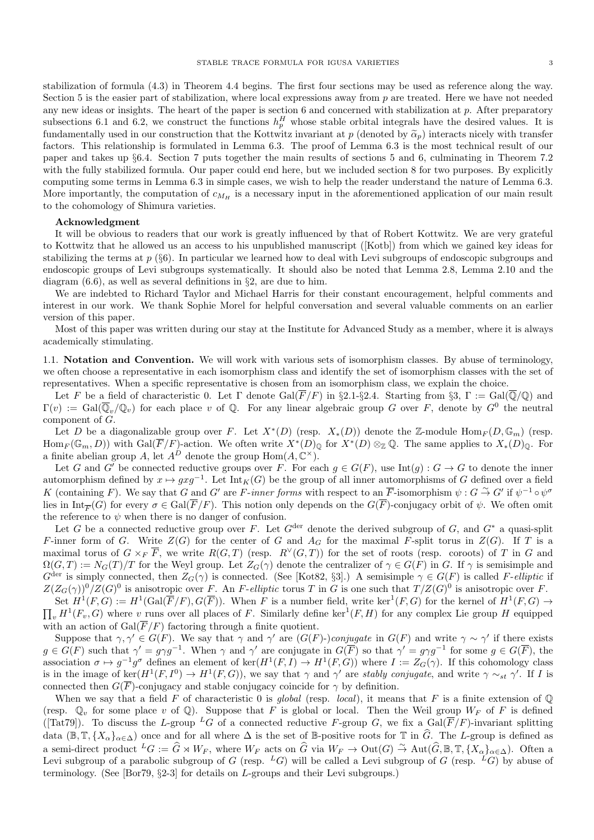stabilization of formula (4.3) in Theorem 4.4 begins. The first four sections may be used as reference along the way. Section 5 is the easier part of stabilization, where local expressions away from p are treated. Here we have not needed any new ideas or insights. The heart of the paper is section 6 and concerned with stabilization at  $p$ . After preparatory subsections 6.1 and 6.2, we construct the functions  $h_p^H$  whose stable orbital integrals have the desired values. It is fundamentally used in our construction that the Kottwitz invariant at p (denoted by  $\tilde{\alpha}_p$ ) interacts nicely with transfer factors. This relationship is formulated in Lemma 6.3. The proof of Lemma 6.3 is the most technical result of our paper and takes up §6.4. Section 7 puts together the main results of sections 5 and 6, culminating in Theorem 7.2 with the fully stabilized formula. Our paper could end here, but we included section 8 for two purposes. By explicitly computing some terms in Lemma 6.3 in simple cases, we wish to help the reader understand the nature of Lemma 6.3. More importantly, the computation of  $c_{M_H}$  is a necessary input in the aforementioned application of our main result to the cohomology of Shimura varieties.

## Acknowledgment

It will be obvious to readers that our work is greatly influenced by that of Robert Kottwitz. We are very grateful to Kottwitz that he allowed us an access to his unpublished manuscript ([Kotb]) from which we gained key ideas for stabilizing the terms at  $p$  (§6). In particular we learned how to deal with Levi subgroups of endoscopic subgroups and endoscopic groups of Levi subgroups systematically. It should also be noted that Lemma 2.8, Lemma 2.10 and the diagram  $(6.6)$ , as well as several definitions in §2, are due to him.

We are indebted to Richard Taylor and Michael Harris for their constant encouragement, helpful comments and interest in our work. We thank Sophie Morel for helpful conversation and several valuable comments on an earlier version of this paper.

Most of this paper was written during our stay at the Institute for Advanced Study as a member, where it is always academically stimulating.

1.1. Notation and Convention. We will work with various sets of isomorphism classes. By abuse of terminology, we often choose a representative in each isomorphism class and identify the set of isomorphism classes with the set of representatives. When a specific representative is chosen from an isomorphism class, we explain the choice.

Let F be a field of characteristic 0. Let  $\Gamma$  denote  $Gal(\overline{F}/F)$  in §2.1-§2.4. Starting from §3,  $\Gamma := Gal(\overline{\mathbb{Q}}/\mathbb{Q})$  and  $\Gamma(v) := \text{Gal}(\overline{\mathbb{Q}}_v/\mathbb{Q}_v)$  for each place v of  $\mathbb{Q}$ . For any linear algebraic group G over F, denote by  $G^0$  the neutral component of G.

Let D be a diagonalizable group over F. Let  $X^*(D)$  (resp.  $X_*(D)$ ) denote the Z-module  $\text{Hom}_F(D,\mathbb{G}_m)$  (resp.  $\text{Hom}_F(\mathbb{G}_m, D)$  with  $\text{Gal}(\overline{F}/F)$ -action. We often write  $X^*(D)_{\mathbb{Q}}$  for  $X^*(D)_{\mathbb{Q}}\mathbb{Q}$ . The same applies to  $X_*(D)_{\mathbb{Q}}$ . For a finite abelian group A, let  $A^D$  denote the group  $\text{Hom}(A, \mathbb{C}^{\times}).$ 

Let G and G' be connected reductive groups over F. For each  $g \in G(F)$ , use Int(g) :  $G \to G$  to denote the inner automorphism defined by  $x \mapsto gxg^{-1}$ . Let  $\text{Int}_K(G)$  be the group of all inner automorphisms of G defined over a field K (containing F). We say that G and G' are F-inner forms with respect to an  $\overline{F}$ -isomorphism  $\psi$ :  $G \stackrel{\sim}{\to} G'$  if  $\psi^{-1} \circ \psi^{\sigma}$ lies in  $\text{Int}_{\overline{F}}(G)$  for every  $\sigma \in \text{Gal}(\overline{F}/F)$ . This notion only depends on the  $G(\overline{F})$ -conjugacy orbit of  $\psi$ . We often omit the reference to  $\psi$  when there is no danger of confusion.

Let G be a connected reductive group over F. Let  $G^{\text{der}}$  denote the derived subgroup of G, and  $G^*$  a quasi-split F-inner form of G. Write  $Z(G)$  for the center of G and  $A_G$  for the maximal F-split torus in  $Z(G)$ . If T is a maximal torus of  $G \times_F \overline{F}$ , we write  $R(G,T)$  (resp.  $R^{\vee}(G,T)$ ) for the set of roots (resp. coroots) of T in G and  $\Omega(G, T) := N_G(T)/T$  for the Weyl group. Let  $Z_G(\gamma)$  denote the centralizer of  $\gamma \in G(F)$  in G. If  $\gamma$  is semisimple and  $G^{\text{der}}$  is simply connected, then  $Z_G(\gamma)$  is connected. (See [Kot82, §3].) A semisimple  $\gamma \in G(F)$  is called F-elliptic if  $Z(Z_G(\gamma))^0/Z(G)^0$  is anisotropic over F. An F-elliptic torus T in G is one such that  $T/Z(G)^0$  is anisotropic over F.

Set  $H^1(F, G) := H^1(\text{Gal}(\overline{F}/F), G(\overline{F}))$ . When F is a number field, write ker<sup>1</sup>(F, G) for the kernel of  $H^1(F, G) \to$  $\prod_{v} H^{1}(F_{v}, G)$  where v runs over all places of F. Similarly define ker<sup>1</sup>(F, H) for any complex Lie group H equipped with an action of  $Gal(\overline{F}/F)$  factoring through a finite quotient.

Suppose that  $\gamma, \gamma' \in G(F)$ . We say that  $\gamma$  and  $\gamma'$  are  $(G(F)$ -)conjugate in  $G(F)$  and write  $\gamma \sim \gamma'$  if there exists  $g \in G(F)$  such that  $\gamma' = g \gamma g^{-1}$ . When  $\gamma$  and  $\gamma'$  are conjugate in  $G(\overline{F})$  so that  $\gamma' = g \gamma g^{-1}$  for some  $g \in G(\overline{F})$ , the association  $\sigma \mapsto g^{-1}g^{\sigma}$  defines an element of ker $(H^1(F, I) \to H^1(F, G))$  where  $I := Z_G(\gamma)$ . If this cohomology class is in the image of ker $(H^1(F, I^0) \to H^1(F, G))$ , we say that  $\gamma$  and  $\gamma'$  are stably conjugate, and write  $\gamma \sim_{st} \gamma'$ . If I is connected then  $G(\overline{F})$ -conjugacy and stable conjugacy coincide for  $\gamma$  by definition.

When we say that a field F of characteristic 0 is global (resp. local), it means that F is a finite extension of  $\mathbb{Q}$ (resp.  $\mathbb{Q}_v$  for some place v of  $\mathbb{Q}$ ). Suppose that F is global or local. Then the Weil group  $W_F$  of F is defined ([Tat79]). To discuss the L-group <sup>L</sup>G of a connected reductive F-group G, we fix a  $Gal(\overline{F}/F)$ -invariant splitting data  $(\mathbb{B}, \mathbb{T}, \{X_{\alpha}\}_{\alpha \in \Delta})$  once and for all where  $\Delta$  is the set of B-positive roots for T in  $\widehat{G}$ . The L-group is defined as a semi-direct product  ${}^L G := \widehat{G} \rtimes W_F$ , where  $W_F$  acts on  $\widehat{G}$  via  $W_F \to \text{Out}(G) \stackrel{\sim}{\to} \text{Aut}(\widehat{G}, \mathbb{B}, \mathbb{T}, \{X_\alpha\}_{\alpha \in \Delta})$ . Often a Levi subgroup of a parabolic subgroup of G (resp.  $^L G$ ) will be called a Levi subgroup of G (resp.  $^L G$ ) by abuse of terminology. (See [Bor79, §2-3] for details on L-groups and their Levi subgroups.)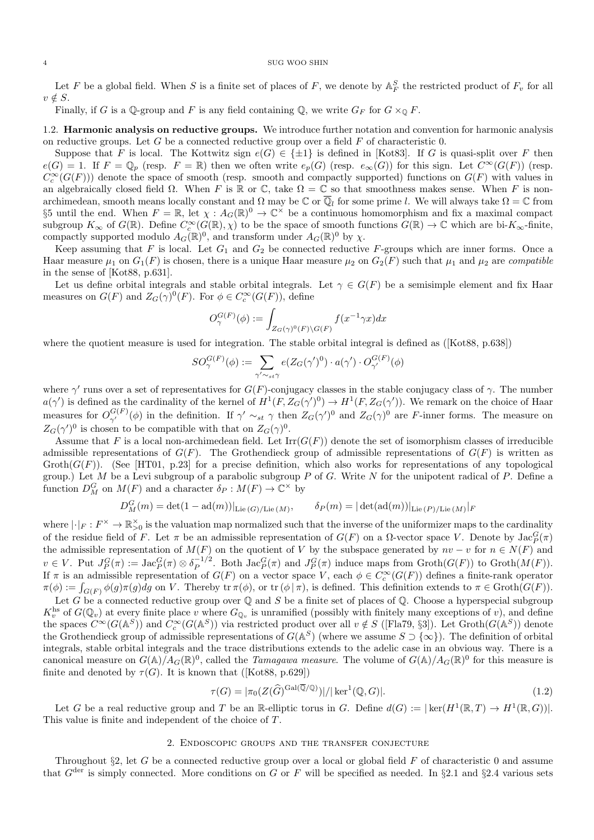Let F be a global field. When S is a finite set of places of F, we denote by  $\mathbb{A}_F^S$  the restricted product of  $F_v$  for all  $v \notin S$ .

Finally, if G is a  $\mathbb{Q}$ -group and F is any field containing  $\mathbb{Q}$ , we write  $G_F$  for  $G \times_{\mathbb{Q}} F$ .

# 1.2. Harmonic analysis on reductive groups. We introduce further notation and convention for harmonic analysis on reductive groups. Let  $G$  be a connected reductive group over a field  $F$  of characteristic 0.

Suppose that F is local. The Kottwitz sign  $e(G) \in \{\pm 1\}$  is defined in [Kot83]. If G is quasi-split over F then  $e(G) = 1$ . If  $F = \mathbb{Q}_p$  (resp.  $F = \mathbb{R}$ ) then we often write  $e_p(G)$  (resp.  $e_{\infty}(G)$ ) for this sign. Let  $C^{\infty}(G(F))$  (resp.  $C_c^{\infty}(G(F))$  denote the space of smooth (resp. smooth and compactly supported) functions on  $G(F)$  with values in an algebraically closed field  $\Omega$ . When F is R or C, take  $\Omega = \mathbb{C}$  so that smoothness makes sense. When F is nonarchimedean, smooth means locally constant and  $\Omega$  may be  $\mathbb C$  or  $\overline{\mathbb Q}_l$  for some prime l. We will always take  $\Omega=\mathbb C$  from §5 until the end. When  $F = \mathbb{R}$ , let  $\chi : A_G(\mathbb{R})^0 \to \mathbb{C}^\times$  be a continuous homomorphism and fix a maximal compact subgroup  $K_{\infty}$  of  $G(\mathbb{R})$ . Define  $C_c^{\infty}(G(\mathbb{R}), \chi)$  to be the space of smooth functions  $G(\mathbb{R}) \to \mathbb{C}$  which are bi- $K_{\infty}$ -finite, compactly supported modulo  $A_G(\mathbb{R})^0$ , and transform under  $A_G(\mathbb{R})^0$  by  $\chi$ .

Keep assuming that F is local. Let  $G_1$  and  $G_2$  be connected reductive F-groups which are inner forms. Once a Haar measure  $\mu_1$  on  $G_1(F)$  is chosen, there is a unique Haar measure  $\mu_2$  on  $G_2(F)$  such that  $\mu_1$  and  $\mu_2$  are *compatible* in the sense of [Kot88, p.631].

Let us define orbital integrals and stable orbital integrals. Let  $\gamma \in G(F)$  be a semisimple element and fix Haar measures on  $G(F)$  and  $Z_G(\gamma)^0(F)$ . For  $\phi \in C_c^{\infty}(G(F))$ , define

$$
O_{\gamma}^{G(F)}(\phi) := \int_{Z_G(\gamma)^0(F)\backslash G(F)} f(x^{-1}\gamma x) dx
$$

where the quotient measure is used for integration. The stable orbital integral is defined as ([Kot88, p.638])

$$
SO_{\gamma}^{G(F)}(\phi) := \sum_{\gamma' \sim_{st} \gamma} e(Z_G(\gamma')^0) \cdot a(\gamma') \cdot O_{\gamma'}^{G(F)}(\phi)
$$

where  $\gamma'$  runs over a set of representatives for  $G(F)$ -conjugacy classes in the stable conjugacy class of  $\gamma$ . The number  $a(\gamma')$  is defined as the cardinality of the kernel of  $H^1(F, Z_G(\gamma')^0) \to H^1(F, Z_G(\gamma'))$ . We remark on the choice of Haar measures for  $O_{\gamma'}^{G(F)}(\phi)$  in the definition. If  $\gamma' \sim_{st} \gamma$  then  $Z_G(\gamma)^0$  and  $Z_G(\gamma)^0$  are F-inner forms. The measure on  $Z_G(\gamma')^0$  is chosen to be compatible with that on  $Z_G(\gamma)^0$ .

Assume that F is a local non-archimedean field. Let  $\text{Irr}(G(F))$  denote the set of isomorphism classes of irreducible admissible representations of  $G(F)$ . The Grothendieck group of admissible representations of  $G(F)$  is written as Groth $(G(F))$ . (See [HT01, p.23] for a precise definition, which also works for representations of any topological group.) Let M be a Levi subgroup of a parabolic subgroup P of G. Write N for the unipotent radical of P. Define a function  $D_M^G$  on  $M(F)$  and a character  $\delta_P : M(F) \to \mathbb{C}^\times$  by

$$
D_M^G(m) = \det(1 - \mathrm{ad}(m))|_{\mathrm{Lie}(G)/\mathrm{Lie}(M)}, \qquad \delta_P(m) = |\det(\mathrm{ad}(m))|_{\mathrm{Lie}(P)/\mathrm{Lie}(M)}|_F
$$

where  $|\cdot|_F: F^\times \to \mathbb{R}_{>0}^\times$  is the valuation map normalized such that the inverse of the uniformizer maps to the cardinality of the residue field of F. Let  $\pi$  be an admissible representation of  $G(F)$  on a  $\Omega$ -vector space V. Denote by  $\text{Jac}_P^G(\pi)$ the admissible representation of  $M(F)$  on the quotient of V by the subspace generated by  $nv - v$  for  $n \in N(F)$  and  $v \in V$ . Put  $J_P^G(\pi) := \text{Jac}_P^G(\pi) \otimes \delta_P^{-1/2}$  $P_P^{-1/2}$ . Both  $\text{Jac}_P^G(\pi)$  and  $J_P^G(\pi)$  induce maps from  $\text{Groth}(G(F))$  to  $\text{Groth}(M(F))$ . If  $\pi$  is an admissible representation of  $G(F)$  on a vector space V, each  $\phi \in C_c^{\infty}(G(F))$  defines a finite-rank operator  $\pi(\phi) := \int_{G(F)} \phi(g) \pi(g) dg$  on V. Thereby tr  $\pi(\phi)$ , or tr  $(\phi | \pi)$ , is defined. This definition extends to  $\pi \in \text{Groth}(G(F))$ .

Let G be a connected reductive group over  $\mathbb Q$  and S be a finite set of places of  $\mathbb Q$ . Choose a hyperspecial subgroup  $K_v^{\text{hs}}$  of  $G(\mathbb{Q}_v)$  at every finite place v where  $G_{\mathbb{Q}_v}$  is unramified (possibly with finitely many exceptions of v), and define the spaces  $C^{\infty}(G(\mathbb{A}^S))$  and  $C_c^{\infty}(G(\mathbb{A}^S))$  via restricted product over all  $v \notin S$  ([Fla79, §3]). Let  $\operatorname{Groth}(G(\mathbb{A}^S))$  denote the Grothendieck group of admissible representations of  $G(\mathbb{A}^S)$  (where we assume  $S \supset \{ \infty \}$ ). The definition of orbital integrals, stable orbital integrals and the trace distributions extends to the adelic case in an obvious way. There is a canonical measure on  $G(\mathbb{A})/A_G(\mathbb{R})^0$ , called the *Tamagawa measure*. The volume of  $G(\mathbb{A})/A_G(\mathbb{R})^0$  for this measure is finite and denoted by  $\tau(G)$ . It is known that ([Kot88, p.629])

$$
\tau(G) = |\pi_0(Z(\widehat{G})^{\text{Gal}(\overline{\mathbb{Q}}/\mathbb{Q})})| / |\ker^1(\mathbb{Q}, G)|. \tag{1.2}
$$

Let G be a real reductive group and T be an R-elliptic torus in G. Define  $d(G) := |\ker(H^1(\mathbb{R}, T) \to H^1(\mathbb{R}, G))|$ . This value is finite and independent of the choice of T.

#### 2. Endoscopic groups and the transfer conjecture

Throughout  $\S2$ , let G be a connected reductive group over a local or global field F of characteristic 0 and assume that  $G^{\text{der}}$  is simply connected. More conditions on G or F will be specified as needed. In §2.1 and §2.4 various sets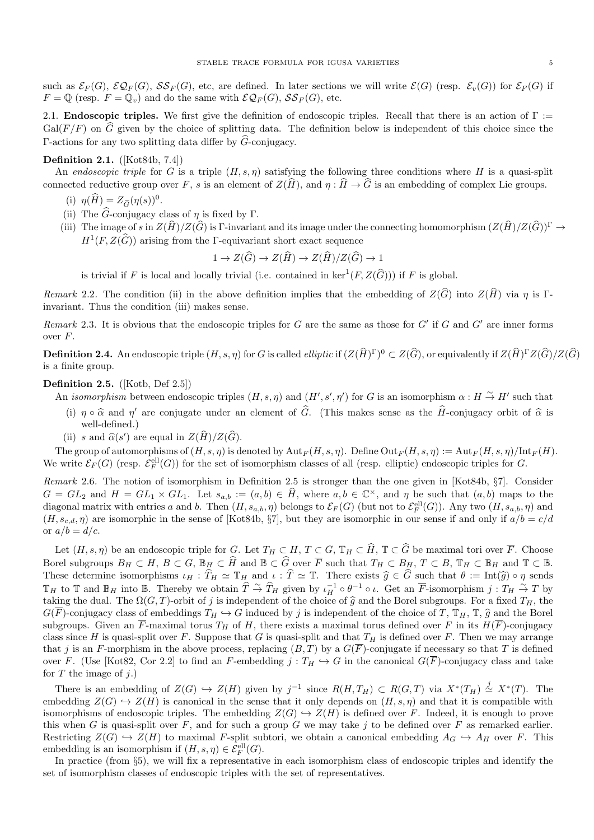such as  $\mathcal{E}_F(G)$ ,  $\mathcal{E}\mathcal{Q}_F(G)$ ,  $\mathcal{S}\mathcal{S}_F(G)$ , etc, are defined. In later sections we will write  $\mathcal{E}(G)$  (resp.  $\mathcal{E}_r(G)$ ) for  $\mathcal{E}_F(G)$  if  $F = \mathbb{Q}$  (resp.  $F = \mathbb{Q}_v$ ) and do the same with  $\mathcal{EQ}_F(G)$ ,  $\mathcal{SS}_F(G)$ , etc.

2.1. **Endoscopic triples.** We first give the definition of endoscopic triples. Recall that there is an action of  $\Gamma$  :=  $Gal(\overline{F}/F)$  on  $\widehat{G}$  given by the choice of splitting data. The definition below is independent of this choice since the Γ-actions for any two splitting data differ by  $\hat{G}$ -conjugacy.

# Definition 2.1. ([Kot84b, 7.4])

An endoscopic triple for G is a triple  $(H, s, \eta)$  satisfying the following three conditions where H is a quasi-split connected reductive group over F, s is an element of  $Z(\widehat{H})$ , and  $\eta : \widehat{H} \to \widehat{G}$  is an embedding of complex Lie groups.

- (i)  $\eta(\widehat{H}) = Z_{\widehat{G}}(\eta(s))^0$ .
- (ii) The  $\widehat{G}$ -conjugacy class of  $\eta$  is fixed by Γ.
- (iii) The image of s in  $Z(\widehat{H})/Z(\widehat{G})$  is Γ-invariant and its image under the connecting homomorphism  $(Z(\widehat{H})/Z(\widehat{G}))^{\Gamma} \to$  $H^1(F, Z(\widehat{G}))$  arising from the Γ-equivariant short exact sequence

$$
1 \to Z(\widehat{G}) \to Z(\widehat{H}) \to Z(\widehat{H})/Z(\widehat{G}) \to 1
$$

is trivial if F is local and locally trivial (i.e. contained in  $\ker^1(F, Z(\widehat{G}))$ ) if F is global.

Remark 2.2. The condition (ii) in the above definition implies that the embedding of  $Z(\widehat{G})$  into  $Z(\widehat{H})$  via  $\eta$  is Γinvariant. Thus the condition (iii) makes sense.

Remark 2.3. It is obvious that the endoscopic triples for  $G$  are the same as those for  $G'$  if  $G$  and  $G'$  are inner forms over F.

**Definition 2.4.** An endoscopic triple  $(H, s, \eta)$  for G is called *elliptic* if  $(Z(\hat{H})^{\Gamma})^0 \subset Z(\hat{G})$ , or equivalently if  $Z(\hat{H})^{\Gamma}Z(\hat{G})/Z(\hat{G})$ is a finite group.

# Definition 2.5. ([Kotb, Def 2.5])

- An *isomorphism* between endoscopic triples  $(H, s, \eta)$  and  $(H', s', \eta')$  for G is an isomorphism  $\alpha : H \overset{\sim}{\to} H'$  such that
- (i)  $\eta \circ \hat{\alpha}$  and  $\eta'$  are conjugate under an element of  $\hat{G}$ . (This makes sense as the  $\hat{H}$ -conjugacy orbit of  $\hat{\alpha}$  is well defined) well-defined.)
- (ii) s and  $\widehat{\alpha}(s')$  are equal in  $Z(\widehat{H})/Z(\widehat{G})$ .

The group of automorphisms of  $(H, s, \eta)$  is denoted by  ${\rm Aut}_F(H, s, \eta)$ . Define  ${\rm Out}_F(H, s, \eta) := {\rm Aut}_F(H, s, \eta)/{\rm Int}_F(H)$ . We write  $\mathcal{E}_F(G)$  (resp.  $\mathcal{E}_F^{\text{ell}}(G)$ ) for the set of isomorphism classes of all (resp. elliptic) endoscopic triples for G.

Remark 2.6. The notion of isomorphism in Definition 2.5 is stronger than the one given in [Kot84b, §7]. Consider  $G = GL_2$  and  $H = GL_1 \times GL_1$ . Let  $s_{a,b} := (a, b) \in \widehat{H}$ , where  $a, b \in \mathbb{C}^{\times}$ , and  $\eta$  be such that  $(a, b)$  maps to the diagonal matrix with entries a and b. Then  $(H, s_{a,b}, \eta)$  belongs to  $\mathcal{E}_F(G)$  (but not to  $\mathcal{E}_F^{ell}(G)$ ). Any two  $(H, s_{a,b}, \eta)$  and  $(H, s_{c,d}, \eta)$  are isomorphic in the sense of [Kot84b, §7], but they are isomorphic in our sense if and only if  $a/b = c/d$ or  $a/b = d/c$ .

Let  $(H, s, \eta)$  be an endoscopic triple for G. Let  $T_H \subset H$ ,  $T \subset G$ ,  $\mathbb{T}_H \subset \widehat{H}$ ,  $\mathbb{T} \subset \widehat{G}$  be maximal tori over  $\overline{F}$ . Choose Borel subgroups  $B_H \subset H$ ,  $B \subset G$ ,  $\mathbb{B}_H \subset \widehat{H}$  and  $\mathbb{B} \subset \widehat{G}$  over  $\overline{F}$  such that  $T_H \subset B_H$ ,  $T \subset B$ ,  $\mathbb{T}_H \subset \mathbb{B}_H$  and  $\mathbb{T} \subset \mathbb{B}$ . These determine isomorphisms  $\iota_H : \hat{T}_H \simeq \mathbb{T}_H$  and  $\iota : \hat{T} \simeq \mathbb{T}$ . There exists  $\hat{g} \in \hat{G}$  such that  $\theta := \text{Int}(\hat{g}) \circ \eta$  sends  $\mathbb{T}_H$  to  $\mathbb{T}$  and  $\mathbb{B}_H$  into  $\mathbb{B}$ . Thereby we obtain  $\hat{T} \stackrel{\sim}{\rightarrow} \hat{T}_H$  given by  $\iota_H^{-1} \circ \theta^{-1} \circ \iota$ . Get an  $\overline{F}$ -isomorphism  $j: T_H \stackrel{\sim}{\rightarrow} T$  by taking the dual. The  $\Omega(G, T)$ -orbit of j is independent of the choice of  $\hat{g}$  and the Borel subgroups. For a fixed  $T_H$ , the  $G(\overline{F})$ -conjugacy class of embeddings  $T_H \hookrightarrow G$  induced by j is independent of the choice of T,  $\mathbb{T}_H$ ,  $\mathbb{T}$ ,  $\widehat{g}$  and the Borel subgroups. Given an  $\overline{F}$ -maximal torus  $T_H$  of H, there exists a maximal torus defined over F in its  $H(\overline{F})$ -conjugacy class since H is quasi-split over F. Suppose that G is quasi-split and that  $T_H$  is defined over F. Then we may arrange that j is an F-morphism in the above process, replacing  $(B, T)$  by a  $G(\overline{F})$ -conjugate if necessary so that T is defined over F. (Use [Kot82, Cor 2.2] to find an F-embedding  $j : T_H \hookrightarrow G$  in the canonical  $G(\overline{F})$ -conjugacy class and take for  $T$  the image of  $i$ .)

There is an embedding of  $Z(G) \hookrightarrow Z(H)$  given by  $j^{-1}$  since  $R(H,T_H) \subset R(G,T)$  via  $X^*(T_H) \stackrel{j}{\simeq} X^*(T)$ . The embedding  $Z(G) \hookrightarrow Z(H)$  is canonical in the sense that it only depends on  $(H, s, \eta)$  and that it is compatible with isomorphisms of endoscopic triples. The embedding  $Z(G) \hookrightarrow Z(H)$  is defined over F. Indeed, it is enough to prove this when G is quasi-split over F, and for such a group G we may take j to be defined over F as remarked earlier. Restricting  $Z(G) \hookrightarrow Z(H)$  to maximal F-split subtori, we obtain a canonical embedding  $A_G \hookrightarrow A_H$  over F. This embedding is an isomorphism if  $(H, s, \eta) \in \mathcal{E}_F^{\text{ell}}(G)$ .

In practice (from §5), we will fix a representative in each isomorphism class of endoscopic triples and identify the set of isomorphism classes of endoscopic triples with the set of representatives.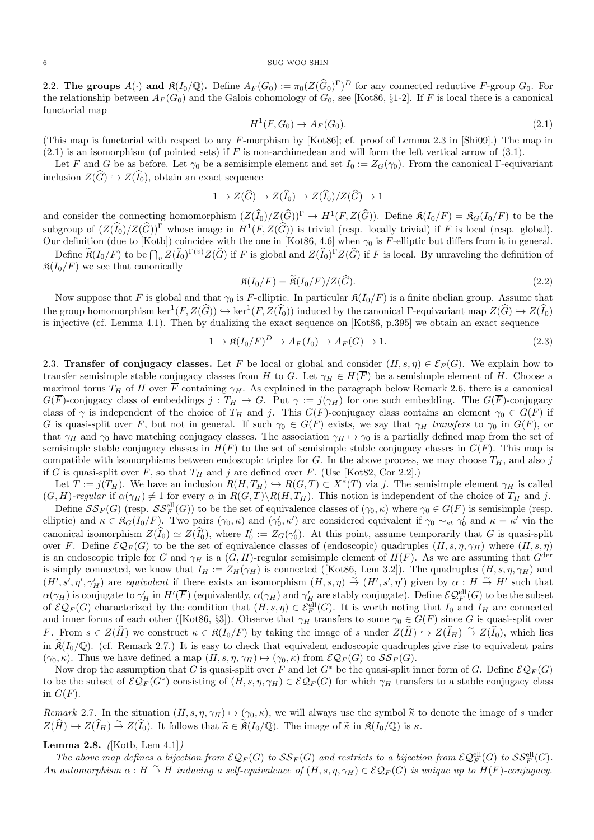2.2. The groups  $A(\cdot)$  and  $\mathfrak{K}(I_0/\mathbb{Q})$ . Define  $A_F(G_0) := \pi_0(Z(\widehat{G}_0)^{\Gamma})^D$  for any connected reductive F-group  $G_0$ . For the relationship between  $A_F(G_0)$  and the Galois cohomology of  $G_0$ , see [Kot86, §1-2]. If F is local there is a canonical functorial map

$$
H^1(F, G_0) \to A_F(G_0). \tag{2.1}
$$

(This map is functorial with respect to any F-morphism by [Kot86]; cf. proof of Lemma 2.3 in [Shi09].) The map in  $(2.1)$  is an isomorphism (of pointed sets) if F is non-archimedean and will form the left vertical arrow of  $(3.1)$ .

Let F and G be as before. Let  $\gamma_0$  be a semisimple element and set  $I_0 := Z_G(\gamma_0)$ . From the canonical Γ-equivariant inclusion  $Z(\widehat{G}) \hookrightarrow Z(\widehat{I}_0)$ , obtain an exact sequence

$$
1 \to Z(\widehat{G}) \to Z(\widehat{I}_0) \to Z(\widehat{I}_0)/Z(\widehat{G}) \to 1
$$

and consider the connecting homomorphism  $(Z(\widehat{I}_0)/Z(\widehat{G}))^{\Gamma} \to H^1(F, Z(\widehat{G}))$ . Define  $\mathfrak{K}(I_0/F) = \mathfrak{K}_G(I_0/F)$  to be the subgroup of  $(Z(\widehat{I}_0)/Z(\widehat{G}))^{\Gamma}$  whose image in  $H^1(F, Z(\widehat{G}))$  is trivial (resp. locally trivial) if F is local (resp. global). Our definition (due to [Kotb]) coincides with the one in [Kot86, 4.6] when  $\gamma_0$  is F-elliptic but differs from it in general.

Define  $\mathcal{R}(I_0/F)$  to be  $\bigcap_v Z(\tilde{I}_0)^{\Gamma(v)}Z(\tilde{G})$  if F is global and  $Z(\tilde{I}_0)^{\Gamma}Z(\tilde{G})$  if F is local. By unraveling the definition of  $\mathfrak{K}(I_0/F)$  we see that canonically

$$
\mathfrak{K}(I_0/F) = \mathfrak{K}(I_0/F)/Z(\widehat{G}).
$$
\n(2.2)

Now suppose that F is global and that  $\gamma_0$  is F-elliptic. In particular  $\mathfrak{K}(I_0/F)$  is a finite abelian group. Assume that the group homomorphism  $\ker^1(F, Z(\widehat{G})) \hookrightarrow \ker^1(F, Z(\widehat{I}_0))$  induced by the canonical  $\Gamma$ -equivariant map  $Z(\widehat{G}) \hookrightarrow Z(\widehat{I}_0)$ is injective (cf. Lemma 4.1). Then by dualizing the exact sequence on [Kot86, p.395] we obtain an exact sequence

$$
1 \to \mathfrak{K}(I_0/F)^D \to A_F(I_0) \to A_F(G) \to 1. \tag{2.3}
$$

2.3. Transfer of conjugacy classes. Let F be local or global and consider  $(H, s, \eta) \in \mathcal{E}_F(G)$ . We explain how to transfer semisimple stable conjugacy classes from H to G. Let  $\gamma_H \in H(\overline{F})$  be a semisimple element of H. Choose a maximal torus  $T_H$  of H over  $\overline{F}$  containing  $\gamma_H$ . As explained in the paragraph below Remark 2.6, there is a canonical  $G(\overline{F})$ -conjugacy class of embeddings  $j: T_H \to G$ . Put  $\gamma := j(\gamma_H)$  for one such embedding. The  $G(\overline{F})$ -conjugacy class of  $\gamma$  is independent of the choice of  $T_H$  and j. This  $G(\overline{F})$ -conjugacy class contains an element  $\gamma_0 \in G(F)$  if G is quasi-split over F, but not in general. If such  $\gamma_0 \in G(F)$  exists, we say that  $\gamma_H$  transfers to  $\gamma_0$  in  $G(F)$ , or that  $\gamma_H$  and  $\gamma_0$  have matching conjugacy classes. The association  $\gamma_H \mapsto \gamma_0$  is a partially defined map from the set of semisimple stable conjugacy classes in  $H(F)$  to the set of semisimple stable conjugacy classes in  $G(F)$ . This map is compatible with isomorphisms between endoscopic triples for G. In the above process, we may choose  $T_H$ , and also j if G is quasi-split over F, so that  $T_H$  and j are defined over F. (Use [Kot82, Cor 2.2].)

Let  $T := j(T_H)$ . We have an inclusion  $R(H, T_H) \hookrightarrow R(G, T) \subset X^*(T)$  via j. The semisimple element  $\gamma_H$  is called  $(G, H)$ -regular if  $\alpha(\gamma_H) \neq 1$  for every  $\alpha$  in  $R(G, T) \setminus R(H, T_H)$ . This notion is independent of the choice of  $T_H$  and j.

Define  $SS_F(G)$  (resp.  $SS_F^{ell}(G)$ ) to be the set of equivalence classes of  $(\gamma_0, \kappa)$  where  $\gamma_0 \in G(F)$  is semisimple (resp. elliptic) and  $\kappa \in \mathfrak{K}_G(I_0/F)$ . Two pairs  $(\gamma_0, \kappa)$  and  $(\gamma'_0, \kappa')$  are considered equivalent if  $\gamma_0 \sim_{st} \gamma'_0$  and  $\kappa = \kappa'$  via the canonical isomorphism  $Z(\hat{I}_0) \simeq Z(\hat{I}'_0)$ , where  $I'_0 := Z_G(\gamma'_0)$ . At this point, assume temporarily that G is quasi-split over F. Define  $\mathcal{EQ}_F(G)$  to be the set of equivalence classes of (endoscopic) quadruples  $(H, s, \eta, \gamma_H)$  where  $(H, s, \eta)$ is an endoscopic triple for G and  $\gamma_H$  is a  $(G, H)$ -regular semisimple element of  $H(F)$ . As we are assuming that  $G^{\text{der}}$ is simply connected, we know that  $I_H := Z_H(\gamma_H)$  is connected ([Kot86, Lem 3.2]). The quadruples  $(H, s, \eta, \gamma_H)$  and  $(H', s', \eta', \gamma'_H)$  are equivalent if there exists an isomorphism  $(H, s, \eta) \stackrel{\sim}{\rightarrow} (H', s', \eta')$  given by  $\alpha : H \stackrel{\sim}{\rightarrow} H'$  such that  $\alpha(\gamma_H)$  is conjugate to  $\gamma'_H$  in  $H'(\overline{F})$  (equivalently,  $\alpha(\gamma_H)$  and  $\gamma'_H$  are stably conjugate). Define  $\mathcal{EQ}_F^{\text{ell}}(G)$  to be the subset of  $\mathcal{EQ}_F(G)$  characterized by the condition that  $(H, s, \eta) \in \mathcal{E}_F^{\text{ell}}(G)$ . It is worth noting that  $I_0$  and  $I_H$  are connected and inner forms of each other ([Kot86, §3]). Observe that  $\gamma_H$  transfers to some  $\gamma_0 \in G(F)$  since G is quasi-split over F. From  $s \in Z(\widehat{H})$  we construct  $\kappa \in \mathfrak{K}(I_0/F)$  by taking the image of s under  $Z(\widehat{H}) \hookrightarrow Z(\widehat{I}_H) \stackrel{\sim}{\to} Z(\widehat{I}_0)$ , which lies in  $\mathcal{R}(I_0/\mathbb{Q})$ . (cf. Remark 2.7.) It is easy to check that equivalent endoscopic quadruples give rise to equivalent pairs  $(\gamma_0, \kappa)$ . Thus we have defined a map  $(H, s, \eta, \gamma_H) \mapsto (\gamma_0, \kappa)$  from  $\mathcal{EQ}_F(G)$  to  $\mathcal{SS}_F(G)$ .

Now drop the assumption that G is quasi-split over F and let  $G^*$  be the quasi-split inner form of G. Define  $\mathcal{EQ}_F(G)$ to be the subset of  $\mathcal{EQ}_F(G^*)$  consisting of  $(H, s, \eta, \gamma_H) \in \mathcal{EQ}_F(G)$  for which  $\gamma_H$  transfers to a stable conjugacy class in  $G(F)$ .

Remark 2.7. In the situation  $(H, s, \eta, \gamma_H) \mapsto (\gamma_0, \kappa)$ , we will always use the symbol  $\tilde{\kappa}$  to denote the image of s under  $Z(\widehat{H}) \hookrightarrow Z(\widehat{I}_H) \stackrel{\sim}{\to} Z(\widehat{I}_0)$ . It follows that  $\widetilde{\kappa} \in \widetilde{\mathfrak{K}}(I_0/\mathbb{Q})$ . The image of  $\widetilde{\kappa}$  in  $\mathfrak{K}(I_0/\mathbb{Q})$  is  $\kappa$ .

# Lemma 2.8.  $(Kotb, Lem 4.1])$

The above map defines a bijection from  $\mathcal{EQ}_F(G)$  to  $\mathcal{SS}_F(G)$  and restricts to a bijection from  $\mathcal{EQ}_F^{\text{ell}}(G)$  to  $\mathcal{SS}_F^{\text{ell}}(G)$ . An automorphism  $\alpha : H \overset{\sim}{\to} H$  inducing a self-equivalence of  $(H, s, \eta, \gamma_H) \in \mathcal{EQ}_F(G)$  is unique up to  $H(F)$ -conjugacy.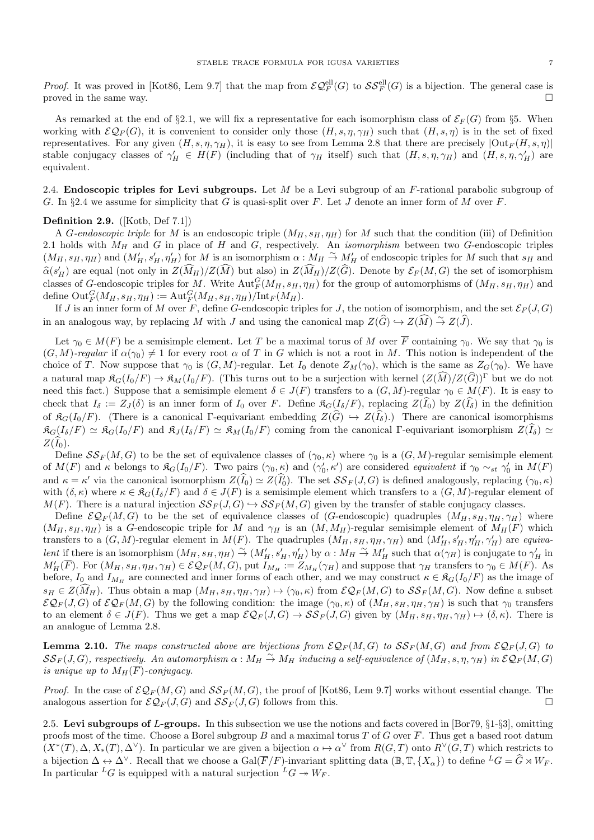*Proof.* It was proved in [Kot86, Lem 9.7] that the map from  $\mathcal{EQ}_F^{\text{ell}}(G)$  to  $\mathcal{SS}_F^{\text{ell}}(G)$  is a bijection. The general case is proved in the same way.

As remarked at the end of §2.1, we will fix a representative for each isomorphism class of  $\mathcal{E}_F(G)$  from §5. When working with  $\mathcal{EQ}_F(G)$ , it is convenient to consider only those  $(H, s, \eta, \gamma_H)$  such that  $(H, s, \eta)$  is in the set of fixed representatives. For any given  $(H, s, \eta, \gamma_H)$ , it is easy to see from Lemma 2.8 that there are precisely  $|\text{Out}_F(H, s, \eta)|$ stable conjugacy classes of  $\gamma'_H \in H(F)$  (including that of  $\gamma_H$  itself) such that  $(H, s, \eta, \gamma_H)$  and  $(H, s, \eta, \gamma'_H)$  are equivalent.

2.4. Endoscopic triples for Levi subgroups. Let  $M$  be a Levi subgroup of an  $F$ -rational parabolic subgroup of G. In §2.4 we assume for simplicity that G is quasi-split over F. Let J denote an inner form of M over F.

## Definition 2.9. ([Kotb, Def 7.1])

A G-endoscopic triple for M is an endoscopic triple  $(M_H, s_H, \eta_H)$  for M such that the condition (iii) of Definition 2.1 holds with  $M_H$  and G in place of H and G, respectively. An *isomorphism* between two G-endoscopic triples  $(M_H, s_H, \eta_H)$  and  $(M'_H, s'_H, \eta'_H)$  for M is an isomorphism  $\alpha : M_H \to M'_H$  of endoscopic triples for M such that  $s_H$  and  $\widehat{\alpha}(s_H')$  are equal (not only in  $Z(\widehat{M}_H)/Z(\widehat{M})$  but also) in  $Z(\widehat{M}_H)/Z(\widehat{G})$ . Denote by  $\mathcal{E}_F(M, G)$  the set of isomorphism classes of G-endoscopic triples for M. Write  $\text{Aut}_F^G(M_H, s_H, \eta_H)$  for the group of automorphisms of  $(M_H, s_H, \eta_H)$  and define  $\mathrm{Out}^G_F(M_H, s_H, \eta_H) := \mathrm{Aut}^G_F(M_H, s_H, \eta_H)/\mathrm{Int}_F(M_H)$ .

If J is an inner form of M over F, define G-endoscopic triples for J, the notion of isomorphism, and the set  $\mathcal{E}_F(J, G)$ in an analogous way, by replacing M with J and using the canonical map  $Z(\widehat{G}) \hookrightarrow Z(\widehat{M}) \stackrel{\sim}{\rightarrow} Z(\widehat{J})$ .

Let  $\gamma_0 \in M(F)$  be a semisimple element. Let T be a maximal torus of M over  $\overline{F}$  containing  $\gamma_0$ . We say that  $\gamma_0$  is  $(G, M)$ -regular if  $\alpha(\gamma_0) \neq 1$  for every root  $\alpha$  of T in G which is not a root in M. This notion is independent of the choice of T. Now suppose that  $\gamma_0$  is  $(G, M)$ -regular. Let  $I_0$  denote  $Z_M(\gamma_0)$ , which is the same as  $Z_G(\gamma_0)$ . We have a natural map  $\mathfrak{K}_G(I_0/F) \to \mathfrak{K}_M(I_0/F)$ . (This turns out to be a surjection with kernel  $(Z(\widehat{M})/Z(\widehat{G}))^{\Gamma}$  but we do not need this fact.) Suppose that a semisimple element  $\delta \in J(F)$  transfers to a  $(G, M)$ -regular  $\gamma_0 \in M(F)$ . It is easy to check that  $I_{\delta} := Z_J(\delta)$  is an inner form of  $I_0$  over F. Define  $\mathfrak{K}_G(I_{\delta}/F)$ , replacing  $Z(\widehat{I}_0)$  by  $Z(\widehat{I}_{\delta})$  in the definition of  $\mathfrak{K}_G(I_0/F)$ . (There is a canonical Γ-equivariant embedding  $Z(G) \hookrightarrow Z(I_\delta)$ .) There are canonical isomorphisms  $\mathfrak{K}_G(I_\delta/F) \simeq \mathfrak{K}_G(I_0/F)$  and  $\mathfrak{K}_J(I_\delta/F) \simeq \mathfrak{K}_M(I_0/F)$  coming from the canonical Γ-equivariant isomorphism  $Z(\widehat{I}_\delta) \simeq$  $Z(\widehat{I}_0)$ .

Define  $SS_F(M, G)$  to be the set of equivalence classes of  $(\gamma_0, \kappa)$  where  $\gamma_0$  is a  $(G, M)$ -regular semisimple element of  $M(F)$  and  $\kappa$  belongs to  $\mathfrak{K}_G(I_0/F)$ . Two pairs  $(\gamma_0, \kappa)$  and  $(\gamma'_0, \kappa')$  are considered *equivalent* if  $\gamma_0 \sim_{st} \gamma'_0$  in  $M(F)$ and  $\kappa = \kappa'$  via the canonical isomorphism  $Z(\widehat{I}_0) \simeq Z(\widehat{I}_0)$ . The set  $\mathcal{SS}_F(J, G)$  is defined analogously, replacing  $(\gamma_0, \kappa)$ with  $(\delta, \kappa)$  where  $\kappa \in \mathfrak{K}_G(I_\delta/F)$  and  $\delta \in J(F)$  is a semisimple element which transfers to a  $(G, M)$ -regular element of  $M(F)$ . There is a natural injection  $SS_F(J, G) \hookrightarrow SS_F(M, G)$  given by the transfer of stable conjugacy classes.

Define  $\mathcal{EQ}_F(M, G)$  to be the set of equivalence classes of (G-endoscopic) quadruples  $(M_H, s_H, \eta_H, \gamma_H)$  where  $(M_H, s_H, \eta_H)$  is a G-endoscopic triple for M and  $\gamma_H$  is an  $(M, M_H)$ -regular semisimple element of  $M_H(F)$  which transfers to a  $(G, M)$ -regular element in  $M(F)$ . The quadruples  $(M_H, s_H, \eta_H, \gamma_H)$  and  $(M'_H, s'_H, \eta'_H, \gamma'_H)$  are equivalent if there is an isomorphism  $(M_H, s_H, \eta_H) \stackrel{\sim}{\to} (M'_H, s'_H, \eta'_H)$  by  $\alpha : M_H \stackrel{\sim}{\to} M'_H$  such that  $\alpha(\gamma_H)$  is conjugate to  $\gamma'_H$  in  $M'_H(\overline{F})$ . For  $(M_H, s_H, \eta_H, \gamma_H) \in \mathcal{EQ}_F(M, G)$ , put  $I_{M_H} := Z_{M_H}(\gamma_H)$  and suppose that  $\gamma_H$  transfers to  $\gamma_0 \in M(F)$ . As before,  $I_0$  and  $I_{M_H}$  are connected and inner forms of each other, and we may construct  $\kappa \in \mathfrak{K}_G(I_0/F)$  as the image of  $s_H \in Z(M_H)$ . Thus obtain a map  $(M_H, s_H, \eta_H, \gamma_H) \mapsto (\gamma_0, \kappa)$  from  $\mathcal{EQ}_F(M, G)$  to  $\mathcal{SS}_F(M, G)$ . Now define a subset  $\mathcal{EQ}_F(J, G)$  of  $\mathcal{EQ}_F(M, G)$  by the following condition: the image  $(\gamma_0, \kappa)$  of  $(M_H, s_H, \eta_H, \gamma_H)$  is such that  $\gamma_0$  transfers to an element  $\delta \in J(F)$ . Thus we get a map  $\mathcal{EQ}_F(J,G) \to \mathcal{SS}_F(J,G)$  given by  $(M_H, s_H, \eta_H, \gamma_H) \mapsto (\delta, \kappa)$ . There is an analogue of Lemma 2.8.

**Lemma 2.10.** The maps constructed above are bijections from  $\mathcal{EQ}_F(M, G)$  to  $\mathcal{SS}_F(M, G)$  and from  $\mathcal{EQ}_F(J, G)$  to  $\mathcal{SS}_F(J,G)$ , respectively. An automorphism  $\alpha : M_H \overset{\sim}{\to} M_H$  inducing a self-equivalence of  $(M_H,s,\eta,\gamma_H)$  in  $\mathcal{EQ}_F(M,G)$ is unique up to  $M_H(\overline{F})$ -conjugacy.

*Proof.* In the case of  $\mathcal{EQ}_F(M, G)$  and  $\mathcal{SS}_F(M, G)$ , the proof of [Kot86, Lem 9.7] works without essential change. The analogous assertion for  $\mathcal{EQ}_F(J, G)$  and  $\mathcal{S}\mathcal{S}_F(J, G)$  follows from this.

2.5. Levi subgroups of L-groups. In this subsection we use the notions and facts covered in  $[Bor79, \S1-\S3]$ , omitting proofs most of the time. Choose a Borel subgroup B and a maximal torus T of G over  $\overline{F}$ . Thus get a based root datum  $(X^*(T), \Delta, X_*(T), \Delta^{\vee})$ . In particular we are given a bijection  $\alpha \mapsto \alpha^{\vee}$  from  $R(G,T)$  onto  $R^{\vee}(G,T)$  which restricts to a bijection  $\Delta \leftrightarrow \Delta^{\vee}$ . Recall that we choose a Gal( $\overline{F}/F$ )-invariant splitting data ( $\mathbb{B}, \mathbb{T}, \{X_{\alpha}\}\$ ) to define  ${}^L G = \widehat{G} \rtimes W_F$ . In particular <sup>L</sup>G is equipped with a natural surjection <sup>L</sup>G  $\rightarrow$  W<sub>F</sub>.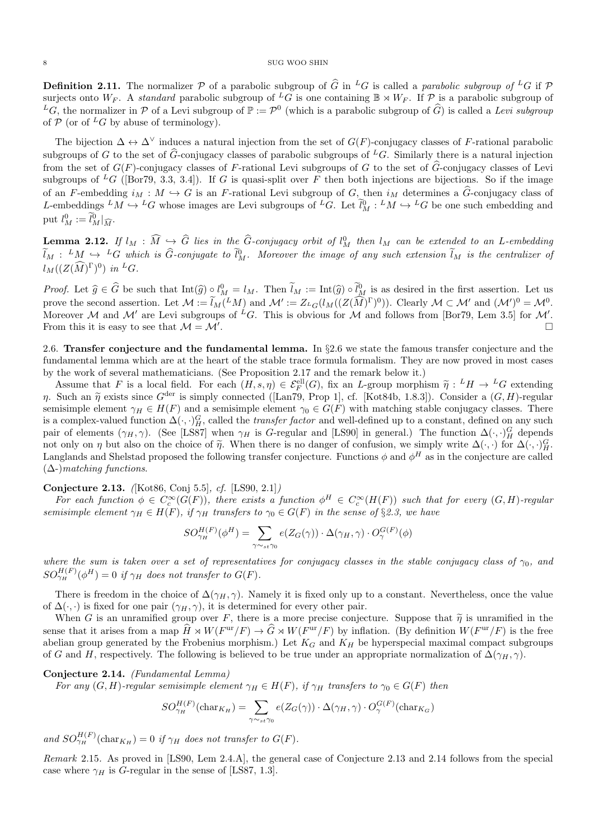**Definition 2.11.** The normalizer P of a parabolic subgroup of  $\hat{G}$  in <sup>L</sup>G is called a parabolic subgroup of <sup>L</sup>G if P surjects onto  $W_F$ . A *standard* parabolic subgroup of <sup>L</sup>G is one containing  $\mathbb{B} \rtimes W_F$ . If P is a parabolic subgroup of  ${}^L G$ , the normalizer in P of a Levi subgroup of  $\mathbb{P} := \mathcal{P}^0$  (which is a parabolic subgroup of  $\widehat{G}$ ) is called a Levi subgroup of  $P$  (or of <sup>L</sup>G by abuse of terminology).

The bijection  $\Delta \leftrightarrow \Delta^{\vee}$  induces a natural injection from the set of  $G(F)$ -conjugacy classes of F-rational parabolic subgroups of G to the set of  $\widehat{G}$ -conjugacy classes of parabolic subgroups of <sup>L</sup>G. Similarly there is a natural injection from the set of  $G(F)$ -conjugacy classes of F-rational Levi subgroups of G to the set of  $\widehat{G}$ -conjugacy classes of Levi subgroups of <sup>L</sup>G ([Bor79, 3.3, 3.4]). If G is quasi-split over F then both injections are bijections. So if the image of an F-embedding  $i_M : M \hookrightarrow G$  is an F-rational Levi subgroup of G, then  $i_M$  determines a G-conjugacy class of L-embeddings  ${}^LM \hookrightarrow {}^LG$  whose images are Levi subgroups of  ${}^LG$ . Let  $l_M^0: {}^LM \hookrightarrow {}^LG$  be one such embedding and put  $l_M^0 := \tilde{l}_M^0|_{\widehat{M}}$ .

**Lemma 2.12.** If  $l_M : \widehat{M} \hookrightarrow \widehat{G}$  lies in the  $\widehat{G}$ -conjugacy orbit of  $l_M^0$  then  $l_M$  can be extended to an L-embedding  $\widetilde{l}_M : M \hookrightarrow {}^L G$  which is  $\widehat{G}$ -conjugate to  $\widetilde{l}_M^0$ . Moreover the image of any such extension  $\widetilde{l}_M$  is the centralizer of  $l_M((Z(\widehat{M})^{\Gamma})^0)$  in <sup>L</sup>G.

*Proof.* Let  $\widehat{g} \in \widehat{G}$  be such that  $\text{Int}(\widehat{g}) \circ l_M^0 = l_M$ . Then  $l_M := \text{Int}(\widehat{g}) \circ l_M^0$  is as desired in the first assertion. Let us prove the second assertion. Let  $\mathcal{M} := \tilde{l}_M({}^LM)$  and  $\mathcal{M}' := Z_{L_G}(l_M((Z(\tilde{M})^{\Gamma})^0))$ . Clearly  $\mathcal{M} \subset \mathcal{M}'$  and  $(\mathcal{M}')^0 = \mathcal{M}^0$ . Moreover M and M' are Levi subgroups of <sup>L</sup>G. This is obvious for M and follows from [Bor79, Lem 3.5] for M'. From this it is easy to see that  $\mathcal{M} = \mathcal{M}'$ . .

2.6. Transfer conjecture and the fundamental lemma. In §2.6 we state the famous transfer conjecture and the fundamental lemma which are at the heart of the stable trace formula formalism. They are now proved in most cases by the work of several mathematicians. (See Proposition 2.17 and the remark below it.)

Assume that F is a local field. For each  $(H, s, \eta) \in \mathcal{E}_F^{\text{ell}}(G)$ , fix an L-group morphism  $\tilde{\eta}: {}^L H \to {}^L G$  extending<br>Such an  $\tilde{\eta}$  exists gineal  $G^{\text{der}}$  is simply connected (Lanzo, Prop. 1) of [Kot84b, 1.8.3]). η. Such an  $\tilde{\eta}$  exists since  $G^{\text{der}}$  is simply connected ([Lan79, Prop 1], cf. [Kot84b, 1.8.3]). Consider a  $(G, H)$ -regular semisimple element  $\gamma_H \in H(F)$  and a semisimple element  $\gamma_0 \in G(F)$  with matching stable conjugacy classes. There is a complex-valued function  $\Delta(\cdot, \cdot)_H^G$ , called the *transfer factor* and well-defined up to a constant, defined on any such pair of elements  $(\gamma_H, \gamma)$ . (See [LS87] when  $\gamma_H$  is G-regular and [LS90] in general.) The function  $\Delta(\cdot, \cdot)_H^G$  depends not only on  $\eta$  but also on the choice of  $\tilde{\eta}$ . When there is no danger of confusion, we simply write  $\Delta(\cdot, \cdot)$  for  $\Delta(\cdot, \cdot)$   $G$ .<br>Largenda and Shelsted proposed the following transfer conjecture. Eurotions  $\phi$  an Langlands and Shelstad proposed the following transfer conjecture. Functions  $\phi$  and  $\phi^H$  as in the conjecture are called  $(\Delta)$ *matching functions.* 

Conjecture 2.13. ([Kot86, Conj 5.5], cf. [LS90, 2.1])

For each function  $\phi \in C_c^{\infty}(G(F))$ , there exists a function  $\phi^H \in C_c^{\infty}(H(F))$  such that for every  $(G,H)$ -regular semisimple element  $\gamma_H \in H(F)$ , if  $\gamma_H$  transfers to  $\gamma_0 \in G(F)$  in the sense of §2.3, we have

$$
SO_{\gamma_H}^{H(F)}(\phi^H) = \sum_{\gamma \sim_{st} \gamma_0} e(Z_G(\gamma)) \cdot \Delta(\gamma_H, \gamma) \cdot O_{\gamma}^{G(F)}(\phi)
$$

where the sum is taken over a set of representatives for conjugacy classes in the stable conjugacy class of  $\gamma_0$ , and  $SO_{\gamma_H}^{H(F)}(\phi^H)=0$  if  $\gamma_H$  does not transfer to  $G(F)$ .

There is freedom in the choice of  $\Delta(\gamma_H, \gamma)$ . Namely it is fixed only up to a constant. Nevertheless, once the value of  $\Delta(\cdot, \cdot)$  is fixed for one pair  $(\gamma_H, \gamma)$ , it is determined for every other pair.

When G is an unramified group over F, there is a more precise conjecture. Suppose that  $\tilde{\eta}$  is unramified in the sense that it arises from a map  $\widehat{H} \rtimes W(F^{\text{ur}}/F) \to \widehat{G} \rtimes W(F^{\text{ur}}/F)$  by inflation. (By definition  $W(F^{\text{ur}}/F)$  is the free abelian group generated by the Frobenius morphism.) Let  $K_G$  and  $K_H$  be hyperspecial maximal compact subgroups of G and H, respectively. The following is believed to be true under an appropriate normalization of  $\Delta(\gamma_H, \gamma)$ .

## Conjecture 2.14. (Fundamental Lemma)

For any  $(G, H)$ -regular semisimple element  $\gamma_H \in H(F)$ , if  $\gamma_H$  transfers to  $\gamma_0 \in G(F)$  then

$$
SO_{\gamma_H}^{H(F)}(\text{char}_{K_H}) = \sum_{\gamma \sim_{st} \gamma_0} e(Z_G(\gamma)) \cdot \Delta(\gamma_H, \gamma) \cdot O_{\gamma}^{G(F)}(\text{char}_{K_G})
$$

and  $SO_{\gamma_H}^{H(F)}(\text{char}_{K_H})=0$  if  $\gamma_H$  does not transfer to  $G(F)$ .

Remark 2.15. As proved in [LS90, Lem 2.4.A], the general case of Conjecture 2.13 and 2.14 follows from the special case where  $\gamma_H$  is G-regular in the sense of [LS87, 1.3].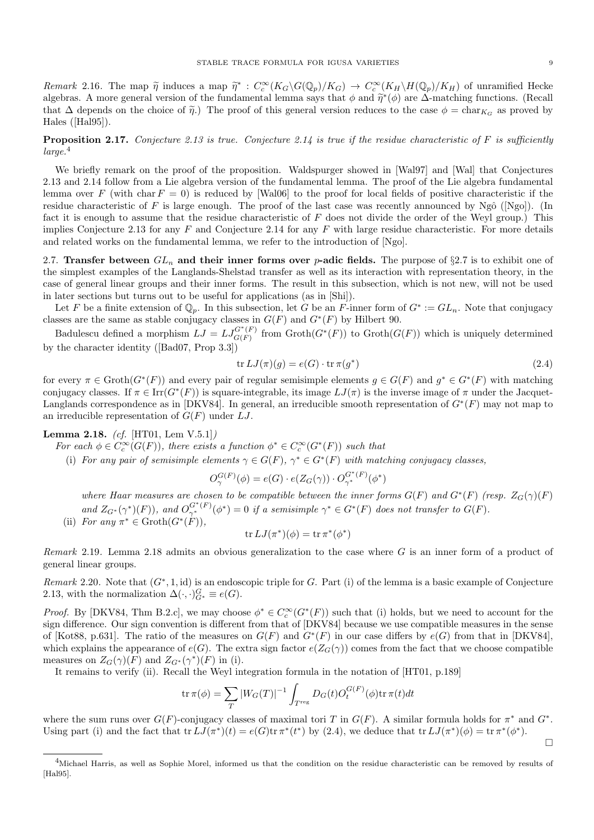Remark 2.16. The map  $\tilde{\eta}$  induces a map  $\tilde{\eta}^*$ :  $C_c^{\infty}(K_G\backslash G(\mathbb{Q}_p)/K_G) \to C_c^{\infty}(K_H\backslash H(\mathbb{Q}_p)/K_H)$  of unramified Hecke algebras. A more general version of the fundamental lemma says that  $\phi$  and  $\tilde{\eta}^*(\phi)$  are  $\Delta$ -matching functions. (Recall that  $\Delta$  depends on the choice of  $\tilde{\eta}$ .) The proof of this general version reduces to the case  $\phi = \text{char}_{K_G}$  as proved by Hales ([Hal95]).

**Proposition 2.17.** Conjecture 2.13 is true. Conjecture 2.14 is true if the residue characteristic of  $F$  is sufficiently  $larea<sup>4</sup>$ 

We briefly remark on the proof of the proposition. Waldspurger showed in [Wal97] and [Wal] that Conjectures 2.13 and 2.14 follow from a Lie algebra version of the fundamental lemma. The proof of the Lie algebra fundamental lemma over F (with char  $F = 0$ ) is reduced by [Wal06] to the proof for local fields of positive characteristic if the residue characteristic of F is large enough. The proof of the last case was recently announced by Ngô ([Ngo]). (In fact it is enough to assume that the residue characteristic of  $F$  does not divide the order of the Weyl group.) This implies Conjecture 2.13 for any  $F$  and Conjecture 2.14 for any  $F$  with large residue characteristic. For more details and related works on the fundamental lemma, we refer to the introduction of [Ngo].

2.7. Transfer between  $GL_n$  and their inner forms over *p*-adic fields. The purpose of §2.7 is to exhibit one of the simplest examples of the Langlands-Shelstad transfer as well as its interaction with representation theory, in the case of general linear groups and their inner forms. The result in this subsection, which is not new, will not be used in later sections but turns out to be useful for applications (as in [Shi]).

Let F be a finite extension of  $\mathbb{Q}_p$ . In this subsection, let G be an F-inner form of  $G^* := GL_n$ . Note that conjugacy classes are the same as stable conjugacy classes in  $G(F)$  and  $G^*(F)$  by Hilbert 90.

Badulescu defined a morphism  $LJ = LJ_{G(F)}^{G^*(F)}$  $\mathcal{G}^{G^*(F)}_{G(F)}$  from  $\operatorname{Groth}(G^*(F))$  to  $\operatorname{Groth}(G(F))$  which is uniquely determined by the character identity ([Bad07, Prop 3.3])

$$
\operatorname{tr} LJ(\pi)(g) = e(G) \cdot \operatorname{tr} \pi(g^*)
$$
\n(2.4)

for every  $\pi \in \text{Groth}(G^*(F))$  and every pair of regular semisimple elements  $g \in G(F)$  and  $g^* \in G^*(F)$  with matching conjugacy classes. If  $\pi \in \text{Irr}(G^*(F))$  is square-integrable, its image  $LJ(\pi)$  is the inverse image of  $\pi$  under the Jacquet-Langlands correspondence as in [DKV84]. In general, an irreducible smooth representation of  $G^*(F)$  may not map to an irreducible representation of  $G(F)$  under LJ.

Lemma 2.18. (cf. [HT01, Lem V.5.1])

For each  $\phi \in C_c^{\infty}(G(F))$ , there exists a function  $\phi^* \in C_c^{\infty}(G^*(F))$  such that

(i) For any pair of semisimple elements  $\gamma \in G(F)$ ,  $\gamma^* \in G^*(F)$  with matching conjugacy classes,

$$
O_{\gamma}^{G(F)}(\phi) = e(G) \cdot e(Z_G(\gamma)) \cdot O_{\gamma^*}^{G^*(F)}(\phi^*)
$$

where Haar measures are chosen to be compatible between the inner forms  $G(F)$  and  $G^*(F)$  (resp.  $Z_G(\gamma)(F)$ ) and  $Z_{G^*}(\gamma^*)(F)$ , and  $O_{\gamma^*}^{G^*(F)}(\phi^*)=0$  if a semisimple  $\gamma^* \in G^*(F)$  does not transfer to  $G(F)$ .

(ii) For any  $\pi^* \in \operatorname{Groth}(G^*(\dot{F})),$ <br>  $\qquad \qquad \operatorname{tr} L(L^*) (\phi) = \operatorname{tr} \pi^* (\phi^*)$ 

$$
\operatorname{tr} LJ(\pi^*)(\phi) = \operatorname{tr} \pi^*(\phi^*)
$$

Remark 2.19. Lemma 2.18 admits an obvious generalization to the case where G is an inner form of a product of general linear groups.

Remark 2.20. Note that  $(G^*, 1, id)$  is an endoscopic triple for G. Part (i) of the lemma is a basic example of Conjecture 2.13, with the normalization  $\Delta(\cdot, \cdot)_{G^*}^G \equiv e(G)$ .

*Proof.* By [DKV84, Thm B.2.c], we may choose  $\phi^* \in C_c^{\infty}(G^*(F))$  such that (i) holds, but we need to account for the sign difference. Our sign convention is different from that of [DKV84] because we use compatible measures in the sense of [Kot88, p.631]. The ratio of the measures on  $G(F)$  and  $G^*(F)$  in our case differs by  $e(G)$  from that in [DKV84], which explains the appearance of  $e(G)$ . The extra sign factor  $e(Z_G(\gamma))$  comes from the fact that we choose compatible measures on  $Z_G(\gamma)(F)$  and  $Z_{G^*}(\gamma^*)(F)$  in (i).

It remains to verify (ii). Recall the Weyl integration formula in the notation of [HT01, p.189]

$$
\operatorname{tr} \pi(\phi) = \sum_{T} |W_G(T)|^{-1} \int_{T^{\text{reg}}} D_G(t) O_t^{G(F)}(\phi) \operatorname{tr} \pi(t) dt
$$

where the sum runs over  $G(F)$ -conjugacy classes of maximal tori T in  $G(F)$ . A similar formula holds for  $\pi^*$  and  $G^*$ . Using part (i) and the fact that  $tr LJ(\pi^*)(t) = e(G)tr \pi^*(t^*)$  by (2.4), we deduce that  $tr LJ(\pi^*)(\phi) = tr \pi^*(\phi^*)$ .

 $\Box$ 

<sup>4</sup>Michael Harris, as well as Sophie Morel, informed us that the condition on the residue characteristic can be removed by results of [Hal95].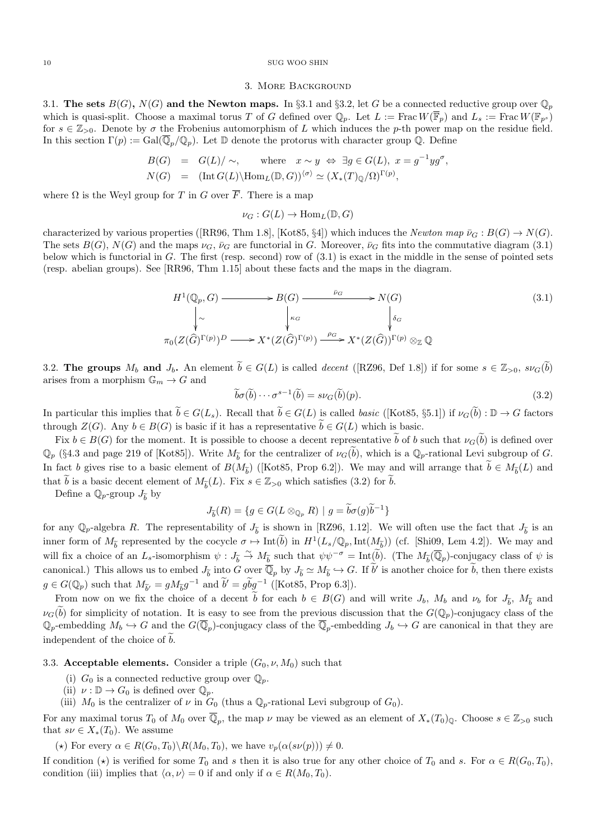#### 3. More Background

3.1. The sets  $B(G)$ ,  $N(G)$  and the Newton maps. In §3.1 and §3.2, let G be a connected reductive group over  $\mathbb{Q}_p$ which is quasi-split. Choose a maximal torus T of G defined over  $\mathbb{Q}_p$ . Let  $L := \text{Frac } W(\overline{\mathbb{F}}_p)$  and  $L_s := \text{Frac } W(\mathbb{F}_{p^s})$ for  $s \in \mathbb{Z}_{>0}$ . Denote by  $\sigma$  the Frobenius automorphism of L which induces the p-th power map on the residue field. In this section  $\Gamma(p) := \text{Gal}(\overline{\mathbb{Q}}_p/\mathbb{Q}_p)$ . Let  $\mathbb D$  denote the protorus with character group  $\mathbb Q$ . Define

$$
B(G) = G(L)/\sim, \quad \text{where} \quad x \sim y \iff \exists g \in G(L), \ x = g^{-1}yg^{\sigma},
$$
  

$$
N(G) = (\text{Int } G(L) \setminus \text{Hom}_{L}(\mathbb{D}, G))^{(\sigma)} \simeq (X_*(T)\mathbb{Q}/\Omega)^{\Gamma(p)},
$$

where  $\Omega$  is the Weyl group for T in G over  $\overline{F}$ . There is a map

$$
\nu_G: G(L) \to \text{Hom}_L(\mathbb{D}, G)
$$

characterized by various properties ([RR96, Thm 1.8], [Kot85, §4]) which induces the Newton map  $\bar{\nu}_G : B(G) \to N(G)$ . The sets  $B(G)$ ,  $N(G)$  and the maps  $\nu_G$ ,  $\bar{\nu}_G$  are functorial in G. Moreover,  $\bar{\nu}_G$  fits into the commutative diagram (3.1) below which is functorial in G. The first (resp. second) row of (3.1) is exact in the middle in the sense of pointed sets (resp. abelian groups). See [RR96, Thm 1.15] about these facts and the maps in the diagram.

$$
H^{1}(\mathbb{Q}_{p}, G) \longrightarrow B(G) \longrightarrow \mathbb{P}_{G} \longrightarrow N(G)
$$
\n
$$
\downarrow \sim \qquad \qquad \downarrow \kappa_{G} \qquad \qquad \downarrow \delta_{G}
$$
\n
$$
\pi_{0}(Z(\widehat{G})^{\Gamma(p)})^{D} \longrightarrow X^{*}(Z(\widehat{G})^{\Gamma(p)}) \xrightarrow{\rho_{G}} X^{*}(Z(\widehat{G}))^{\Gamma(p)} \otimes_{\mathbb{Z}} \mathbb{Q}
$$
\n
$$
(3.1)
$$

3.2. The groups  $M_b$  and  $J_b$ . An element  $\tilde{b} \in G(L)$  is called *decent* ([RZ96, Def 1.8]) if for some  $s \in \mathbb{Z}_{>0}$ ,  $s\nu_G(\tilde{b})$ arises from a morphism  $\mathbb{G}_m \to G$  and

$$
\widetilde{b}\sigma(\widetilde{b})\cdots\sigma^{s-1}(\widetilde{b})=s\nu_G(\widetilde{b})(p). \tag{3.2}
$$

In particular this implies that  $\tilde{b} \in G(L_s)$ . Recall that  $\tilde{b} \in G(L)$  is called *basic* ([Kot85, §5.1]) if  $\nu_G(\tilde{b}) : \mathbb{D} \to G$  factors through  $Z(G)$ . Any  $b \in B(G)$  is basic if it has a representative  $b \in G(L)$  which is basic.

Fix  $b \in B(G)$  for the moment. It is possible to choose a decent representative b of b such that  $\nu_G(b)$  is defined over  $\mathbb{Q}_p$  (§4.3 and page 219 of [Kot85]). Write  $M_{\tilde{b}}$  for the centralizer of  $\nu_G(\tilde{b})$ , which is a  $\mathbb{Q}_p$ -rational Levi subgroup of G. In fact b gives rise to a basic element of  $B(M_{\tilde{b}})$  ([Kot85, Prop 6.2]). We may and will arrange that  $b \in M_{\tilde{b}}(L)$  and that  $\tilde{b}$  is a basic decent element of  $M_{\tilde{b}}(L)$ . Fix  $s \in \mathbb{Z}_{>0}$  which satisfies (3.2) for  $\tilde{b}$ .

Define a  $\mathbb{Q}_p\text{-group }J_{\widetilde{b}}$  by

$$
J_{\widetilde{b}}(R) = \{ g \in G(L \otimes_{\mathbb{Q}_p} R) \mid g = \widetilde{b}\sigma(g)\widetilde{b}^{-1} \}
$$

for any  $\mathbb{Q}_p$ -algebra R. The representability of  $J_{\tilde{b}}$  is shown in [RZ96, 1.12]. We will often use the fact that  $J_{\tilde{b}}$  is an inner form of  $M_{\tilde{b}}$  represented by the cocycle  $\sigma \mapsto \text{Int}(\tilde{b})$  in  $H^1(L_s/\mathbb{Q}_p, \text{Int}(M_{\tilde{b}}))$  (cf. [Shi09, Lem 4.2]). We may and will fix a choice of an L<sub>s</sub>-isomorphism  $\psi : J_{\tilde{b}} \to M_{\tilde{b}}$  such that  $\psi \psi^{-\sigma} = \text{Int}(\tilde{b})$ . (The  $M_{\tilde{b}}(\overline{\mathbb{Q}}_p)$ -conjugacy class of  $\psi$  is canonical.) This allows us to embed  $J_{\tilde{b}}$  into G over  $\overline{\mathbb{Q}}_p$  by  $J_{\tilde{b}} \simeq M_{\tilde{b}} \hookrightarrow G$ . If  $\tilde{b}'$  is another choice for  $\tilde{b}$ , then there exists  $g \in G(\mathbb{Q}_p)$  such that  $M_{\tilde{b}'} = gM_{\tilde{b}}g^{-1}$  and  $\tilde{b'} = g\tilde{b}g^{-1}$  ([Kot85, Prop 6.3]).

From now on we fix the choice of a decent b for each  $b \in B(G)$  and will write  $J_b$ ,  $M_b$  and  $\nu_b$  for  $J_{\tilde{b}}$ ,  $M_{\tilde{b}}$  and  $\tilde{b}$  $\nu_G(\tilde{b})$  for simplicity of notation. It is easy to see from the previous discussion that the  $G(\mathbb{Q}_p)$ -conjugacy class of the  $\mathbb{Q}_p$ -embedding  $M_b \hookrightarrow G$  and the  $G(\overline{\mathbb{Q}}_p)$ -conjugacy class of the  $\overline{\mathbb{Q}}_p$ -embedding  $J_b \hookrightarrow G$  are canonical in that they are independent of the choice of  $\overline{b}$ .

## 3.3. Acceptable elements. Consider a triple  $(G_0, \nu, M_0)$  such that

- (i)  $G_0$  is a connected reductive group over  $\mathbb{Q}_p$ .
- (ii)  $\nu : \mathbb{D} \to G_0$  is defined over  $\mathbb{Q}_p$ .
- (iii)  $M_0$  is the centralizer of  $\nu$  in  $G_0$  (thus a  $\mathbb{Q}_p$ -rational Levi subgroup of  $G_0$ ).

For any maximal torus  $T_0$  of  $M_0$  over  $\overline{\mathbb{Q}}_p$ , the map  $\nu$  may be viewed as an element of  $X_*(T_0)_{\mathbb{Q}}$ . Choose  $s \in \mathbb{Z}_{>0}$  such that  $s\nu \in X_*(T_0)$ . We assume

(\*) For every  $\alpha \in R(G_0, T_0) \backslash R(M_0, T_0)$ , we have  $v_p(\alpha(s\nu(p))) \neq 0$ .

If condition  $(\star)$  is verified for some  $T_0$  and s then it is also true for any other choice of  $T_0$  and s. For  $\alpha \in R(G_0, T_0)$ , condition (iii) implies that  $\langle \alpha, \nu \rangle = 0$  if and only if  $\alpha \in R(M_0, T_0)$ .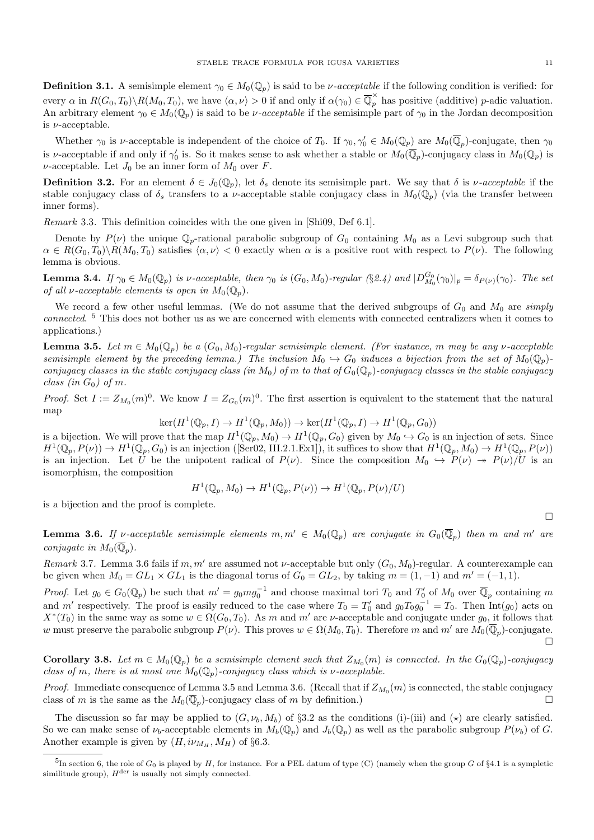**Definition 3.1.** A semisimple element  $\gamma_0 \in M_0(\mathbb{Q}_p)$  is said to be *v*-acceptable if the following condition is verified: for every  $\alpha$  in  $R(G_0, T_0) \setminus R(M_0, T_0)$ , we have  $\langle \alpha, \nu \rangle > 0$  if and only if  $\alpha(\gamma_0) \in \overline{\mathbb{Q}}_p^{\times}$  has positive (additive) p-adic valuation. An arbitrary element  $\gamma_0 \in M_0(\mathbb{Q}_p)$  is said to be *v*-acceptable if the semisimple part of  $\gamma_0$  in the Jordan decomposition is  $\nu$ -acceptable.

Whether  $\gamma_0$  is *v*-acceptable is independent of the choice of  $T_0$ . If  $\gamma_0, \gamma'_0 \in M_0(\mathbb{Q}_p)$  are  $M_0(\overline{\mathbb{Q}}_p)$ -conjugate, then  $\gamma_0$ is v-acceptable if and only if  $\gamma'_0$  is. So it makes sense to ask whether a stable or  $M_0(\overline{\mathbb{Q}}_p)$ -conjugacy class in  $M_0(\mathbb{Q}_p)$  is  $\nu$ -acceptable. Let  $J_0$  be an inner form of  $M_0$  over F.

**Definition 3.2.** For an element  $\delta \in J_0(\mathbb{Q}_p)$ , let  $\delta_s$  denote its semisimple part. We say that  $\delta$  is *v*-acceptable if the stable conjugacy class of  $\delta_s$  transfers to a *v*-acceptable stable conjugacy class in  $M_0(\mathbb{Q}_p)$  (via the transfer between inner forms).

Remark 3.3. This definition coincides with the one given in [Shi09, Def 6.1].

Denote by  $P(\nu)$  the unique  $\mathbb{Q}_p$ -rational parabolic subgroup of  $G_0$  containing  $M_0$  as a Levi subgroup such that  $\alpha \in R(G_0, T_0) \backslash R(M_0, T_0)$  satisfies  $\langle \alpha, \nu \rangle < 0$  exactly when  $\alpha$  is a positive root with respect to  $P(\nu)$ . The following lemma is obvious.

**Lemma 3.4.** If  $\gamma_0 \in M_0(\mathbb{Q}_p)$  is v-acceptable, then  $\gamma_0$  is  $(G_0, M_0)$ -regular  $(\S 2.4)$  and  $|D_{M_0}^{G_0}(\gamma_0)|_p = \delta_{P(\nu)}(\gamma_0)$ . The set of all *v*-acceptable elements is open in  $M_0(\mathbb{Q}_p)$ .

We record a few other useful lemmas. (We do not assume that the derived subgroups of  $G_0$  and  $M_0$  are simply connected. <sup>5</sup> This does not bother us as we are concerned with elements with connected centralizers when it comes to applications.)

**Lemma 3.5.** Let  $m \in M_0(\mathbb{Q}_p)$  be a  $(G_0, M_0)$ -regular semisimple element. (For instance, m may be any v-acceptable semisimple element by the preceding lemma.) The inclusion  $M_0 \hookrightarrow G_0$  induces a bijection from the set of  $M_0(\mathbb{Q}_p)$ conjugacy classes in the stable conjugacy class (in  $M_0$ ) of m to that of  $G_0(\mathbb{Q}_p)$ -conjugacy classes in the stable conjugacy class (in  $G_0$ ) of m.

*Proof.* Set  $I := Z_{M_0}(m)^0$ . We know  $I = Z_{G_0}(m)^0$ . The first assertion is equivalent to the statement that the natural map

$$
\ker(H^1(\mathbb{Q}_p, I) \to H^1(\mathbb{Q}_p, M_0)) \to \ker(H^1(\mathbb{Q}_p, I) \to H^1(\mathbb{Q}_p, G_0))
$$

is a bijection. We will prove that the map  $H^1(\mathbb{Q}_p, M_0) \to H^1(\mathbb{Q}_p, G_0)$  given by  $M_0 \hookrightarrow G_0$  is an injection of sets. Since  $H^1(\mathbb{Q}_p, P(\nu)) \to H^1(\mathbb{Q}_p, G_0)$  is an injection ([Ser02, III.2.1.Ex1]), it suffices to show that  $H^1(\mathbb{Q}_p, M_0) \to H^1(\mathbb{Q}_p, P(\nu))$ is an injection. Let U be the unipotent radical of  $P(\nu)$ . Since the composition  $M_0 \hookrightarrow P(\nu) \twoheadrightarrow P(\nu)/U$  is an isomorphism, the composition

$$
H^1(\mathbb{Q}_p, M_0) \to H^1(\mathbb{Q}_p, P(\nu)) \to H^1(\mathbb{Q}_p, P(\nu)/U)
$$

is a bijection and the proof is complete.

**Lemma 3.6.** If v-acceptable semisimple elements  $m, m' \in M_0(\mathbb{Q}_p)$  are conjugate in  $G_0(\overline{\mathbb{Q}}_p)$  then m and m' are conjugate in  $M_0(\overline{\mathbb{Q}}_p)$ .

Remark 3.7. Lemma 3.6 fails if m, m' are assumed not v-acceptable but only  $(G_0, M_0)$ -regular. A counterexample can be given when  $M_0 = GL_1 \times GL_1$  is the diagonal torus of  $G_0 = GL_2$ , by taking  $m = (1, -1)$  and  $m' = (-1, 1)$ .

*Proof.* Let  $g_0 \in G_0(\mathbb{Q}_p)$  be such that  $m' = g_0 m g_0^{-1}$  and choose maximal tori  $T_0$  and  $T'_0$  of  $M_0$  over  $\overline{\mathbb{Q}}_p$  containing m and m' respectively. The proof is easily reduced to the case where  $T_0 = T'_0$  and  $g_0T_0g_0^{-1} = T_0$ . Then  $Int(g_0)$  acts on  $X^*(T_0)$  in the same way as some  $w \in \Omega(G_0, T_0)$ . As m and m' are v-acceptable and conjugate under  $g_0$ , it follows that w must preserve the parabolic subgroup  $P(\nu)$ . This proves  $w \in \Omega(M_0, T_0)$ . Therefore m and m' are  $M_0(\overline{\mathbb{Q}}_p)$ -conjugate.  $\Box$ 

**Corollary 3.8.** Let  $m \in M_0(\mathbb{Q}_p)$  be a semisimple element such that  $Z_{M_0}(m)$  is connected. In the  $G_0(\mathbb{Q}_p)$ -conjugacy class of m, there is at most one  $M_0(\mathbb{Q}_p)$ -conjugacy class which is *v*-acceptable.

*Proof.* Immediate consequence of Lemma 3.5 and Lemma 3.6. (Recall that if  $Z_{M_0}(m)$  is connected, the stable conjugacy class of m is the same as the  $M_0(\overline{\mathbb{Q}}_p)$ -conjugacy class of m by definition.)

The discussion so far may be applied to  $(G, \nu_b, M_b)$  of §3.2 as the conditions (i)-(iii) and ( $\star$ ) are clearly satisfied. So we can make sense of  $\nu_b$ -acceptable elements in  $M_b(\mathbb{Q}_p)$  and  $J_b(\mathbb{Q}_p)$  as well as the parabolic subgroup  $P(\nu_b)$  of G. Another example is given by  $(H, i\nu_{M_H}, M_H)$  of §6.3.

 $\Box$ 

<sup>&</sup>lt;sup>5</sup>In section 6, the role of  $G_0$  is played by H, for instance. For a PEL datum of type (C) (namely when the group G of §4.1 is a sympletic similitude group),  $H^{\text{der}}$  is usually not simply connected.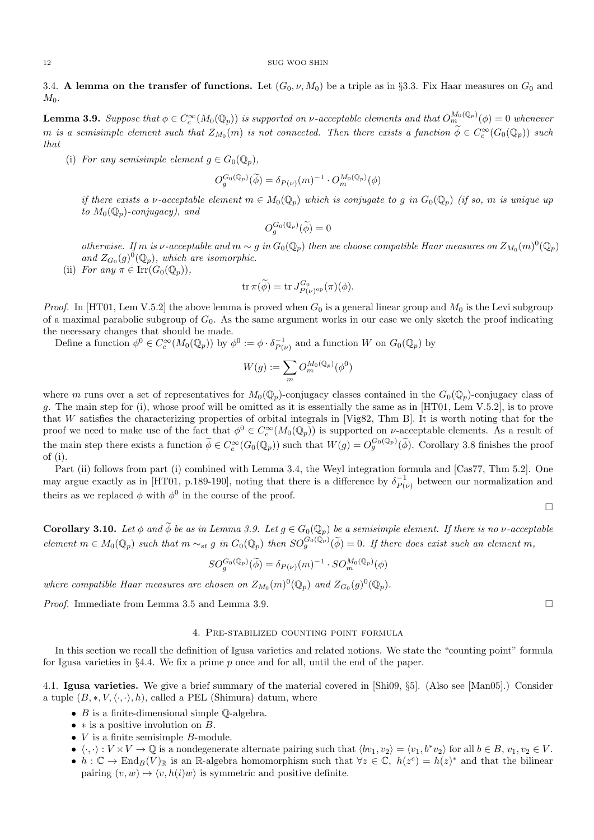3.4. A lemma on the transfer of functions. Let  $(G_0, \nu, M_0)$  be a triple as in §3.3. Fix Haar measures on  $G_0$  and  $M_{0}$ .

**Lemma 3.9.** Suppose that  $\phi \in C_c^{\infty}(M_0(\mathbb{Q}_p))$  is supported on v-acceptable elements and that  $O_m^{M_0(\mathbb{Q}_p)}(\phi) = 0$  whenever m is a semisimple element such that  $Z_{M_0}(m)$  is not connected. Then there exists a function  $\widetilde{\phi} \in C_c^{\infty}(G_0(\mathbb{Q}_p))$  such that

(i) For any semisimple element  $g \in G_0(\mathbb{Q}_p)$ ,

$$
O_g^{G_0(\mathbb{Q}_p)}(\widetilde{\phi}) = \delta_{P(\nu)}(m)^{-1} \cdot O_m^{M_0(\mathbb{Q}_p)}(\phi)
$$

if there exists a v-acceptable element  $m \in M_0(\mathbb{Q}_p)$  which is conjugate to g in  $G_0(\mathbb{Q}_p)$  (if so, m is unique up to  $M_0(\mathbb{Q}_p)$ -conjugacy), and

$$
O_g^{G_0(\mathbb{Q}_p)}(\widetilde{\phi})=0
$$

otherwise. If m is v-acceptable and  $m \sim g$  in  $G_0(\mathbb{Q}_p)$  then we choose compatible Haar measures on  $Z_{M_0}(m)^0(\mathbb{Q}_p)$ and  $Z_{G_0}(g)^0(\mathbb{Q}_p)$ , which are isomorphic.

(ii) For any  $\pi \in \text{Irr}(G_0(\mathbb{Q}_p)),$ 

$$
\operatorname{tr} \pi(\widetilde{\phi}) = \operatorname{tr} J_{P(\nu)^{\rm op}}^{G_0}(\pi)(\phi).
$$

*Proof.* In [HT01, Lem V.5.2] the above lemma is proved when  $G_0$  is a general linear group and  $M_0$  is the Levi subgroup of a maximal parabolic subgroup of  $G_0$ . As the same argument works in our case we only sketch the proof indicating the necessary changes that should be made.

Define a function  $\phi^0 \in C_c^{\infty}(M_0(\mathbb{Q}_p))$  by  $\phi^0 := \phi \cdot \delta_{P(\nu)}^{-1}$  and a function W on  $G_0(\mathbb{Q}_p)$  by

$$
W(g):=\sum_m O_m^{M_0(\mathbb{Q}_p)}(\phi^0)
$$

where m runs over a set of representatives for  $M_0(\mathbb{Q}_p)$ -conjugacy classes contained in the  $G_0(\mathbb{Q}_p)$ -conjugacy class of g. The main step for (i), whose proof will be omitted as it is essentially the same as in [HT01, Lem V.5.2], is to prove that W satisfies the characterizing properties of orbital integrals in [Vig82, Thm B]. It is worth noting that for the proof we need to make use of the fact that  $\phi^0 \in C_c^{\infty}(M_0(\mathbb{Q}_p))$  is supported on *v*-acceptable elements. As a result of the main step there exists a function  $\widetilde{\phi} \in C_c^{\infty}(G_0(\mathbb{Q}_p))$  such that  $W(g) = O_g^{G_0(\mathbb{Q}_p)}(\widetilde{\phi})$ . Corollary 3.8 finishes the proof of (i).

Part (ii) follows from part (i) combined with Lemma 3.4, the Weyl integration formula and [Cas77, Thm 5.2]. One may argue exactly as in [HT01, p.189-190], noting that there is a difference by  $\delta_{P(\nu)}^{-1}$  between our normalization and theirs as we replaced  $\phi$  with  $\phi^0$  in the course of the proof.

 $\Box$ 

**Corollary 3.10.** Let  $\phi$  and  $\widetilde{\phi}$  be as in Lemma 3.9. Let  $g \in G_0(\mathbb{Q}_p)$  be a semisimple element. If there is no  $\nu$ -acceptable  $element\ m\in M_0(\mathbb{Q}_p)$  such that  $m\sim_{st} g$  in  $G_0(\mathbb{Q}_p)$  then  $SO_g^{G_0(\mathbb{Q}_p)}(\widetilde{\phi})=0$ . If there does exist such an element m,

$$
SO_g^{G_0(\mathbb{Q}_p)}(\widetilde{\phi}) = \delta_{P(\nu)}(m)^{-1} \cdot SO_m^{M_0(\mathbb{Q}_p)}(\phi)
$$

where compatible Haar measures are chosen on  $Z_{M_0}(m)^0(\mathbb{Q}_p)$  and  $Z_{G_0}(g)^0(\mathbb{Q}_p)$ .

*Proof.* Immediate from Lemma 3.5 and Lemma 3.9.

## 4. Pre-stabilized counting point formula

In this section we recall the definition of Igusa varieties and related notions. We state the "counting point" formula for Igusa varieties in §4.4. We fix a prime  $p$  once and for all, until the end of the paper.

4.1. Igusa varieties. We give a brief summary of the material covered in [Shi09, §5]. (Also see [Man05].) Consider a tuple  $(B,*,V,\langle\cdot,\cdot\rangle,h)$ , called a PEL (Shimura) datum, where

- $B$  is a finite-dimensional simple  $\mathbb Q$ -algebra.
- $*$  is a positive involution on  $B$ .
- $\bullet$  *V* is a finite semisimple *B*-module.
- $\langle \cdot, \cdot \rangle : V \times V \to \mathbb{Q}$  is a nondegenerate alternate pairing such that  $\langle bv_1, v_2 \rangle = \langle v_1, b^*v_2 \rangle$  for all  $b \in B$ ,  $v_1, v_2 \in V$ .
- $h: \mathbb{C} \to \text{End}_B(V)_{\mathbb{R}}$  is an R-algebra homomorphism such that  $\forall z \in \mathbb{C}, h(z^c) = h(z)^*$  and that the bilinear pairing  $(v, w) \mapsto \langle v, h(i)w \rangle$  is symmetric and positive definite.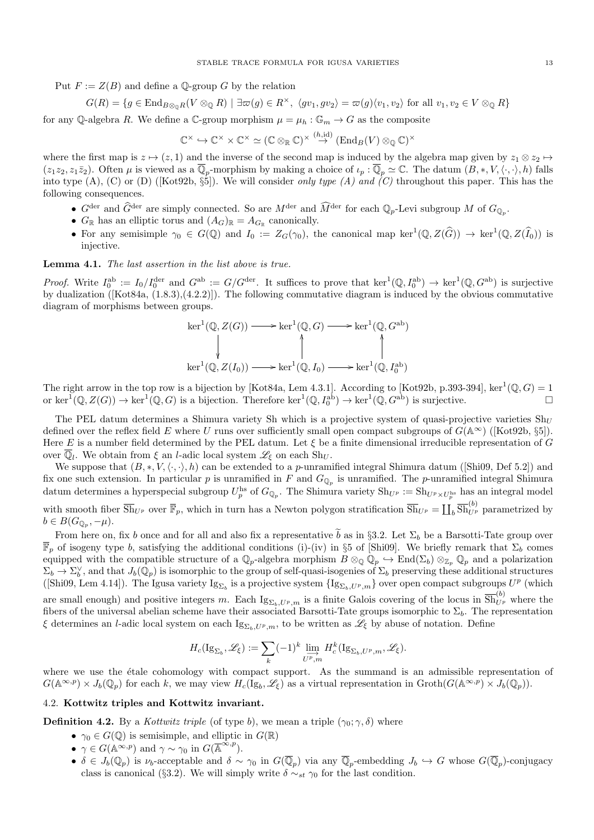Put  $F := Z(B)$  and define a Q-group G by the relation

$$
G(R) = \{ g \in \text{End}_{B \otimes_{\mathbb{Q}} R}(V \otimes_{\mathbb{Q}} R) \mid \exists \varpi(g) \in R^{\times}, \ \langle gv_1, gv_2 \rangle = \varpi(g) \langle v_1, v_2 \rangle \text{ for all } v_1, v_2 \in V \otimes_{\mathbb{Q}} R \}
$$

for any Q-algebra R. We define a C-group morphism  $\mu = \mu_h : \mathbb{G}_m \to G$  as the composite

$$
\mathbb{C}^\times \hookrightarrow \mathbb{C}^\times \times \mathbb{C}^\times \simeq (\mathbb{C} \otimes_\mathbb{R} \mathbb{C})^\times \stackrel{(h,\mathrm{id})}{\to} (\mathrm{End}_B(V) \otimes_\mathbb{Q} \mathbb{C})^\times
$$

where the first map is  $z \mapsto (z, 1)$  and the inverse of the second map is induced by the algebra map given by  $z_1 \otimes z_2 \mapsto$  $(z_1z_2, z_1\bar{z}_2)$ . Often  $\mu$  is viewed as a  $\overline{\mathbb{Q}}_p$ -morphism by making a choice of  $\iota_p : \overline{\mathbb{Q}}_p \simeq \mathbb{C}$ . The datum  $(B, *, V, \langle \cdot, \cdot \rangle, h)$  falls into type (A), (C) or (D) ([Kot92b,  $\S\overline{5}$ ]). We will consider only type (A) and (C) throughout this paper. This has the following consequences.

- $G^{\text{der}}$  and  $\widehat{G}^{\text{der}}$  are simply connected. So are  $M^{\text{der}}$  and  $\widehat{M}^{\text{der}}$  for each  $\mathbb{Q}_p$ -Levi subgroup M of  $G_{\mathbb{Q}_p}$ .
- $G_{\mathbb{R}}$  has an elliptic torus and  $(A_G)_{\mathbb{R}} = A_{G_{\mathbb{R}}}$  canonically.
- For any semisimple  $\gamma_0 \in G(\mathbb{Q})$  and  $I_0 := Z_G(\gamma_0)$ , the canonical map ker<sup>1</sup> $(\mathbb{Q}, Z(\widehat{G})) \to \ker^1(\mathbb{Q}, Z(\widehat{I}_0))$  is injective.

Lemma 4.1. The last assertion in the list above is true.

*Proof.* Write  $I_0^{\text{ab}} := I_0/I_0^{\text{der}}$  and  $G^{\text{ab}} := G/G^{\text{der}}$ . It suffices to prove that  $\ker^1(\mathbb{Q}, I_0^{\text{ab}}) \to \ker^1(\mathbb{Q}, G^{\text{ab}})$  is surjective by dualization ([Kot84a, (1.8.3),(4.2.2)]). The following commutative diagram is induced by the obvious commutative diagram of morphisms between groups.

$$
\ker^1(\mathbb{Q}, Z(G)) \longrightarrow \ker^1(\mathbb{Q}, G) \longrightarrow \ker^1(\mathbb{Q}, G^{\text{ab}})
$$
\n
$$
\downarrow \qquad \qquad \downarrow \qquad \qquad \downarrow
$$
\n
$$
\ker^1(\mathbb{Q}, Z(I_0)) \longrightarrow \ker^1(\mathbb{Q}, I_0) \longrightarrow \ker^1(\mathbb{Q}, I_0^{\text{ab}})
$$

The right arrow in the top row is a bijection by [Kot84a, Lem 4.3.1]. According to [Kot92b, p.393-394], ker<sup>1</sup>( $\mathbb{Q}, G$ ) = 1 or  $\ker^1(\mathbb{Q}, Z(G)) \to \ker^1(\mathbb{Q}, G)$  is a bijection. Therefore  $\ker^1(\mathbb{Q}, I_0^{\text{ab}}) \to \ker^1(\mathbb{Q}, G^{\text{ab}})$  is surjective.

The PEL datum determines a Shimura variety Sh which is a projective system of quasi-projective varieties  $Sh_U$ defined over the reflex field E where U runs over sufficiently small open compact subgroups of  $G(\mathbb{A}^{\infty})$  ([Kot92b, §5]). Here E is a number field determined by the PEL datum. Let  $\xi$  be a finite dimensional irreducible representation of G over  $\overline{\mathbb{Q}}_l$ . We obtain from  $\xi$  an *l*-adic local system  $\mathscr{L}_{\xi}$  on each  $\text{Sh}_U$ .

We suppose that  $(B,*,V,\langle\cdot,\cdot\rangle,h)$  can be extended to a p-unramified integral Shimura datum ([Shi09, Def 5.2]) and fix one such extension. In particular p is unramified in F and  $G_{\mathbb{Q}_p}$  is unramified. The p-unramified integral Shimura datum determines a hyperspecial subgroup  $U_p^{\text{hs}}$  of  $G_{\mathbb{Q}_p}$ . The Shimura variety  $\text{Sh}_{U^p} := \text{Sh}_{U^p \times U_p^{\text{hs}}}$  has an integral model with smooth fiber  $\overline{\text{Sh}}_{U^p}$  over  $\overline{\mathbb{F}}_p$ , which in turn has a Newton polygon stratification  $\overline{\text{Sh}}_{U^p} = \coprod_b \overline{\text{Sh}}_{U^p}^{(b)}$  parametrized by  $b \in B(G_{\mathbb{Q}_p}, -\mu).$ 

From here on, fix b once and for all and also fix a representative  $\tilde{b}$  as in §3.2. Let  $\Sigma_b$  be a Barsotti-Tate group over  $\overline{\mathbb{F}}_p$  of isogeny type b, satisfying the additional conditions (i)-(iv) in §5 of [Shi09]. We briefly remark that  $\Sigma_b$  comes equipped with the compatible structure of a  $\mathbb{Q}_p$ -algebra morphism  $B \otimes_{\mathbb{Q}} \mathbb{Q}_p \hookrightarrow \text{End}(\Sigma_b) \otimes_{\mathbb{Z}_p} \mathbb{Q}_p$  and a polarization  $\Sigma_b \to \Sigma_b^{\vee}$ , and that  $J_b(\mathbb{Q}_p)$  is isomorphic to the group of self-quasi-isogenies of  $\Sigma_b$  preserving these additional structures ([Shi09, Lem 4.14]). The Igusa variety  $Ig_{\Sigma_b}$  is a projective system  $\{Ig_{\Sigma_b, U^p,m}\}$  over open compact subgroups  $U^p$  (which are small enough) and positive integers m. Each  $Ig_{\Sigma_b, U^p, m}$  is a finite Galois covering of the locus in  $\overline{Sh}_{U^p}^{(b)}$  where the fibers of the universal abelian scheme have their associated Barsotti-Tate groups isomorphic to  $\Sigma_b$ . The representation ξ determines an l-adic local system on each  $Ig_{\Sigma_b, U_p,m}$ , to be written as  $\mathscr{L}_\xi$  by abuse of notation. Define

$$
H_c(\mathrm{Ig}_{\Sigma_b},\mathscr{L}_\xi) := \sum_k (-1)^k \varinjlim_{U^p,m} H_c^k(\mathrm{Ig}_{\Sigma_b, U^p,m},\mathscr{L}_\xi).
$$

where we use the étale cohomology with compact support. As the summand is an admissible representation of  $G(\mathbb{A}^{\infty,p}) \times J_b(\mathbb{Q}_p)$  for each k, we may view  $H_c(\mathrm{Ig}_b, \mathscr{L}_\xi)$  as a virtual representation in  $\mathrm{Groth}(G(\mathbb{A}^{\infty,p}) \times J_b(\mathbb{Q}_p)).$ 

# 4.2. Kottwitz triples and Kottwitz invariant.

**Definition 4.2.** By a Kottwitz triple (of type b), we mean a triple  $(\gamma_0; \gamma, \delta)$  where

- $\gamma_0 \in G(\mathbb{Q})$  is semisimple, and elliptic in  $G(\mathbb{R})$
- $\gamma \in G(\mathbb{A}^{\infty,p})$  and  $\gamma \sim \gamma_0$  in  $G(\mathbb{A}^{\infty,p})$ .
- $\delta \in J_b(\mathbb{Q}_p)$  is  $\nu_b$ -acceptable and  $\delta \sim \gamma_0$  in  $G(\overline{\mathbb{Q}}_p)$  via any  $\overline{\mathbb{Q}}_p$ -embedding  $J_b \hookrightarrow G$  whose  $G(\overline{\mathbb{Q}}_p)$ -conjugacy class is canonical (§3.2). We will simply write  $\delta \sim_{st} \gamma_0$  for the last condition.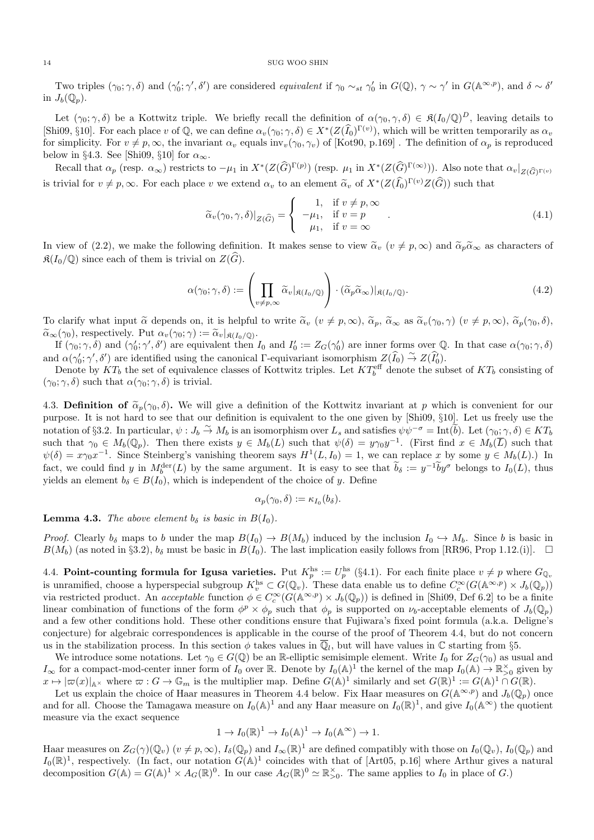Two triples  $(\gamma_0; \gamma, \delta)$  and  $(\gamma'_0; \gamma', \delta')$  are considered equivalent if  $\gamma_0 \sim_{st} \gamma'_0$  in  $G(\mathbb{Q})$ ,  $\gamma \sim \gamma'$  in  $G(\mathbb{A}^{\infty, p})$ , and  $\delta \sim \delta'$ in  $J_h(\mathbb{Q}_n)$ .

Let  $(\gamma_0; \gamma, \delta)$  be a Kottwitz triple. We briefly recall the definition of  $\alpha(\gamma_0, \gamma, \delta) \in \mathfrak{K}(I_0/\mathbb{Q})^D$ , leaving details to [Shi09, §10]. For each place v of  $\mathbb{Q}$ , we can define  $\alpha_v(\gamma_0; \gamma, \delta) \in X^*(Z(\widehat{I}_0)^{\Gamma(v)})$ , which will be written temporarily as  $\alpha_v$ for simplicity. For  $v \neq p, \infty$ , the invariant  $\alpha_v$  equals inv<sub>v</sub>( $\gamma_0, \gamma_v$ ) of [Kot90, p.169]. The definition of  $\alpha_p$  is reproduced below in §4.3. See [Shi09, §10] for  $\alpha_{\infty}$ .

Recall that  $\alpha_p$  (resp.  $\alpha_\infty$ ) restricts to  $-\mu_1$  in  $X^*(Z(\widehat{G})^{\Gamma(p)})$  (resp.  $\mu_1$  in  $X^*(Z(\widehat{G})^{\Gamma(\infty)})$ ). Also note that  $\alpha_v|_{Z(\widehat{G})^{\Gamma(v)}}$ is trivial for  $v \neq p, \infty$ . For each place v we extend  $\alpha_v$  to an element  $\tilde{\alpha}_v$  of  $X^*(Z(\hat{I}_0)^{\Gamma(v)}Z(\hat{G}))$  such that

$$
\widetilde{\alpha}_v(\gamma_0, \gamma, \delta)|_{Z(\widehat{G})} = \begin{cases}\n1, & \text{if } v \neq p, \infty \\
-\mu_1, & \text{if } v = p \\
\mu_1, & \text{if } v = \infty\n\end{cases}.
$$
\n(4.1)

In view of (2.2), we make the following definition. It makes sense to view  $\tilde{\alpha}_v$  ( $v \neq p, \infty$ ) and  $\tilde{\alpha}_p \tilde{\alpha}_\infty$  as characters of  $\mathfrak{K}(I_0/\mathbb{Q})$  since each of them is trivial on  $Z(\widehat{G})$ .

$$
\alpha(\gamma_0; \gamma, \delta) := \left( \prod_{v \neq p, \infty} \widetilde{\alpha}_v |_{\mathfrak{K}(I_0/\mathbb{Q})} \right) \cdot (\widetilde{\alpha}_p \widetilde{\alpha}_\infty) |_{\mathfrak{K}(I_0/\mathbb{Q})}.
$$
\n(4.2)

To clarify what input  $\tilde{\alpha}$  depends on, it is helpful to write  $\tilde{\alpha}_v$   $(v \neq p, \infty)$ ,  $\tilde{\alpha}_p$ ,  $\tilde{\alpha}_\infty$  as  $\tilde{\alpha}_v(\gamma_0, \gamma)$   $(v \neq p, \infty)$ ,  $\tilde{\alpha}_p(\gamma_0, \delta)$ ,  $\widetilde{\alpha}_{\infty}(\gamma_0)$ , respectively. Put  $\alpha_v(\gamma_0;\gamma) := \widetilde{\alpha}_v|_{\mathfrak{K}(I_0/\mathbb{Q})}$ .<br>If  $(\alpha, \gamma, \delta)$  and  $(\alpha', \alpha', \delta')$  are equivalent than

If  $(\gamma_0; \gamma, \delta)$  and  $(\gamma'_0; \gamma', \delta')$  are equivalent then  $I_0$  and  $I'_0 := Z_G(\gamma'_0)$  are inner forms over Q. In that case  $\alpha(\gamma_0; \gamma, \delta)$ and  $\alpha(\gamma_0, \gamma', \delta')$  are identified using the canonical  $\Gamma$ -equivariant isomorphism  $Z(\widehat{I}_0) \stackrel{\sim}{\rightarrow} Z(\widehat{I}_0')$ .

Denote by  $KT_b$  the set of equivalence classes of Kottwitz triples. Let  $KT_b^{\text{eff}}$  denote the subset of  $KT_b$  consisting of  $(\gamma_0; \gamma, \delta)$  such that  $\alpha(\gamma_0; \gamma, \delta)$  is trivial.

4.3. Definition of  $\tilde{\alpha}_p(\gamma_0, \delta)$ . We will give a definition of the Kottwitz invariant at p which is convenient for our purpose. It is not hard to see that our definition is equivalent to the one given by [Shi09, §10]. Let us freely use the notation of §3.2. In particular,  $\psi: J_b \to M_b$  is an isomorphism over  $L_s$  and satisfies  $\psi \psi^{-\sigma} = \text{Int}(\tilde{b})$ . Let  $(\gamma_0, \gamma, \delta) \in KT_b$ such that  $\gamma_0 \in M_b(\mathbb{Q}_p)$ . Then there exists  $y \in M_b(L)$  such that  $\psi(\delta) = y\gamma_0y^{-1}$ . (First find  $x \in M_b(\overline{L})$  such that  $\psi(\delta) = x \gamma_0 x^{-1}$ . Since Steinberg's vanishing theorem says  $H^1(L, I_0) = 1$ , we can replace x by some  $y \in M_b(L)$ .) In fact, we could find y in  $M_0^{\text{der}}(L)$  by the same argument. It is easy to see that  $b_\delta := y^{-1}by^\sigma$  belongs to  $I_0(L)$ , thus yields an element  $b_{\delta} \in B(I_0)$ , which is independent of the choice of y. Define

$$
\alpha_p(\gamma_0,\delta):=\kappa_{I_0}(b_\delta).
$$

**Lemma 4.3.** The above element  $b_{\delta}$  is basic in  $B(I_0)$ .

*Proof.* Clearly  $b_{\delta}$  maps to b under the map  $B(I_0) \to B(M_b)$  induced by the inclusion  $I_0 \to M_b$ . Since b is basic in  $B(M_b)$  (as noted in §3.2),  $b_\delta$  must be basic in  $B(I_0)$ . The last implication easily follows from [RR96, Prop 1.12.(i)].  $\Box$ 

4.4. Point-counting formula for Igusa varieties. Put  $K_p^{\text{hs}} := U_p^{\text{hs}}$  (§4.1). For each finite place  $v \neq p$  where  $G_{\mathbb{Q}_v}$ is unramified, choose a hyperspecial subgroup  $K_v^{\text{hs}} \subset G(\mathbb{Q}_v)$ . These data enable us to define  $C_c^{\infty}(G(\mathbb{A}^{\infty,p}) \times J_b(\mathbb{Q}_p))$ via restricted product. An *acceptable* function  $\phi \in C_c^{\infty}(G(\mathbb{A}^{\infty,p}) \times J_b(\mathbb{Q}_p))$  is defined in [Shi09, Def 6.2] to be a finite linear combination of functions of the form  $\phi^p \times \phi_p$  such that  $\phi_p$  is supported on  $\nu_b$ -acceptable elements of  $J_b(\mathbb{Q}_p)$ and a few other conditions hold. These other conditions ensure that Fujiwara's fixed point formula (a.k.a. Deligne's conjecture) for algebraic correspondences is applicable in the course of the proof of Theorem 4.4, but do not concern us in the stabilization process. In this section  $\phi$  takes values in  $\overline{\mathbb{Q}}_l$ , but will have values in  $\mathbb C$  starting from §5.

We introduce some notations. Let  $\gamma_0 \in G(\mathbb{Q})$  be an R-elliptic semisimple element. Write  $I_0$  for  $Z_G(\gamma_0)$  as usual and  $I_{\infty}$  for a compact-mod-center inner form of  $I_0$  over R. Denote by  $I_0(\mathbb{A})^1$  the kernel of the map  $I_0(\mathbb{A}) \to \mathbb{R}_{>0}^{\times}$  given by  $x \mapsto |\varpi(x)|_{\mathbb{A}^\times}$  where  $\varpi : G \to \mathbb{G}_m$  is the multiplier map. Define  $G(\mathbb{A})^1$  similarly and set  $G(\mathbb{R})^1 := G(\mathbb{A})^1 \cap G(\mathbb{R})$ .

Let us explain the choice of Haar measures in Theorem 4.4 below. Fix Haar measures on  $G(A^{\infty,p})$  and  $J_b(\mathbb{Q}_p)$  once and for all. Choose the Tamagawa measure on  $I_0(\mathbb{A})^1$  and any Haar measure on  $I_0(\mathbb{R})^1$ , and give  $I_0(\mathbb{A}^{\infty})$  the quotient measure via the exact sequence

$$
1 \to I_0(\mathbb{R})^1 \to I_0(\mathbb{A})^1 \to I_0(\mathbb{A}^{\infty}) \to 1.
$$

Haar measures on  $Z_G(\gamma)(\mathbb{Q}_v)$   $(v \neq p, \infty)$ ,  $I_\delta(\mathbb{Q}_p)$  and  $I_\infty(\mathbb{R})^1$  are defined compatibly with those on  $I_0(\mathbb{Q}_v)$ ,  $I_0(\mathbb{Q}_p)$  and  $I_0(\mathbb{R})^1$ , respectively. (In fact, our notation  $G(\mathbb{A})^1$  coincides with that of [Art05, p.16] where Arthur gives a natural decomposition  $G(\mathbb{A}) = G(\mathbb{A})^1 \times A_G(\mathbb{R})^0$ . In our case  $A_G(\mathbb{R})^0 \simeq \mathbb{R}_{>0}^{\times}$ . The same applies to  $I_0$  in place of G.)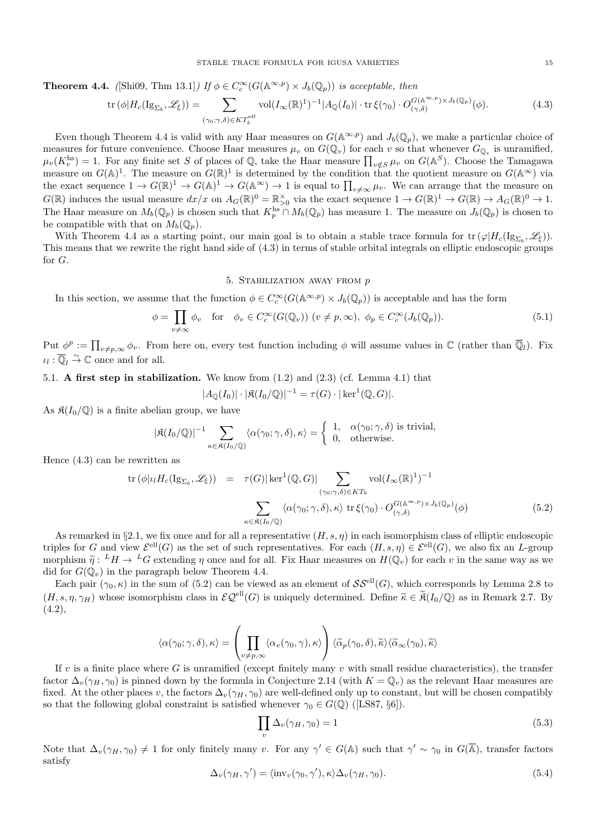**Theorem 4.4.** ([Shi09, Thm 13.1]) If  $\phi \in C_c^{\infty}(G(\mathbb{A}^{\infty,p}) \times J_b(\mathbb{Q}_p))$  is acceptable, then

$$
\operatorname{tr}\left(\phi|H_c(\operatorname{Ig}_{\Sigma_b},\mathscr{L}_{\xi})\right) = \sum_{(\gamma_0;\gamma,\delta)\in KT_b^{\text{eff}}} \operatorname{vol}(I_{\infty}(\mathbb{R})^1)^{-1} |A_{\mathbb{Q}}(I_0)| \cdot \operatorname{tr}\xi(\gamma_0) \cdot O_{(\gamma,\delta)}^{G(\mathbb{A}^{\infty,p})\times J_b(\mathbb{Q}_p)}(\phi). \tag{4.3}
$$

Even though Theorem 4.4 is valid with any Haar measures on  $G(\mathbb{A}^{\infty,p})$  and  $J_b(\mathbb{Q}_p)$ , we make a particular choice of measures for future convenience. Choose Haar measures  $\mu_v$  on  $G(\mathbb{Q}_v)$  for each v so that whenever  $G_{\mathbb{Q}_v}$  is unramified,  $\mu_v(K_v^{\text{hs}}) = 1$ . For any finite set S of places of Q, take the Haar measure  $\prod_{v \notin S} \mu_v$  on  $G(\mathbb{A}^S)$ . Choose the Tamagawa measure on  $G(\mathbb{A})^1$ . The measure on  $G(\mathbb{R})^1$  is determined by the condition that the quotient measure on  $G(\mathbb{A}^{\infty})$  via the exact sequence  $1 \to G(\mathbb{R})^1 \to G(\mathbb{A})^1 \to G(\mathbb{A}^{\infty}) \to 1$  is equal to  $\prod_{v \neq \infty} \mu_v$ . We can arrange that the measure on  $G(\mathbb{R})$  induces the usual measure  $dx/x$  on  $A_G(\mathbb{R})^0 = \mathbb{R}_{\geq 0}^{\times}$  via the exact sequence  $1 \to G(\mathbb{R})^1 \to G(\mathbb{R}) \to A_G(\mathbb{R})^0 \to 1$ . The Haar measure on  $M_b(\mathbb{Q}_p)$  is chosen such that  $K_p^{\text{hs}} \cap M_b(\mathbb{Q}_p)$  has measure 1. The measure on  $J_b(\mathbb{Q}_p)$  is chosen to be compatible with that on  $M_b(\mathbb{Q}_p)$ .

With Theorem 4.4 as a starting point, our main goal is to obtain a stable trace formula for  $\text{tr}(\varphi|H_c(\text{Ig}_{\Sigma_b},\mathscr{L}_{\xi}))$ . This means that we rewrite the right hand side of (4.3) in terms of stable orbital integrals on elliptic endoscopic groups for G.

# 5. STABILIZATION AWAY FROM  $p$

In this section, we assume that the function  $\phi \in C_c^{\infty}(G(\mathbb{A}^{\infty,p}) \times J_b(\mathbb{Q}_p))$  is acceptable and has the form

$$
\phi = \prod_{v \neq \infty} \phi_v \quad \text{for} \quad \phi_v \in C_c^{\infty}(G(\mathbb{Q}_v)) \ (v \neq p, \infty), \ \phi_p \in C_c^{\infty}(J_b(\mathbb{Q}_p)). \tag{5.1}
$$

Put  $\phi^p := \prod_{v \neq p, \infty} \phi_v$ . From here on, every test function including  $\phi$  will assume values in  $\mathbb C$  (rather than  $\overline{\mathbb Q}_l$ ). Fix  $\iota_l : \overline{\mathbb{Q}}_l \overset{\sim}{\to} \mathbb{C}$  once and for all.

# 5.1. A first step in stabilization. We know from (1.2) and (2.3) (cf. Lemma 4.1) that

$$
|A_{\mathbb{Q}}(I_0)| \cdot |\mathfrak{K}(I_0/\mathbb{Q})|^{-1} = \tau(G) \cdot |\ker^1(\mathbb{Q}, G)|.
$$

As  $\mathfrak{K}(I_0/\mathbb{Q})$  is a finite abelian group, we have

$$
|\mathfrak{K}(I_0/\mathbb{Q})|^{-1} \sum_{\kappa \in \mathfrak{K}(I_0/\mathbb{Q})} \langle \alpha(\gamma_0; \gamma, \delta), \kappa \rangle = \begin{cases} 1, & \alpha(\gamma_0; \gamma, \delta) \text{ is trivial,} \\ 0, & \text{otherwise.} \end{cases}
$$

Hence (4.3) can be rewritten as

$$
\text{tr}\left(\phi|\iota_{l}H_{c}(\text{Ig}_{\Sigma_{b}},\mathscr{L}_{\xi})\right) = \tau(G)|\ker^{1}(\mathbb{Q},G)| \sum_{(\gamma_{0};\gamma,\delta)\in KT_{b}} \text{vol}(I_{\infty}(\mathbb{R})^{1})^{-1}
$$

$$
\sum_{\kappa \in \mathfrak{K}(I_{0}/\mathbb{Q})} \langle \alpha(\gamma_{0};\gamma,\delta),\kappa \rangle \operatorname{tr}\xi(\gamma_{0}) \cdot O_{(\gamma,\delta)}^{G(\mathbb{A}^{\infty,p})\times J_{b}(\mathbb{Q}_{p})}(\phi) \tag{5.2}
$$

As remarked in §2.1, we fix once and for all a representative  $(H, s, \eta)$  in each isomorphism class of elliptic endoscopic triples for G and view  $\mathcal{E}^{\text{ell}}(G)$  as the set of such representatives. For each  $(H, s, \eta) \in \mathcal{E}^{\text{ell}}(G)$ , we also fix an L-group morphism  $\tilde{\eta}: {}^L H \to {}^L G$  extending  $\eta$  once and for all. Fix Haar measures on  $H(\mathbb{Q}_v)$  for each v in the same way as we did for  $G(\mathbb{Q}_v)$  in the paragraph below Theorem 4.4 did for  $G(\mathbb{Q}_v)$  in the paragraph below Theorem 4.4.

Each pair  $(\gamma_0, \kappa)$  in the sum of (5.2) can be viewed as an element of  $\mathcal{SS}^{\text{ell}}(G)$ , which corresponds by Lemma 2.8 to  $(H, s, \eta, \gamma_H)$  whose isomorphism class in  $\mathcal{EQ}^{\text{ell}}(G)$  is uniquely determined. Define  $\tilde{\kappa} \in \tilde{\mathfrak{K}}(I_0/\mathbb{Q})$  as in Remark 2.7. By  $(4.2),$ 

$$
\langle \alpha(\gamma_0; \gamma, \delta), \kappa \rangle = \left( \prod_{v \neq p, \infty} \langle \alpha_v(\gamma_0, \gamma), \kappa \rangle \right) \langle \widetilde{\alpha}_p(\gamma_0, \delta), \widetilde{\kappa} \rangle \langle \widetilde{\alpha}_{\infty}(\gamma_0), \widetilde{\kappa} \rangle
$$

If v is a finite place where G is unramified (except finitely many v with small residue characteristics), the transfer factor  $\Delta_v(\gamma_H, \gamma_0)$  is pinned down by the formula in Conjecture 2.14 (with  $K = \mathbb{Q}_v$ ) as the relevant Haar measures are fixed. At the other places v, the factors  $\Delta_v(\gamma_H, \gamma_0)$  are well-defined only up to constant, but will be chosen compatibly so that the following global constraint is satisfied whenever  $\gamma_0 \in G(\mathbb{Q})$  ([LS87, §6]).

$$
\prod_{v} \Delta_v(\gamma_H, \gamma_0) = 1 \tag{5.3}
$$

Note that  $\Delta_v(\gamma_H, \gamma_0) \neq 1$  for only finitely many v. For any  $\gamma' \in G(\mathbb{A})$  such that  $\gamma' \sim \gamma_0$  in  $G(\overline{\mathbb{A}})$ , transfer factors satisfy

$$
\Delta_v(\gamma_H, \gamma') = \langle \text{inv}_v(\gamma_0, \gamma'), \kappa \rangle \Delta_v(\gamma_H, \gamma_0). \tag{5.4}
$$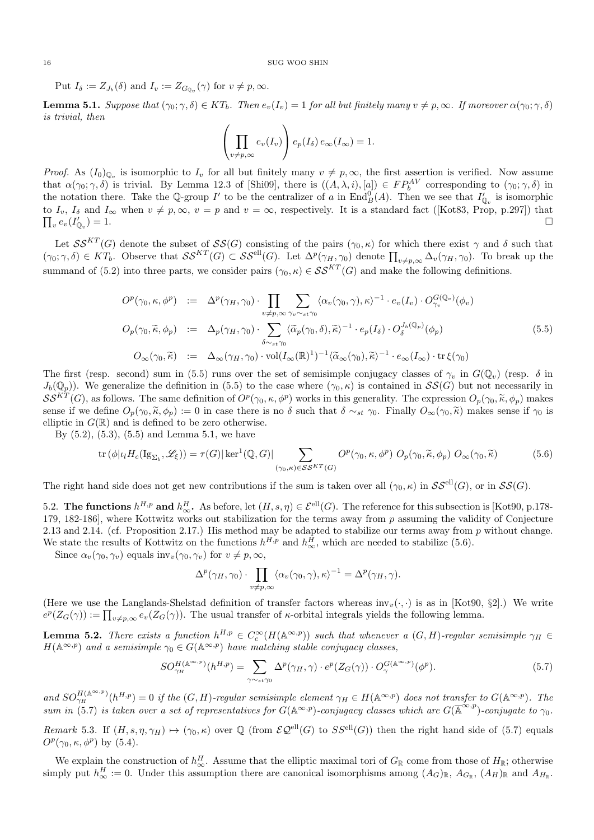Put  $I_{\delta} := Z_{J_b}(\delta)$  and  $I_v := Z_{G_{\mathbb{Q}_v}}(\gamma)$  for  $v \neq p, \infty$ .

**Lemma 5.1.** Suppose that  $(\gamma_0; \gamma, \delta) \in KT_b$ . Then  $e_v(I_v) = 1$  for all but finitely many  $v \neq p, \infty$ . If moreover  $\alpha(\gamma_0; \gamma, \delta)$ is trivial, then

$$
\left(\prod_{v \neq p, \infty} e_v(I_v)\right) e_p(I_\delta) e_\infty(I_\infty) = 1.
$$

*Proof.* As  $(I_0)_{\mathbb{Q}_v}$  is isomorphic to  $I_v$  for all but finitely many  $v \neq p, \infty$ , the first assertion is verified. Now assume that  $\alpha(\gamma_0; \gamma, \delta)$  is trivial. By Lemma 12.3 of [Shi09], there is  $((A, \lambda, i), [a]) \in FP_b^{AV}$  corresponding to  $(\gamma_0; \gamma, \delta)$  in the notation there. Take the Q-group I' to be the centralizer of a in  $\text{End}_{B}^{0}(A)$ . Then we see that  $I'_{\mathbb{Q}_{v}}$  is isomorphic to  $I_v$ ,  $I_\delta$  and  $I_\infty$  when  $v \neq p, \infty$ ,  $v = p$  and  $v = \infty$ , respectively. It is a standard fact ([Kot83, Prop, p.297]) that  $\prod_v e_v(I'_{\mathbb{Q}_v})$  $) = 1.$ 

Let  $\mathcal{SS}^{KT}(G)$  denote the subset of  $\mathcal{SS}(G)$  consisting of the pairs  $(\gamma_0, \kappa)$  for which there exist  $\gamma$  and  $\delta$  such that  $(\gamma_0; \gamma, \delta) \in KT_b$ . Observe that  $SS^{KT}(G) \subset SS^{ell}(G)$ . Let  $\Delta^p(\gamma_H, \gamma_0)$  denote  $\prod_{v \neq p, \infty} \Delta_v(\gamma_H, \gamma_0)$ . To break up the summand of (5.2) into three parts, we consider pairs  $(\gamma_0, \kappa) \in \mathcal{SS}^{KT}(G)$  and make the following definitions.

$$
O^{p}(\gamma_{0}, \kappa, \phi^{p}) := \Delta^{p}(\gamma_{H}, \gamma_{0}) \cdot \prod_{v \neq p, \infty} \sum_{\gamma_{v} \sim_{st} \gamma_{0}} \langle \alpha_{v}(\gamma_{0}, \gamma), \kappa \rangle^{-1} \cdot e_{v}(I_{v}) \cdot O_{\gamma_{v}}^{G(\mathbb{Q}_{v})}(\phi_{v})
$$
  
\n
$$
O_{p}(\gamma_{0}, \widetilde{\kappa}, \phi_{p}) := \Delta_{p}(\gamma_{H}, \gamma_{0}) \cdot \sum_{\delta \sim_{st} \gamma_{0}} \langle \widetilde{\alpha}_{p}(\gamma_{0}, \delta), \widetilde{\kappa} \rangle^{-1} \cdot e_{p}(I_{\delta}) \cdot O_{\delta}^{J_{b}(\mathbb{Q}_{p})}(\phi_{p})
$$
  
\n
$$
O_{\infty}(\gamma_{0}, \widetilde{\kappa}) := \Delta_{\infty}(\gamma_{H}, \gamma_{0}) \cdot \text{vol}(I_{\infty}(\mathbb{R})^{1})^{-1} \langle \widetilde{\alpha}_{\infty}(\gamma_{0}), \widetilde{\kappa} \rangle^{-1} \cdot e_{\infty}(I_{\infty}) \cdot \text{tr} \xi(\gamma_{0})
$$
\n
$$
(5.5)
$$

The first (resp. second) sum in (5.5) runs over the set of semisimple conjugacy classes of  $\gamma_v$  in  $G(\mathbb{Q}_v)$  (resp.  $\delta$  in  $J_b(\mathbb{Q}_p)$ . We generalize the definition in (5.5) to the case where  $(\gamma_0, \kappa)$  is contained in  $\mathcal{SS}(G)$  but not necessarily in  $\mathcal{S}\mathcal{S}^{KT}(G)$ , as follows. The same definition of  $O^p(\gamma_0, \kappa, \phi^p)$  works in this generality. The expression  $O_p(\gamma_0, \tilde{\kappa}, \phi_p)$  makes sense if we define  $O_p(\gamma_0, \tilde{\kappa}, \phi_p) := 0$  in case there is no  $\delta$  such that  $\delta \sim_{st} \gamma_0$ . Finally  $O_{\infty}(\gamma_0, \tilde{\kappa})$  makes sense if  $\gamma_0$  is elliptic in  $G(\mathbb{R})$  and is defined to be zero otherwise.

By  $(5.2)$ ,  $(5.3)$ ,  $(5.5)$  and Lemma 5.1, we have

$$
\operatorname{tr}\left(\phi|\iota_{l}H_{c}(\operatorname{Ig}_{\Sigma_{b}},\mathscr{L}_{\xi})\right)=\tau(G)|\operatorname{ker}^{1}(\mathbb{Q},G)|\sum_{(\gamma_{0},\kappa)\in\mathcal{SS}^{KT}(G)}O^{p}(\gamma_{0},\kappa,\phi^{p})O_{p}(\gamma_{0},\widetilde{\kappa},\phi_{p})O_{\infty}(\gamma_{0},\widetilde{\kappa})
$$
(5.6)

The right hand side does not get new contributions if the sum is taken over all  $(\gamma_0, \kappa)$  in  $\mathcal{SS}^{ell}(G)$ , or in  $\mathcal{SS}(G)$ .

5.2. The functions  $h^{H,p}$  and  $h^H_{\infty}$ . As before, let  $(H, s, \eta) \in \mathcal{E}^{\text{ell}}(G)$ . The reference for this subsection is [Kot90, p.178-179, 182-186], where Kottwitz works out stabilization for the terms away from p assuming the validity of Conjecture 2.13 and 2.14. (cf. Proposition 2.17.) His method may be adapted to stabilize our terms away from  $p$  without change. We state the results of Kottwitz on the functions  $h^{H,p}$  and  $h^H_{\infty}$ , which are needed to stabilize (5.6).

Since  $\alpha_v(\gamma_0, \gamma_v)$  equals inv $v(\gamma_0, \gamma_v)$  for  $v \neq p, \infty$ ,

$$
\Delta^p(\gamma_H, \gamma_0) \cdot \prod_{v \neq p, \infty} \langle \alpha_v(\gamma_0, \gamma), \kappa \rangle^{-1} = \Delta^p(\gamma_H, \gamma).
$$

(Here we use the Langlands-Shelstad definition of transfer factors whereas  $inv_v(\cdot, \cdot)$  is as in [Kot90, §2].) We write  $e^p(Z_G(\gamma)) := \prod_{v \neq p, \infty} e_v(Z_G(\gamma)).$  The usual transfer of  $\kappa$ -orbital integrals yields the following lemma.

**Lemma 5.2.** There exists a function  $h^{H,p} \in C_c^{\infty}(H(\mathbb{A}^{\infty,p}))$  such that whenever a  $(G,H)$ -regular semisimple  $\gamma_H \in$  $H(\mathbb{A}^{\infty,p})$  and a semisimple  $\gamma_0 \in G(\mathbb{A}^{\infty,p})$  have matching stable conjugacy classes,

$$
SO_{\gamma_H}^{H(\mathbb{A}^{\infty,p})}(h^{H,p}) = \sum_{\gamma \sim_{st} \gamma_0} \Delta^p(\gamma_H, \gamma) \cdot e^p(Z_G(\gamma)) \cdot O_{\gamma}^{G(\mathbb{A}^{\infty,p})}(\phi^p). \tag{5.7}
$$

and  $SO_{\gamma_H}^{H(\mathbb{A}^{\infty,p})}(h^{H,p})=0$  if the  $(G,H)$ -regular semisimple element  $\gamma_H \in H(\mathbb{A}^{\infty,p})$  does not transfer to  $G(\mathbb{A}^{\infty,p})$ . The sum in (5.7) is taken over a set of representatives for  $G(\mathbb{A}^{\infty,p})$ -conjugacy classes which are  $G(\overline{\mathbb{A}}^{\infty,p})$ -conjugate to  $\gamma_0$ .

Remark 5.3. If  $(H, s, \eta, \gamma_H) \mapsto (\gamma_0, \kappa)$  over Q (from  $\mathcal{EQ}^{\text{ell}}(G)$  to  $SS^{\text{ell}}(G)$ ) then the right hand side of (5.7) equals  $O^p(\gamma_0, \kappa, \phi^p)$  by (5.4).

We explain the construction of  $h^H_\infty$ . Assume that the elliptic maximal tori of  $G_\mathbb{R}$  come from those of  $H_\mathbb{R}$ ; otherwise simply put  $h_{\infty}^H := 0$ . Under this assumption there are canonical isomorphisms among  $(A_G)_{\mathbb{R}}$ ,  $A_{G_{\mathbb{R}}},$   $(A_H)_{\mathbb{R}}$  and  $A_{H_{\mathbb{R}}}$ .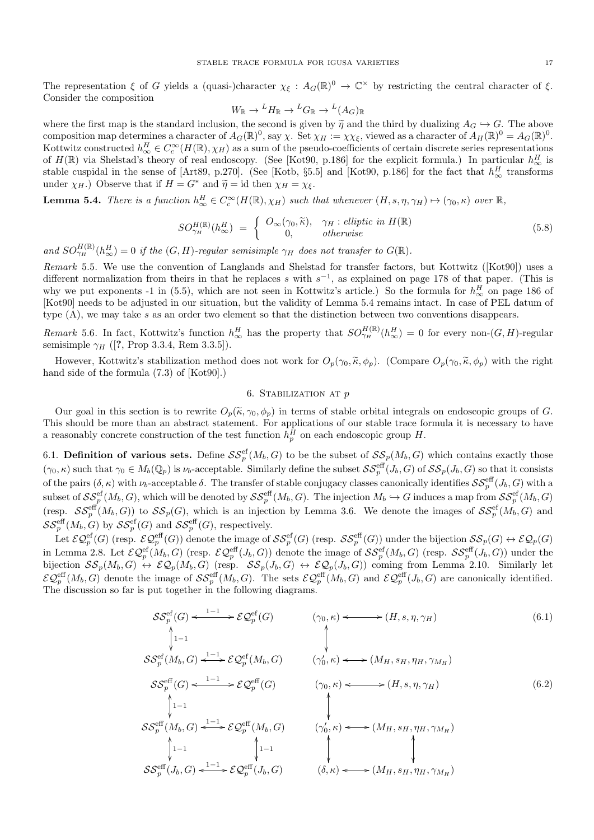The representation  $\xi$  of G yields a (quasi-)character  $\chi_{\xi}: A_G(\mathbb{R})^0 \to \mathbb{C}^\times$  by restricting the central character of  $\xi$ . Consider the composition

$$
W_{\mathbb{R}} \to {}^L H_{\mathbb{R}} \to {}^L G_{\mathbb{R}} \to {}^L (A_G)_{\mathbb{R}}
$$

where the first map is the standard inclusion, the second is given by  $\tilde{\eta}$  and the third by dualizing  $A_G \hookrightarrow G$ . The above composition map determines a character of  $A_G(\mathbb{R})^0$ , say  $\chi$ . Set  $\chi_H := \chi \chi_{\xi}$ , viewed as Kottwitz constructed  $h^H_\infty \in C_c^\infty(H(\mathbb{R}), \chi_H)$  as a sum of the pseudo-coefficients of certain discrete series representations of  $H(\mathbb{R})$  via Shelstad's theory of real endoscopy. (See [Kot90, p.186] for the explicit formula.) In particular  $h^H_{\infty}$  is stable cuspidal in the sense of [Art89, p.270]. (See [Kotb, §5.5] and [Kot90, p.186] for the fact that  $h_{\infty}^H$  transforms under  $\chi_H$ .) Observe that if  $H = G^*$  and  $\tilde{\eta} = id$  then  $\chi_H = \chi_{\xi}$ .

**Lemma 5.4.** There is a function  $h^H_{\infty} \in C_c^{\infty}(H(\mathbb{R}), \chi_H)$  such that whenever  $(H, s, \eta, \gamma_H) \mapsto (\gamma_0, \kappa)$  over  $\mathbb{R},$ 

$$
SO_{\gamma_H}^{H(\mathbb{R})}(h_{\infty}^H) = \begin{cases} O_{\infty}(\gamma_0, \widetilde{\kappa}), & \gamma_H : elliptic \ in \ H(\mathbb{R}) \\ 0, & otherwise \end{cases}
$$
 (5.8)

and  $SO_{\gamma_H}^{H(\mathbb{R})}(h_{\infty}^H)=0$  if the  $(G,H)$ -regular semisimple  $\gamma_H$  does not transfer to  $G(\mathbb{R})$ .

Remark 5.5. We use the convention of Langlands and Shelstad for transfer factors, but Kottwitz ([Kot90]) uses a different normalization from theirs in that he replaces s with  $s^{-1}$ , as explained on page 178 of that paper. (This is why we put exponents -1 in (5.5), which are not seen in Kottwitz's article.) So the formula for  $h^H_{\infty}$  on page 186 of [Kot90] needs to be adjusted in our situation, but the validity of Lemma 5.4 remains intact. In case of PEL datum of type  $(A)$ , we may take s as an order two element so that the distinction between two conventions disappears.

Remark 5.6. In fact, Kottwitz's function  $h_{\infty}^H$  has the property that  $SO_{\gamma_H}^{H(\mathbb{R})}(h_{\infty}^H) = 0$  for every non- $(G, H)$ -regular semisimple  $\gamma_H$  ([?, Prop 3.3.4, Rem 3.3.5]).

However, Kottwitz's stabilization method does not work for  $O_p(\gamma_0, \tilde{\kappa}, \phi_p)$ . (Compare  $O_p(\gamma_0, \tilde{\kappa}, \phi_p)$  with the right hand side of the formula  $(7.3)$  of [Kot90].)

# 6. Stabilization at p

Our goal in this section is to rewrite  $O_p(\tilde{\kappa}, \gamma_0, \phi_p)$  in terms of stable orbital integrals on endoscopic groups of G. This should be more than an abstract statement. For applications of our stable trace formula it is necessary to have a reasonably concrete construction of the test function  $h_p^H$  on each endoscopic group H.

6.1. Definition of various sets. Define  $\mathcal{SS}_{p}^{\text{ef}}(M_b, G)$  to be the subset of  $\mathcal{SS}_{p}(M_b, G)$  which contains exactly those  $(\gamma_0, \kappa)$  such that  $\gamma_0 \in M_b(\mathbb{Q}_p)$  is  $\nu_b$ -acceptable. Similarly define the subset  $\mathcal{SS}_p^{\text{eff}}(J_b, G)$  of  $\mathcal{SS}_p(J_b, G)$  so that it consists of the pairs  $(\delta, \kappa)$  with  $\nu_b$ -acceptable  $\delta$ . The transfer of stable conjugacy classes canonically identifies  $\mathcal{SS}_p^{\text{eff}}(J_b, G)$  with a subset of  $\mathcal{SS}_p^{\text{ef}}(M_b, G)$ , which will be denoted by  $\mathcal{SS}_p^{\text{eff}}(M_b, G)$ . The injection  $M_b \hookrightarrow G$  induces a map from  $\mathcal{SS}_p^{\text{ef}}(M_b, G)$ (resp.  $\mathcal{SS}_p^{\text{eff}}(M_b, G)$ ) to  $\mathcal{SS}_p(G)$ , which is an injection by Lemma 3.6. We denote the images of  $\mathcal{SS}_p^{\text{eff}}(M_b, G)$  and  $\mathcal{SS}_p^{\text{eff}}(M_b, G)$  by  $\mathcal{SS}_p^{\text{ef}}(G)$  and  $\mathcal{SS}_p^{\text{eff}}(G)$ , respectively.

Let  $\mathcal{EQ}^{\text{eff}}_{p}(G)$  (resp.  $\mathcal{EQ}^{\text{eff}}_{p}(G)$ ) denote the image of  $\mathcal{SS}^{\text{ef}}_{p}(G)$  (resp.  $\mathcal{SS}^{\text{eff}}_{p}(G)$ ) under the bijection  $\mathcal{SS}_{p}(G) \leftrightarrow \mathcal{EQ}_{p}(G)$ in Lemma 2.8. Let  $\mathcal{EQ}_p^{\text{ef}}(M_b, G)$  (resp.  $\mathcal{EQ}_p^{\text{eff}}(J_b, G)$ ) denote the image of  $\mathcal{SS}_p^{\text{ef}}(M_b, G)$  (resp.  $\mathcal{SS}_p^{\text{eff}}(J_b, G)$ ) under the bijection  $SS_p(M_b, G) \leftrightarrow \mathcal{EQ}_p(M_b, G)$  (resp.  $SS_p(J_b, G) \leftrightarrow \mathcal{EQ}_p(J_b, G)$ ) coming from Lemma 2.10. Similarly let  $\mathcal{EQ}_{p}^{\text{eff}}(M_b, G)$  denote the image of  $\mathcal{SS}_{p}^{\text{eff}}(M_b, G)$ . The sets  $\mathcal{EQ}_{p}^{\text{eff}}(M_b, G)$  and  $\mathcal{EQ}_{p}^{\text{eff}}(J_b, G)$  are canonically identified. The discussion so far is put together in the following diagrams.

SSef p (G) OO 1−1 o <sup>1</sup>−<sup>1</sup> /EQef p (G) (γ0, κ) OO o /(H, s, η, γH) SSef p (Mb, G) o <sup>1</sup>−<sup>1</sup> /EQef p (Mb, G) (γ 0 0 , κ) o /(MH, sH, ηH, γ<sup>M</sup><sup>H</sup> ) (6.1) SSeff p (G) OO 1−1 o <sup>1</sup>−<sup>1</sup> /EQeff p (G) (γ0, κ) OO o /(H, s, η, γH) SSeff p (Mb, G) o <sup>1</sup>−<sup>1</sup> / OO 1−1 EQeff p (Mb, G) OO 1−1 (γ 0 0 , κ) OO o /(MH, sH, ηH, γ<sup>M</sup><sup>H</sup> ) OO SSeff p (Jb, G) o <sup>1</sup>−<sup>1</sup> /EQeff p (Jb, G) (δ, κ) o /(MH, sH, ηH, γ<sup>M</sup><sup>H</sup> ) (6.2)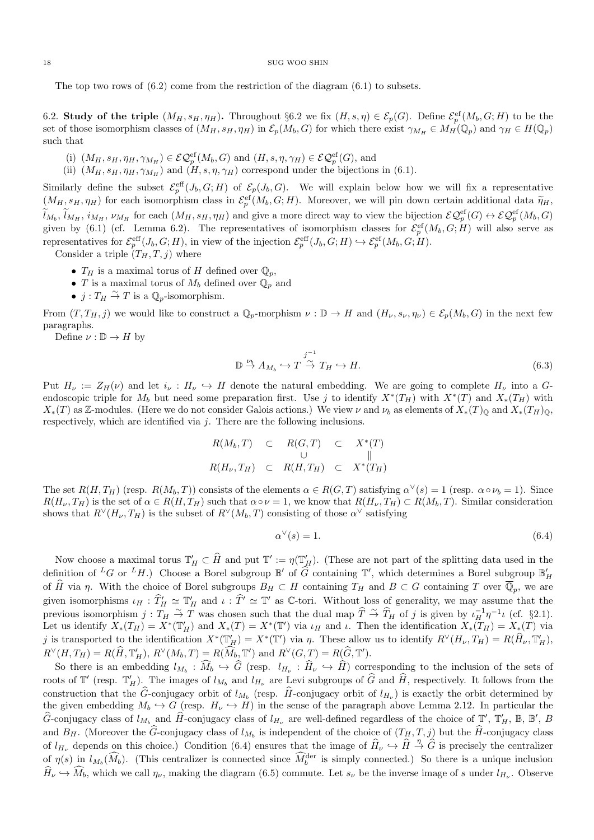The top two rows of  $(6.2)$  come from the restriction of the diagram  $(6.1)$  to subsets.

6.2. Study of the triple  $(M_H, s_H, \eta_H)$ . Throughout §6.2 we fix  $(H, s, \eta) \in \mathcal{E}_p(G)$ . Define  $\mathcal{E}_p^{\text{ef}}(M_b, G; H)$  to be the set of those isomorphism classes of  $(M_H, s_H, \eta_H)$  in  $\mathcal{E}_p(M_b, G)$  for which there exist  $\gamma_{M_H} \in M_H(\mathbb{Q}_p)$  and  $\gamma_H \in H(\mathbb{Q}_p)$ such that

(i)  $(M_H, s_H, \eta_H, \gamma_{M_H}) \in \mathcal{EQ}_p^{\text{ef}}(M_b, G)$  and  $(H, s, \eta, \gamma_H) \in \mathcal{EQ}_p^{\text{ef}}(G)$ , and

(ii)  $(M_H, s_H, \eta_H, \gamma_{M_H})$  and  $(H, s, \eta, \gamma_H)$  correspond under the bijections in (6.1).

Similarly define the subset  $\mathcal{E}_p^{\text{eff}}(J_b, G; H)$  of  $\mathcal{E}_p(J_b, G)$ . We will explain below how we will fix a representative  $(M_H, s_H, \eta_H)$  for each isomorphism class in  $\mathcal{E}_p^{\text{ef}}(M_b, G; H)$ . Moreover, we will pin down certain additional data  $\widetilde{\eta}_H$ ,  $\widetilde{l}_{M_b}, \widetilde{l}_{M_H}, i_{M_H}, \nu_{M_H}$  for each  $(M_H, s_H, \eta_H)$  and give a more direct way to view the bijection  $\mathcal{EQ}_p^{\text{ef}}(G) \leftrightarrow \mathcal{EQ}_p^{\text{ef}}(M_b, G)$ given by (6.1) (cf. Lemma 6.2). The representatives of isomorphism classes for  $\mathcal{E}_p^{\text{ef}}(M_b, G; H)$  will also serve as representatives for  $\mathcal{E}_p^{\text{eff}}(J_b, G; H)$ , in view of the injection  $\mathcal{E}_p^{\text{eff}}(J_b, G; H) \hookrightarrow \mathcal{E}_p^{\text{ef}}(M_b, G; H)$ .

Consider a triple  $(T_H, T, j)$  where

- $T_H$  is a maximal torus of H defined over  $\mathbb{Q}_p$ ,
- T is a maximal torus of  $M_b$  defined over  $\mathbb{Q}_p$  and
- $j: T_H \overset{\sim}{\rightarrow} T$  is a  $\mathbb{Q}_p$ -isomorphism.

From  $(T, T_H, j)$  we would like to construct a  $\mathbb{Q}_p$ -morphism  $\nu : \mathbb{D} \to H$  and  $(H_\nu, s_\nu, \eta_\nu) \in \mathcal{E}_p(M_b, G)$  in the next few paragraphs.

Define  $\nu : \mathbb{D} \to H$  by

$$
\mathbb{D} \stackrel{\nu_b}{\to} A_{M_b} \hookrightarrow T \stackrel{j^{-1}}{\to} T_H \hookrightarrow H. \tag{6.3}
$$

Put  $H_{\nu} := Z_H(\nu)$  and let  $i_{\nu} : H_{\nu} \hookrightarrow H$  denote the natural embedding. We are going to complete  $H_{\nu}$  into a Gendoscopic triple for  $M_b$  but need some preparation first. Use j to identify  $X^*(T_H)$  with  $X^*(T)$  and  $X_*(T_H)$  with  $X_*(T)$  as Z-modules. (Here we do not consider Galois actions.) We view  $\nu$  and  $\nu_b$  as elements of  $X_*(T)_{\mathbb{Q}}$  and  $X_*(T_H)_{\mathbb{Q}}$ , respectively, which are identified via j. There are the following inclusions.

$$
R(M_b, T) \quad \subset \quad R(G, T) \quad \subset \quad X^*(T)
$$
  

$$
\cup \qquad \qquad \cup \qquad \qquad \|
$$
  

$$
R(H_{\nu}, T_H) \quad \subset \quad R(H, T_H) \quad \subset \quad X^*(T_H)
$$

The set  $R(H, T_H)$  (resp.  $R(M_b, T)$ ) consists of the elements  $\alpha \in R(G, T)$  satisfying  $\alpha^{\vee}(s) = 1$  (resp.  $\alpha \circ \nu_b = 1$ ). Since  $R(H_{\nu}, T_H)$  is the set of  $\alpha \in R(H, T_H)$  such that  $\alpha \circ \nu = 1$ , we know that  $R(H_{\nu}, T_H) \subset R(M_b, T)$ . Similar consideration shows that  $R^{\vee}(H_{\nu}, T_H)$  is the subset of  $R^{\vee}(M_b, T)$  consisting of those  $\alpha^{\vee}$  satisfying

$$
\alpha^{\vee}(s) = 1. \tag{6.4}
$$

Now choose a maximal torus  $\mathbb{T}'_H \subset \widehat{H}$  and put  $\mathbb{T}' := \eta(\mathbb{T}'_H)$ . (These are not part of the splitting data used in the definition of <sup>L</sup>G or <sup>L</sup>H.) Choose a Borel subgroup  $\mathbb{B}'$  of  $\widehat{G}$  containing  $\mathbb{T}'$ , which determines a Borel subgroup  $\mathbb{B}'_H$ of  $\widehat{H}$  via  $\eta$ . With the choice of Borel subgroups  $B_H \subset H$  containing  $T_H$  and  $B \subset G$  containing  $T$  over  $\overline{\mathbb{Q}}_p$ , we are given isomorphisms  $\iota_H : \hat{T}_H \simeq T_H$  and  $\iota : \hat{T}' \simeq T'$  as C-tori. Without loss of generality, we may assume that the previous isomorphism  $j: T_H \stackrel{\sim}{\to} T$  was chosen such that the dual map  $\widehat{T} \stackrel{\sim}{\to} \widehat{T}_H$  of j is given by  $\iota_H^{-1} \eta^{-1} \iota$  (cf. §2.1). Let us identify  $X_*(T_H) = X^*(T_H')$  and  $X_*(T) = X^*(T')$  via  $\iota_H$  and  $\iota$ . Then the identification  $X_*(T_H) = X_*(T)$  via j is transported to the identification  $X^*(\mathbb{T}'_H) = X^*(\mathbb{T}')$  via  $\eta$ . These allow us to identify  $R^\vee(H_\nu, T_H) = R(\widehat{H}_\nu, \mathbb{T}'_H)$ ,  $R^{\vee}(H, T_H) = R(\widehat{H}, \mathbb{T}_H'), R^{\vee}(M_b, T) = R(\widehat{M}_b, \mathbb{T}') \text{ and } R^{\vee}(G, T) = R(\widehat{G}, \mathbb{T}').$ 

So there is an embedding  $l_{M_b}: M_b \hookrightarrow G$  (resp.  $l_{H_{\nu}}: H_{\nu} \hookrightarrow H$ ) corresponding to the inclusion of the sets of roots of  $\mathbb{T}'$  (resp.  $\mathbb{T}'_H$ ). The images of  $l_{M_b}$  and  $l_{H_{\nu}}$  are Levi subgroups of  $\widehat{G}$  and  $\widehat{H}$ , respectively. It follows from the construction that the G-conjugacy orbit of  $l_{M_b}$  (resp. H-conjugacy orbit of  $l_{H_{\nu}}$ ) is exactly the orbit determined by the given embedding  $M_b \hookrightarrow G$  (resp.  $H_\nu \hookrightarrow H$ ) in the sense of the paragraph above Lemma 2.12. In particular the  $\hat{G}$ -conjugacy class of  $l_{M_b}$  and  $\hat{H}$ -conjugacy class of  $l_{H_{\nu}}$  are well-defined regardless of the choice of  $\mathbb{T}'$ ,  $\mathbb{T}'_H$ ,  $\mathbb{B}$ ,  $\mathbb{B}'$ ,  $B$ and  $B_H$ . (Moreover the G-conjugacy class of  $l_{M_b}$  is independent of the choice of  $(T_H, T, j)$  but the H-conjugacy class of  $l_{H_{\nu}}$  depends on this choice.) Condition (6.4) ensures that the image of  $\widehat{H}_{\nu} \hookrightarrow \widehat{H} \stackrel{\eta}{\rightarrow} \widehat{G}$  is precisely the centralizer of  $\eta(s)$  in  $l_{M_b}(\widehat{M}_b)$ . (This centralizer is connected since  $\widehat{M}_b^{\text{der}}$  is simply connected.) So there is a unique inclusion  $H_{\nu} \hookrightarrow M_b$ , which we call  $\eta_{\nu}$ , making the diagram (6.5) commute. Let  $s_{\nu}$  be the inverse image of s under  $l_{H_{\nu}}$ . Observe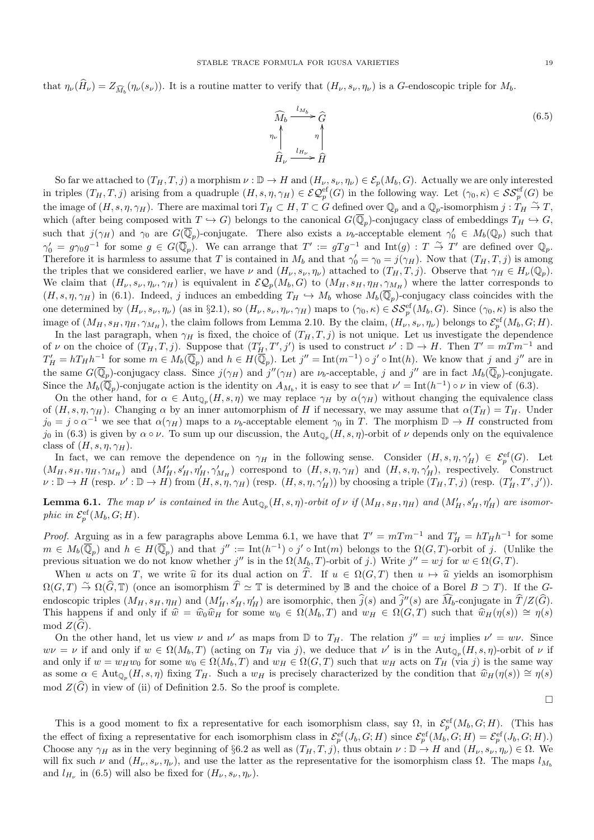that  $\eta_{\nu}(H_{\nu}) = Z_{\widehat{M}_b}(\eta_{\nu}(s_{\nu}))$ . It is a routine matter to verify that  $(H_{\nu}, s_{\nu}, \eta_{\nu})$  is a *G*-endoscopic triple for  $M_b$ .



So far we attached to  $(T_H, T, j)$  a morphism  $\nu : \mathbb{D} \to H$  and  $(H_\nu, s_\nu, \eta_\nu) \in \mathcal{E}_p(M_b, G)$ . Actually we are only interested in triples  $(T_H, T, j)$  arising from a quadruple  $(H, s, \eta, \gamma_H) \in \mathcal{EQ}_{p}^{\text{ef}}(G)$  in the following way. Let  $(\gamma_0, \kappa) \in \mathcal{SS}_{p}^{\text{ef}}(G)$  be the image of  $(H, s, \eta, \gamma_H)$ . There are maximal tori  $T_H \subset H$ ,  $T \subset G$  defined over  $\mathbb{Q}_p$  and a  $\mathbb{Q}_p$ -isomorphism  $j: T_H \overset{\sim}{\to} T$ , which (after being composed with  $T \hookrightarrow G$ ) belongs to the canonical  $G(\overline{\mathbb{Q}}_p)$ -conjugacy class of embeddings  $T_H \hookrightarrow G$ , such that  $j(\gamma_H)$  and  $\gamma_0$  are  $G(\overline{\mathbb{Q}}_p)$ -conjugate. There also exists a  $\nu_b$ -acceptable element  $\gamma'_0 \in M_b(\mathbb{Q}_p)$  such that  $\gamma'_0 = g\gamma_0g^{-1}$  for some  $g \in G(\overline{\mathbb{Q}}_p)$ . We can arrange that  $T' := gTg^{-1}$  and  $\text{Int}(g) : T \stackrel{\sim}{\to} T'$  are defined over  $\mathbb{Q}_p$ . Therefore it is harmless to assume that T is contained in  $M_b$  and that  $\gamma'_0 = \gamma_0 = j(\gamma_H)$ . Now that  $(T_H, T, j)$  is among the triples that we considered earlier, we have  $\nu$  and  $(H_{\nu}, s_{\nu}, \eta_{\nu})$  attached to  $(T_H, T, j)$ . Observe that  $\gamma_H \in H_{\nu}(\mathbb{Q}_p)$ . We claim that  $(H_\nu, s_\nu, \eta_\nu, \gamma_H)$  is equivalent in  $\mathcal{EQ}_p(M_b, G)$  to  $(M_H, s_H, \eta_H, \gamma_{M_H})$  where the latter corresponds to  $(H, s, \eta, \gamma_H)$  in (6.1). Indeed, j induces an embedding  $T_H \hookrightarrow M_b$  whose  $M_b(\overline{\mathbb{Q}}_p)$ -conjugacy class coincides with the one determined by  $(H_{\nu}, s_{\nu}, \eta_{\nu})$  (as in §2.1), so  $(H_{\nu}, s_{\nu}, \eta_{\nu}, \gamma_H)$  maps to  $(\gamma_0, \kappa) \in \mathcal{SS}_p^{\text{ef}}(M_b, G)$ . Since  $(\gamma_0, \kappa)$  is also the image of  $(M_H, s_H, \eta_H, \gamma_{M_H})$ , the claim follows from Lemma 2.10. By the claim,  $(H_{\nu}, s_{\nu}, \eta_{\nu})$  belongs to  $\mathcal{E}_p^{\text{ef}}(M_b, G; H)$ .

In the last paragraph, when  $\gamma_H$  is fixed, the choice of  $(T_H, T, j)$  is not unique. Let us investigate the dependence of  $\nu$  on the choice of  $(T_H, T, j)$ . Suppose that  $(T'_H, T', j')$  is used to construct  $\nu' : \mathbb{D} \to H$ . Then  $T' = mTm^{-1}$  and  $T'_H = hT_Hh^{-1}$  for some  $m \in M_b(\overline{\mathbb{Q}}_p)$  and  $h \in H(\overline{\mathbb{Q}}_p)$ . Let  $j'' = \text{Int}(m^{-1}) \circ j' \circ \text{Int}(h)$ . We know that j and j'' are in the same  $G(\overline{\mathbb{Q}}_p)$ -conjugacy class. Since  $j(\gamma_H)$  and  $j''(\gamma_H)$  are  $\nu_b$ -acceptable, j and j'' are in fact  $M_b(\overline{\mathbb{Q}}_p)$ -conjugate. Since the  $M_b(\overline{\mathbb{Q}}_p)$ -conjugate action is the identity on  $A_{M_b}$ , it is easy to see that  $\nu' = \text{Int}(h^{-1}) \circ \nu$  in view of (6.3).

On the other hand, for  $\alpha \in \text{Aut}_{\mathbb{Q}_p}(H, s, \eta)$  we may replace  $\gamma_H$  by  $\alpha(\gamma_H)$  without changing the equivalence class of  $(H, s, \eta, \gamma_H)$ . Changing  $\alpha$  by an inner automorphism of H if necessary, we may assume that  $\alpha(T_H) = T_H$ . Under  $j_0 = j \circ \alpha^{-1}$  we see that  $\alpha(\gamma_H)$  maps to a  $\nu_b$ -acceptable element  $\gamma_0$  in T. The morphism  $\mathbb{D} \to H$  constructed from  $j_0$  in (6.3) is given by  $\alpha \circ \nu$ . To sum up our discussion, the Aut<sub>Q<sub>p</sub></sub> $(H, s, \eta)$ -orbit of  $\nu$  depends only on the equivalence class of  $(H, s, \eta, \gamma_H)$ .

In fact, we can remove the dependence on  $\gamma_H$  in the following sense. Consider  $(H, s, \eta, \gamma'_H) \in \mathcal{E}_p^{\text{ef}}(G)$ . Let  $(M_H, s_H, \eta_H, \gamma_{M_H})$  and  $(M'_H, s'_H, \eta'_H, \gamma'_{M_H})$  correspond to  $(H, s, \eta, \gamma_H)$  and  $(H, s, \eta, \gamma'_H)$ , respectively. Construct  $\nu : \mathbb{D} \to H$  (resp.  $\nu' : \mathbb{D} \to H$ ) from  $(H, s, \eta, \gamma_H)$  (resp.  $(H, s, \eta, \gamma'_H)$ ) by choosing a triple  $(T_H, T, j)$  (resp.  $(T'_H, T', j')$ ).

**Lemma 6.1.** The map  $\nu'$  is contained in the  $\text{Aut}_{\mathbb{Q}_p}(H, s, \eta)$ -orbit of  $\nu$  if  $(M_H, s_H, \eta_H)$  and  $(M'_H, s'_H, \eta'_H)$  are isomorphic in  $\mathcal{E}_p^{\text{ef}}(M_b, G; H)$ .

*Proof.* Arguing as in a few paragraphs above Lemma 6.1, we have that  $T' = mTm^{-1}$  and  $T'_H = hT_Hh^{-1}$  for some  $m \in M_b(\overline{\mathbb{Q}}_p)$  and  $h \in H(\overline{\mathbb{Q}}_p)$  and that  $j'' := \text{Int}(h^{-1}) \circ j' \circ \text{Int}(m)$  belongs to the  $\Omega(G,T)$ -orbit of j. (Unlike the previous situation we do not know whether j'' is in the  $\Omega(M_b, T)$ -orbit of j.) Write  $j'' = wj$  for  $w \in \Omega(G, T)$ .

When u acts on T, we write  $\hat{u}$  for its dual action on  $\hat{T}$ . If  $u \in \Omega(G, T)$  then  $u \mapsto \hat{u}$  yields an isomorphism  $\Omega(G, T) \stackrel{\sim}{\to} \Omega(\widehat{G}, \mathbb{T})$  (once an isomorphism  $\widehat{T} \simeq \mathbb{T}$  is determined by B and the choice of a Borel  $B \supset T$ ). If the  $G$ endoscopic triples  $(M_H, s_H, \eta_H)$  and  $(M'_H, s'_H, \eta'_H)$  are isomorphic, then  $\hat{j}(s)$  and  $\hat{j}''(s)$  are  $\hat{M}_b$ -conjugate in  $\hat{T}/Z(\hat{G})$ . This happens if and only if  $\hat{w} = \hat{w}_0 \hat{w}_H$  for some  $w_0 \in \Omega(M_b, T)$  and  $w_H \in \Omega(G, T)$  such that  $\hat{w}_H(\eta(s)) \cong \eta(s)$ mod  $Z(G)$ .

On the other hand, let us view  $\nu$  and  $\nu'$  as maps from  $\mathbb D$  to  $T_H$ . The relation  $j'' = wj$  implies  $\nu' = w\nu$ . Since  $w\nu = \nu$  if and only if  $w \in \Omega(M_b, T)$  (acting on  $T_H$  via j), we deduce that  $\nu'$  is in the  ${\rm Aut}_{\mathbb{Q}_p}(H, s, \eta)$ -orbit of  $\nu$  if and only if  $w = w_H w_0$  for some  $w_0 \in \Omega(M_b, T)$  and  $w_H \in \Omega(G, T)$  such that  $w_H$  acts on  $T_H$  (via j) is the same way as some  $\alpha \in \text{Aut}_{\mathbb{Q}_p}(H, s, \eta)$  fixing  $T_H$ . Such a  $w_H$  is precisely characterized by the condition that  $\hat{w}_H(\eta(s)) \cong \eta(s)$ mod  $Z(\tilde{G})$  in view of (ii) of Definition 2.5. So the proof is complete.

 $\Box$ 

This is a good moment to fix a representative for each isomorphism class, say  $\Omega$ , in  $\mathcal{E}_p^{\text{ef}}(M_b, G; H)$ . (This has the effect of fixing a representative for each isomorphism class in  $\mathcal{E}_p^{\text{ef}}(J_b, G; H)$  since  $\mathcal{E}_p^{\text{ef}}(M_b, G; H) = \mathcal{E}_p^{\text{ef}}(J_b, G; H)$ . Choose any  $\gamma_H$  as in the very beginning of §6.2 as well as  $(T_H, T, j)$ , thus obtain  $\nu : \mathbb{D} \to H$  and  $(H_\nu, s_\nu, \eta_\nu) \in \Omega$ . We will fix such  $\nu$  and  $(H_{\nu}, s_{\nu}, \eta_{\nu})$ , and use the latter as the representative for the isomorphism class  $\Omega$ . The maps  $l_{M_b}$ and  $l_{H_{\nu}}$  in (6.5) will also be fixed for  $(H_{\nu}, s_{\nu}, \eta_{\nu})$ .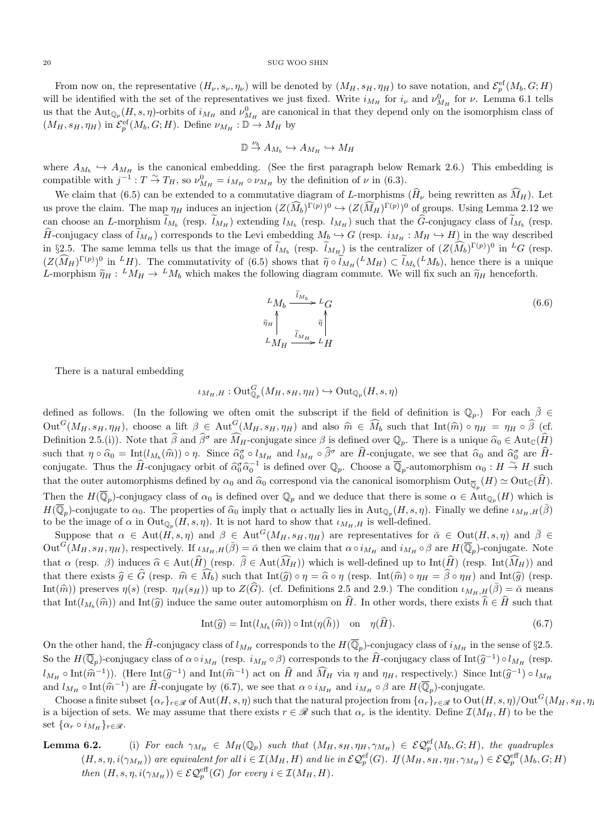From now on, the representative  $(H_{\nu}, s_{\nu}, \eta_{\nu})$  will be denoted by  $(M_H, s_H, \eta_H)$  to save notation, and  $\mathcal{E}_p^{\text{ef}}(M_b, G; H)$ will be identified with the set of the representatives we just fixed. Write  $i_{M_H}$  for  $i_{\nu}$  and  $\nu_{M_H}^0$  for  $\nu$ . Lemma 6.1 tells us that the  ${\rm Aut}_{\mathbb{Q}_p}(H, s, \eta)$ -orbits of  $i_{M_H}$  and  $\nu^0_{M_H}$  are canonical in that they depend only on the isomorphism class of  $(M_H, s_H, \eta_H)$  in  $\mathcal{E}_p^{\text{ef}}(M_b, G; H)$ . Define  $\nu_{M_H}: \mathbb{D} \to M_H$  by

$$
\mathbb{D} \stackrel{\nu_b}{\to} A_{M_b} \hookrightarrow A_{M_H} \hookrightarrow M_H
$$

where  $A_{M_b} \hookrightarrow A_{M_H}$  is the canonical embedding. (See the first paragraph below Remark 2.6.) This embedding is compatible with  $j^{-1}$ :  $T \stackrel{\sim}{\to} T_H$ , so  $\nu_{M_H}^0 = i_{M_H} \circ \nu_{M_H}$  by the definition of  $\nu$  in (6.3).

We claim that (6.5) can be extended to a commutative diagram of L-morphisms ( $\hat{H}_{\nu}$  being rewritten as  $\hat{M}_{H}$ ). Let us prove the claim. The map  $\eta_H$  induces an injection  $(Z(\widehat{M}_b)^{\Gamma(p)})^0 \hookrightarrow (Z(\widehat{M}_H)^{\Gamma(p)})^0$  of groups. Using Lemma 2.12 we can choose an L-morphism  $l_{M_b}$  (resp.  $l_{M_H}$ ) extending  $l_{M_b}$  (resp.  $l_{M_H}$ ) such that the G-conjugacy class of  $l_{M_b}$  (resp.  $\widehat{H}$ -conjugacy class of  $\widetilde{l}_{M_H}$ ) corresponds to the Levi embedding  $M_b \hookrightarrow G$  (resp.  $i_{M_H}: M_H \hookrightarrow H$ ) in the way described in §2.5. The same lemma tells us that the image of  $l_{M_b}$  (resp.  $l_{M_H}$ ) is the centralizer of  $(Z(\widehat{M}_b)^{\Gamma(p)})^0$  in <sup>L</sup>G (resp.  $(Z(\widehat{M}_H)^{\Gamma(p)})^0$  in  ${}^L H$ ). The commutativity of (6.5) shows that  $\widetilde{\eta} \circ \widetilde{l}_{M_H}({}^L M_H) \subset \widetilde{l}_{M_b}({}^L M_b)$ , hence there is a unique  $I$  morphism  $\widetilde{\omega}_{M}$ ,  $L M_{M} \to L M$ , which makes the following diagram commute. We L-morphism  $\tilde{\eta}_H : L_{M_H} \to L_{M_b}$  which makes the following diagram commute. We will fix such an  $\tilde{\eta}_H$  henceforth.

$$
L_{M_b} \xrightarrow{\tilde{\iota}_{M_b}} L_G
$$
  
\n
$$
\tilde{\eta}_H \uparrow \qquad \qquad \tilde{\eta} \uparrow
$$
  
\n
$$
L_{M_H} \xrightarrow{\tilde{\iota}_{M_H}} L_H
$$
 (6.6)

There is a natural embedding

$$
\iota_{M_H,H}: {\rm Out}_{\mathbb{Q}_p}^G(M_H,s_H,\eta_H) \hookrightarrow {\rm Out}_{\mathbb{Q}_p}(H,s,\eta)
$$

defined as follows. (In the following we often omit the subscript if the field of definition is  $\mathbb{Q}_p$ .) For each  $\bar{\beta} \in$  $Out^G(M_H, s_H, \eta_H)$ , choose a lift  $\beta \in Aut^G(M_H, s_H, \eta_H)$  and also  $\hat{m} \in \widehat{M}_b$  such that  $Int(\hat{m}) \circ \eta_H = \eta_H \circ \widehat{\beta}$  (cf. Definition 2.5.(i)). Note that  $\hat{\beta}$  and  $\hat{\beta}^{\sigma}$  are  $\widehat{M}_{H}$ -conjugate since  $\beta$  is defined over  $\mathbb{Q}_p$ . There is a unique  $\widehat{\alpha}_0 \in Aut_{\mathbb{C}}(\widehat{H})$ such that  $\eta \circ \widehat{\alpha}_0 = \text{Int}(l_{M_b}(\widehat{m})) \circ \eta$ . Since  $\widehat{\alpha}_0^{\sigma} \circ l_{M_H}$  and  $l_{M_H} \circ \widehat{\beta}^{\sigma}$  are  $\widehat{H}$ -conjugate, we see that  $\widehat{\alpha}_0$  and  $\widehat{\alpha}_0^{\sigma}$  are  $\widehat{H}$ -<br>conjugate. Thus the  $\widehat{H}$  conjugate  $\widehat{H}$ conjugate. Thus the  $\hat{H}$ -conjugacy orbit of  $\hat{\alpha}_0^{\sigma} \hat{\alpha}_0^{-1}$  is defined over  $\mathbb{Q}_p$ . Choose a  $\overline{\mathbb{Q}}_p$ -automorphism  $\alpha_0 : H \stackrel{\sim}{\rightarrow} H$  such that the outer automorphisms defined by  $\alpha_0$  and  $\widehat{\alpha}_0$  correspond via the canonical isomorphism  $\mathrm{Out}_{\overline{\mathbb{Q}}_p}(H) \simeq \mathrm{Out}_{\mathbb{C}}(H)$ . Then the  $H(\overline{\mathbb{Q}}_p)$ -conjugacy class of  $\alpha_0$  is defined over  $\mathbb{Q}_p$  and we deduce that there is some  $\alpha \in \text{Aut}_{\mathbb{Q}_p}(H)$  which is  $H(\overline{\mathbb{Q}}_p)$ -conjugate to  $\alpha_0$ . The properties of  $\widehat{\alpha}_0$  imply that  $\alpha$  actually lies in Aut $_{\mathbb{Q}_p}(H, s, \eta)$ . Finally we define  $\iota_{M_H, H}(\overline{\beta})$ to be the image of  $\alpha$  in  $\text{Out}_{\mathbb{Q}_p}(H, s, \eta)$ . It is not hard to show that  $\iota_{M_H,H}$  is well-defined.

Suppose that  $\alpha \in \text{Aut}(H, s, \eta)$  and  $\beta \in \text{Aut}^G(M_H, s_H, \eta_H)$  are representatives for  $\bar{\alpha} \in \text{Out}(H, s, \eta)$  and  $\bar{\beta} \in$  $\text{Out}^G(M_H, s_H, \eta_H)$ , respectively. If  $\iota_{M_H,H}(\bar{\beta}) = \bar{\alpha}$  then we claim that  $\alpha \circ i_{M_H}$  and  $i_{M_H} \circ \beta$  are  $H(\overline{\mathbb{Q}}_p)$ -conjugate. Note that  $\alpha$  (resp.  $\beta$ ) induces  $\widehat{\alpha} \in \text{Aut}(\widehat{H})$  (resp.  $\widehat{\beta} \in \text{Aut}(\widehat{M}_H)$ ) which is well-defined up to Int( $\widehat{H}$ ) (resp. Int( $\widehat{M}_H$ )) and that there exists  $\hat{g} \in \hat{G}$  (resp.  $\hat{m} \in \widehat{M}_b$ ) such that  $\text{Int}(\hat{g}) \circ \eta = \hat{\alpha} \circ \eta$  (resp.  $\text{Int}(\hat{m}) \circ \eta_H = \hat{\beta} \circ \eta_H$ ) and  $\text{Int}(\hat{g})$  (resp. Int( $\hat{m}$ )) preserves  $\eta(s)$  (resp.  $\eta_H(s_H)$ ) up to  $Z(\hat{G})$ . (cf. Definitions 2.5 and 2.9.) The condition  $\iota_{M_H,H}(\bar{\beta})=\bar{\alpha}$  means that  $\text{Int}(l_{M_b}(\hat{m}))$  and  $\text{Int}(\hat{g})$  induce the same outer automorphism on H. In other words, there exists  $h \in H$  such that

$$
Int(\widehat{g}) = Int(l_{M_b}(\widehat{m})) \circ Int(\eta(\widehat{h})) \quad \text{on} \quad \eta(\widehat{H}). \tag{6.7}
$$

On the other hand, the  $\widehat{H}$ -conjugacy class of  $l_{M_H}$  corresponds to the  $H(\overline{\mathbb{Q}}_p)$ -conjugacy class of  $i_{M_H}$  in the sense of §2.5. So the  $H(\overline{\mathbb{Q}}_p)$ -conjugacy class of  $\alpha \circ i_{M_H}$  (resp.  $i_{M_H} \circ \beta$ ) corresponds to the  $\widehat{H}$ -conjugacy class of Int $(\widehat{g}^{-1}) \circ l_{M_H}$  (resp.  $l_{M_H} \circ \text{Int}(\hat{\mathfrak{m}}^{-1})$ . (Here  $\text{Int}(\hat{g}^{-1})$  and  $\text{Int}(\hat{\mathfrak{m}}^{-1})$  act on  $\hat{H}$  and  $\hat{M}_H$  via  $\eta$  and  $\eta_H$ , respectively.) Since  $\text{Int}(\hat{g}^{-1}) \circ l_{M_H}$ and  $l_{M_H} \circ \text{Int}(\hat{m}^{-1})$  are  $\hat{H}$ -conjugate by (6.7), we see that  $\alpha \circ i_{M_H}$  and  $i_{M_H} \circ \beta$  are  $H(\overline{\mathbb{Q}}_p)$ -conjugate.

Choose a finite subset  $\{\alpha_r\}_{r\in\mathscr{R}}$  of Aut $(H, s, \eta)$  such that the natural projection from  $\{\alpha_r\}_{r\in\mathscr{R}}$  to  $\text{Out}(H, s, \eta)/\text{Out}^G(M_H, s_H, \eta)$ is a bijection of sets. We may assume that there exists  $r \in \mathcal{R}$  such that  $\alpha_r$  is the identity. Define  $\mathcal{I}(M_H, H)$  to be the set  $\{\alpha_r \circ i_{M_H}\}_{r \in \mathcal{R}}$ .

# **Lemma 6.2.** (i) For each  $\gamma_{M_H} \in M_H(\mathbb{Q}_p)$  such that  $(M_H, s_H, \eta_H, \gamma_{M_H}) \in \mathcal{EQ}_p^{\text{ef}}(M_b, G; H)$ , the quadruples  $(H, s, \eta, i(\gamma_{M_H}))$  are equivalent for all  $i \in \mathcal{I}(M_H, H)$  and lie in  $\mathcal{EQ}_p^{\text{ef}}(G)$ . If  $(M_H, s_H, \eta_H, \gamma_{M_H}) \in \mathcal{EQ}_p^{\text{eff}}(M_b, G; H)$ then  $(H, s, \eta, i(\gamma_{M_H})) \in \mathcal{EQ}_p^{\text{eff}}(G)$  for every  $i \in \mathcal{I}(M_H, H)$ .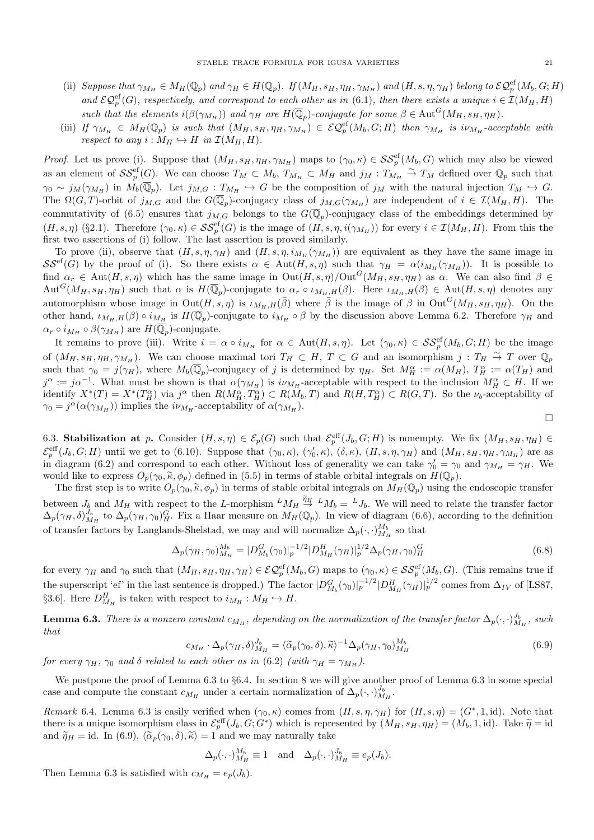- (ii) Suppose that  $\gamma_{M_H} \in M_H(\mathbb{Q}_p)$  and  $\gamma_H \in H(\mathbb{Q}_p)$ . If  $(M_H, s_H, \eta_H, \gamma_{M_H})$  and  $(H, s, \eta, \gamma_H)$  belong to  $\mathcal{EQ}_p^{\text{ef}}(M_b, G; H)$ and  $\mathcal{EQ}_{p}^{\text{ef}}(G)$ , respectively, and correspond to each other as in (6.1), then there exists a unique  $i \in \mathcal{I}(M_H, H)$ such that the elements  $i(\beta(\gamma_{M_H}))$  and  $\gamma_H$  are  $H(\overline{\mathbb{Q}}_p)$ -conjugate for some  $\beta \in \text{Aut}^G(M_H, s_H, \eta_H)$ .
- (iii) If  $\gamma_{M_H} \in M_H(\mathbb{Q}_p)$  is such that  $(M_H, s_H, \eta_H, \gamma_{M_H}) \in \mathcal{EQ}_p^{\text{ef}}(M_b, G; H)$  then  $\gamma_{M_H}$  is  $i\nu_{M_H}$ -acceptable with respect to any  $i : M_H \hookrightarrow H$  in  $\mathcal{I}(M_H, H)$ .

*Proof.* Let us prove (i). Suppose that  $(M_H, s_H, \eta_H, \gamma_{M_H})$  maps to  $(\gamma_0, \kappa) \in \mathcal{SS}_p^{\text{ef}}(M_b, G)$  which may also be viewed as an element of  $\mathcal{SS}_p^{\text{ef}}(G)$ . We can choose  $T_M \subset M_b$ ,  $T_{M_H} \subset M_H$  and  $j_M : T_{M_H} \overset{\sim}{\to} T_M$  defined over  $\mathbb{Q}_p$  such that  $\gamma_0 \sim j_M(\gamma_{M_H})$  in  $M_b(\overline{\mathbb{Q}}_p)$ . Let  $j_{M,G}:T_{M_H} \hookrightarrow G$  be the composition of  $j_M$  with the natural injection  $T_M \hookrightarrow G$ . The  $\Omega(G,T)$ -orbit of  $j_{M,G}$  and the  $G(\overline{\mathbb{Q}}_p)$ -conjugacy class of  $j_{M,G}(\gamma_{M_H})$  are independent of  $i \in \mathcal{I}(M_H, H)$ . The commutativity of (6.5) ensures that  $j_{M,G}$  belongs to the  $G(\overline{\mathbb{Q}}_p)$ -conjugacy class of the embeddings determined by  $(H, s, \eta)$  (§2.1). Therefore  $(\gamma_0, \kappa) \in \mathcal{SS}_{p}^{\text{ef}}(G)$  is the image of  $(H, s, \eta, i(\gamma_{M_H}))$  for every  $i \in \mathcal{I}(M_H, H)$ . From this the first two assertions of (i) follow. The last assertion is proved similarly.

To prove (ii), observe that  $(H, s, \eta, \gamma_H)$  and  $(H, s, \eta, i_{M_H}(\gamma_{M_H}))$  are equivalent as they have the same image in  $\mathcal{S}\mathcal{S}^{et}(G)$  by the proof of (i). So there exists  $\alpha \in \text{Aut}(H, s, \eta)$  such that  $\gamma_H = \alpha(i_{M_H}(\gamma_{M_H}))$ . It is possible to find  $\alpha_r \in \text{Aut}(H, s, \eta)$  which has the same image in  $\text{Out}(H, s, \eta)/\text{Out}^G(M_H, s_H, \eta_H)$  as  $\alpha$ . We can also find  $\beta \in$  $\text{Aut}^G(M_H, s_H, \eta_H)$  such that  $\alpha$  is  $H(\overline{\mathbb{Q}}_p)$ -conjugate to  $\alpha_r \circ \iota_{M_H,H}(\beta)$ . Here  $\iota_{M_H,H}(\beta) \in \text{Aut}(H, s, \eta)$  denotes any automorphism whose image in  $Out(H, s, \eta)$  is  $\iota_{M_H,H}(\bar{\beta})$  where  $\bar{\beta}$  is the image of  $\beta$  in  $Out^G(M_H, s_H, \eta_H)$ . On the other hand,  $\iota_{M_H,H}(\beta) \circ i_{M_H}$  is  $H(\overline{\mathbb{Q}}_p)$ -conjugate to  $i_{M_H} \circ \beta$  by the discussion above Lemma 6.2. Therefore  $\gamma_H$  and  $\alpha_r \circ i_{M_H} \circ \beta(\gamma_{M_H})$  are  $H(\overline{\mathbb{Q}}_p)$ -conjugate.

It remains to prove (iii). Write  $i = \alpha \circ i_{M_H}$  for  $\alpha \in Aut(H, s, \eta)$ . Let  $(\gamma_0, \kappa) \in \mathcal{SS}_p^{\text{ef}}(M_b, G; H)$  be the image of  $(M_H, s_H, \eta_H, \gamma_{M_H})$ . We can choose maximal tori  $T_H \subset H$ ,  $T \subset G$  and an isomorphism  $j : T_H \stackrel{\sim}{\to} T$  over  $\mathbb{Q}_p$ such that  $\gamma_0 = j(\gamma_H)$ , where  $M_b(\overline{\mathbb{Q}}_p)$ -conjugacy of j is determined by  $\eta_H$ . Set  $M_H^{\alpha} := \alpha(M_H)$ ,  $T_H^{\alpha} := \alpha(T_H)$  and  $j^{\alpha} := j\alpha^{-1}$ . What must be shown is that  $\alpha(\gamma_{M_H})$  is  $i\nu_{M_H}$ -acceptable with respect to the inclusion  $M_H^{\alpha} \subset H$ . If we identify  $X^*(T) = X^*(T_H^{\alpha})$  via  $j^{\alpha}$  then  $R(M_H^{\alpha}, T_H^{\alpha}) \subset R(M_b, T)$  and  $R(H, T_H^{\alpha}) \subset R(G, T)$ . So the  $\nu_b$ -acceptability of  $\gamma_0 = j^{\alpha}(\alpha(\gamma_{M_H}))$  implies the  $i\nu_{M_H}$ -acceptability of  $\alpha(\gamma_{M_H})$ .

6.3. Stabilization at p. Consider  $(H, s, \eta) \in \mathcal{E}_p(G)$  such that  $\mathcal{E}_p^{\text{eff}}(J_b, G; H)$  is nonempty. We fix  $(M_H, s_H, \eta_H) \in$  $\mathcal{E}_p^{\text{eff}}(J_b, G; H)$  until we get to (6.10). Suppose that  $(\gamma_0, \kappa)$ ,  $(\gamma'_0, \kappa)$ ,  $(\delta, \kappa)$ ,  $(H, s, \eta, \gamma_H)$  and  $(M_H, s_H, \eta_H, \gamma_{M_H})$  are as in diagram (6.2) and correspond to each other. Without loss of generality we can take  $\gamma'_0 = \gamma_0$  and  $\gamma_{M_H} = \gamma_H$ . We would like to express  $O_p(\gamma_0, \tilde{\kappa}, \phi_p)$  defined in (5.5) in terms of stable orbital integrals on  $H(\mathbb{Q}_p)$ .

The first step is to write  $O_p(\gamma_0, \tilde{\kappa}, \phi_p)$  in terms of stable orbital integrals on  $M_H(\mathbb{Q}_p)$  using the endoscopic transfer between  $J_b$  and  $M_H$  with respect to the L-morphism  $^L M_H \stackrel{\tilde{\eta}_H}{\rightarrow} ^L M_b = {}^L J_b$ . We will need to relate the transfer factor  $\Delta_p(\gamma_H, \delta)_{M_H}^{J_b}$  to  $\Delta_p(\gamma_H, \gamma_0)_H^G$ . Fix a Haar measure on  $M_H(\mathbb{Q}_p)$ . In view of diagram (6.6), according to the definition of transfer factors by Langlands-Shelstad, we may and will normalize  $\Delta_p(\cdot, \cdot)_{M_H}^{M_b}$  so that

$$
\Delta_p(\gamma_H, \gamma_0)_{M_H}^{M_b} = |D_{M_b}^G(\gamma_0)|_p^{-1/2} |D_{M_H}^H(\gamma_H)|_p^{1/2} \Delta_p(\gamma_H, \gamma_0)_H^G \tag{6.8}
$$

for every  $\gamma_H$  and  $\gamma_0$  such that  $(M_H, s_H, \eta_H, \gamma_H) \in \mathcal{EQ}^{\text{ef}}_p(M_b, G)$  maps to  $(\gamma_0, \kappa) \in \mathcal{SS}^{\text{ef}}_p(M_b, G)$ . (This remains true if the superscript 'ef' in the last sentence is dropped.) The factor  $|D_{M_b}^G(\gamma_0)|_p^{-1/2}|D_{M_H}^H(\gamma_H)|_p^{1/2}$  comes from  $\Delta_{IV}$  of [LS87, §3.6]. Here  $D_{M_H}^H$  is taken with respect to  $i_{M_H}: M_H \hookrightarrow H$ .

**Lemma 6.3.** There is a nonzero constant  $c_{M_H}$ , depending on the normalization of the transfer factor  $\Delta_p(\cdot,\cdot)_{M_H}^{J_b}$ , such that

$$
c_{M_H} \cdot \Delta_p(\gamma_H, \delta)_{M_H}^{J_b} = \langle \tilde{\alpha}_p(\gamma_0, \delta), \tilde{\kappa} \rangle^{-1} \Delta_p(\gamma_H, \gamma_0)_{M_H}^{M_b}
$$
(6.9)

for every  $\gamma_H$ ,  $\gamma_0$  and  $\delta$  related to each other as in  $(6.2)$  (with  $\gamma_H = \gamma_{M_H}$ ).

We postpone the proof of Lemma 6.3 to §6.4. In section 8 we will give another proof of Lemma 6.3 in some special case and compute the constant  $c_{M_H}$  under a certain normalization of  $\Delta_p(\cdot, \cdot)_{M_H}^{J_b}$ .

Remark 6.4. Lemma 6.3 is easily verified when  $(\gamma_0, \kappa)$  comes from  $(H, s, \eta, \gamma_H)$  for  $(H, s, \eta) = (G^*, 1, id)$ . Note that there is a unique isomorphism class in  $\mathcal{E}_{p}^{\text{eff}}(J_b, G; G^*)$  which is represented by  $(M_H, s_H, \eta_H) = (M_b, 1, \text{id})$ . Take  $\tilde{\eta} = \text{id}$ and  $\widetilde{\eta}_H = \text{id}$ . In (6.9),  $\langle \widetilde{\alpha}_p(\gamma_0, \delta), \widetilde{\kappa} \rangle = 1$  and we may naturally take

$$
\Delta_p(\cdot, \cdot)_{M_H}^{M_b} \equiv 1 \quad \text{and} \quad \Delta_p(\cdot, \cdot)_{M_H}^{J_b} \equiv e_p(J_b).
$$

Then Lemma 6.3 is satisfied with  $c_{M_H} = e_p(J_b)$ .

 $\Box$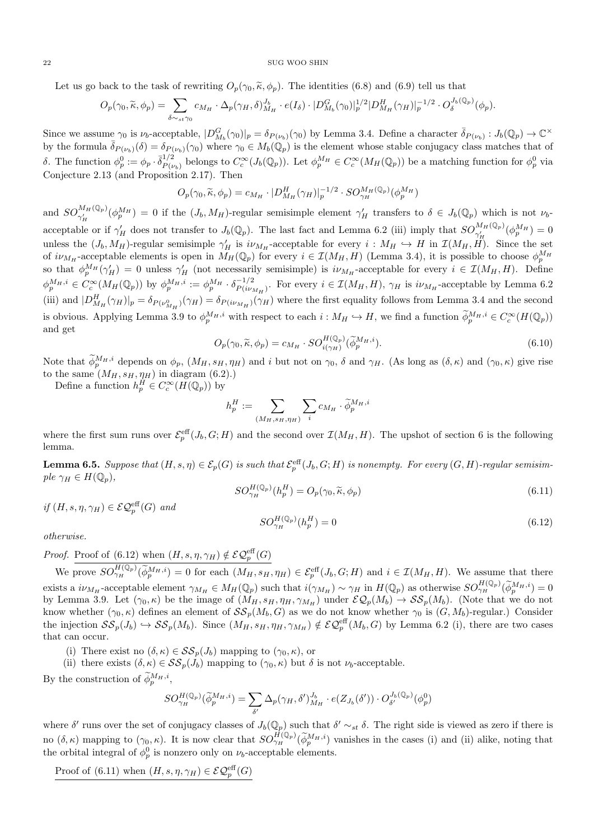Let us go back to the task of rewriting  $O_p(\gamma_0, \tilde{\kappa}, \phi_p)$ . The identities (6.8) and (6.9) tell us that

$$
O_p(\gamma_0, \widetilde{\kappa}, \phi_p) = \sum_{\delta \sim_{st} \gamma_0} c_{M_H} \cdot \Delta_p(\gamma_H, \delta)_{M_H}^{J_b} \cdot e(I_{\delta}) \cdot |D_{M_b}^G(\gamma_0)|_p^{1/2} |D_{M_H}^H(\gamma_H)|_p^{-1/2} \cdot O_{\delta}^{J_b(\mathbb{Q}_p)}(\phi_p).
$$

Since we assume  $\gamma_0$  is  $\nu_b$ -acceptable,  $|D_{M_b}^G(\gamma_0)|_p = \delta_{P(\nu_b)}(\gamma_0)$  by Lemma 3.4. Define a character  $\bar{\delta}_{P(\nu_b)} : J_b(\mathbb{Q}_p) \to \mathbb{C}^\times$ by the formula  $\bar{\delta}_{P(\nu_b)}(\delta) = \delta_{P(\nu_b)}(\gamma_0)$  where  $\gamma_0 \in M_b(\mathbb{Q}_p)$  is the element whose stable conjugacy class matches that of δ. The function  $\phi_p^0 := \phi_p \cdot \bar{\delta}_{P(\mu)}^{1/2}$  $P_{(v_b)}^{(1/2)}$  belongs to  $C_c^{\infty}(J_b(\mathbb{Q}_p))$ . Let  $\phi_p^{M_H} \in C_c^{\infty}(M_H(\mathbb{Q}_p))$  be a matching function for  $\phi_p^0$  via Conjecture 2.13 (and Proposition 2.17). Then

$$
O_p(\gamma_0, \widetilde{\kappa}, \phi_p) = c_{M_H} \cdot |D_{M_H}^H(\gamma_H)|_p^{-1/2} \cdot SO_{\gamma_H}^{M_H(\mathbb{Q}_p)}(\phi_p^{M_H})
$$

and  $SO_{\gamma'_H}^{M_H(\mathbb{Q}_p)}(\phi_p^{M_H})=0$  if the  $(J_b, M_H)$ -regular semisimple element  $\gamma'_H$  transfers to  $\delta \in J_b(\mathbb{Q}_p)$  which is not  $\nu_b$ acceptable or if  $\gamma'_H$  does not transfer to  $J_b(\mathbb{Q}_p)$ . The last fact and Lemma 6.2 (iii) imply that  $SO_{\gamma'_H}^{M_H(\mathbb{Q}_p)}(\phi_p^{M_H})=0$ unless the  $(J_b, M_H)$ -regular semisimple  $\gamma'_H$  is  $i\nu_{M_H}$ -acceptable for every  $i : M_H \hookrightarrow H$  in  $\mathcal{I}(M_H, H)$ . Since the set of  $i\nu_{M_H}$ -acceptable elements is open in  $\tilde{M_H}(\mathbb{Q}_p)$  for every  $i \in \mathcal{I}(M_H, H)$  (Lemma 3.4), it is possible to choose  $\phi_p^{M_H}$ so that  $\phi_p^{M_H}(\gamma'_H) = 0$  unless  $\gamma'_H$  (not necessarily semisimple) is  $i\nu_{M_H}$ -acceptable for every  $i \in \mathcal{I}(M_H, H)$ . Define  $\phi_p^{M_H,i} \in C_c^{\infty}(M_H(\mathbb{Q}_p))$  by  $\phi_p^{M_H,i} := \phi_p^{M_H} \cdot \delta_{P(i\nu)}^{-1/2}$  $\frac{p-1}{P(i\nu_{M_H})}$ . For every  $i \in \mathcal{I}(M_H, H)$ ,  $\gamma_H$  is  $i\nu_{M_H}$ -acceptable by Lemma 6.2 (iii) and  $|D_{M_H}^H(\gamma_H)|_p = \delta_{P(\nu_{M_H}^0)}(\gamma_H) = \delta_{P(i\nu_{M_H})}(\gamma_H)$  where the first equality follows from Lemma 3.4 and the second is obvious. Applying Lemma 3.9 to  $\phi_p^{M_H,i}$  with respect to each  $i: M_H \hookrightarrow H$ , we find a function  $\widetilde{\phi}_p^{M_H,i} \in C_c^{\infty}(H(\mathbb{Q}_p))$ and get

$$
O_p(\gamma_0, \widetilde{\kappa}, \phi_p) = c_{M_H} \cdot SO_{i(\gamma_H)}^{H(\mathbb{Q}_p)}(\widetilde{\phi}_p^{M_H, i}).
$$
\n(6.10)

Note that  $\phi_p^{M_H,i}$  depends on  $\phi_p$ ,  $(M_H, s_H, \eta_H)$  and i but not on  $\gamma_0$ ,  $\delta$  and  $\gamma_H$ . (As long as  $(\delta, \kappa)$  and  $(\gamma_0, \kappa)$  give rise to the same  $(M_H, s_H, \eta_H)$  in diagram  $(6.2)$ .)

Define a function  $h_p^H \in C_c^{\infty}(H(\mathbb{Q}_p))$  by

$$
h_p^H := \sum_{(M_H, s_H, \eta_H)} \sum_i c_{M_H} \cdot \widetilde{\phi}_p^{M_H, i}
$$

where the first sum runs over  $\mathcal{E}_p^{\text{eff}}(J_b, G; H)$  and the second over  $\mathcal{I}(M_H, H)$ . The upshot of section 6 is the following lemma.

**Lemma 6.5.** Suppose that  $(H, s, \eta) \in \mathcal{E}_p(G)$  is such that  $\mathcal{E}_p^{\text{eff}}(J_b, G; H)$  is nonempty. For every  $(G, H)$ -regular semisimple  $\gamma_H \in H(\mathbb{Q}_p)$ ,

$$
SO_{\gamma_H}^{H(\mathbb{Q}_p)}(h_p^H) = O_p(\gamma_0, \widetilde{\kappa}, \phi_p)
$$
\n(6.11)

if  $(H, s, \eta, \gamma_H) \in \mathcal{EQ}_{p}^{eff}(G)$  and

$$
SO_{\gamma_H}^{H(\mathbb{Q}_p)}(h_p^H) = 0\tag{6.12}
$$

otherwise.

*Proof.* Proof of (6.12) when  $(H, s, \eta, \gamma_H) \notin \mathcal{EQ}_p^{\text{eff}}(G)$ 

We prove  $SO_{\gamma_H}^{H(\mathbb{Q}_p)}(\widetilde{\phi}_p^{M_H,i})=0$  for each  $(M_H, s_H, \eta_H) \in \mathcal{E}_p^{\text{eff}}(J_b, G; H)$  and  $i \in \mathcal{I}(M_H, H)$ . We assume that there exists a  $i\nu_{M_H}$ -acceptable element  $\gamma_{M_H} \in M_H(\mathbb{Q}_p)$  such that  $i(\gamma_{M_H}) \sim \gamma_H$  in  $H(\mathbb{Q}_p)$  as otherwise  $SO_{\gamma_H}^{H(\mathbb{Q}_p)}(\phi_p^{M_H,i}) = 0$ by Lemma 3.9. Let  $(\gamma_0, \kappa)$  be the image of  $(M_H, s_H, \eta_H, \gamma_{M_H})$  under  $\mathcal{EQ}_p(M_b) \to \mathcal{SS}_p(M_b)$ . (Note that we do not know whether  $(\gamma_0, \kappa)$  defines an element of  $\mathcal{SS}_p(M_b, G)$  as we do not know whether  $\gamma_0$  is  $(G, M_b)$ -regular.) Consider the injection  $\mathcal{SS}_p(J_b) \hookrightarrow \mathcal{SS}_p(M_b)$ . Since  $(M_H, s_H, \eta_H, \gamma_{M_H}) \notin \mathcal{EQ}_p^{\text{eff}}(M_b, G)$  by Lemma 6.2 (i), there are two cases that can occur.

(i) There exist no  $(\delta, \kappa) \in \mathcal{SS}_p(J_b)$  mapping to  $(\gamma_0, \kappa)$ , or

(ii) there exists  $(\delta, \kappa) \in \mathcal{SS}_p(J_b)$  mapping to  $(\gamma_0, \kappa)$  but  $\delta$  is not  $\nu_b$ -acceptable.

By the construction of  $\widetilde{\phi}_p^{M_H,i}$ ,

$$
SO_{\gamma_H}^{H(\mathbb{Q}_p)}(\widetilde{\phi}_p^{M_H,i}) = \sum_{\delta'} \Delta_p(\gamma_H, \delta')_{M_H}^{J_b} \cdot e(Z_{J_b}(\delta')) \cdot O_{\delta'}^{J_b(\mathbb{Q}_p)}(\phi_p^0)
$$

where  $\delta'$  runs over the set of conjugacy classes of  $J_b(\mathbb{Q}_p)$  such that  $\delta' \sim_{st} \delta$ . The right side is viewed as zero if there is no  $(\delta, \kappa)$  mapping to  $(\gamma_0, \kappa)$ . It is now clear that  $SO_{\gamma_H}^{\hat{H}(\mathbb{Q}_p)}(\phi_p^{\hat{M}_H,i})$  vanishes in the cases (i) and (ii) alike, noting that the orbital integral of  $\phi_p^0$  is nonzero only on  $\nu_b$ -acceptable elements.

Proof of (6.11) when  $(H, s, \eta, \gamma_H) \in \mathcal{EQ}_p^{\text{eff}}(G)$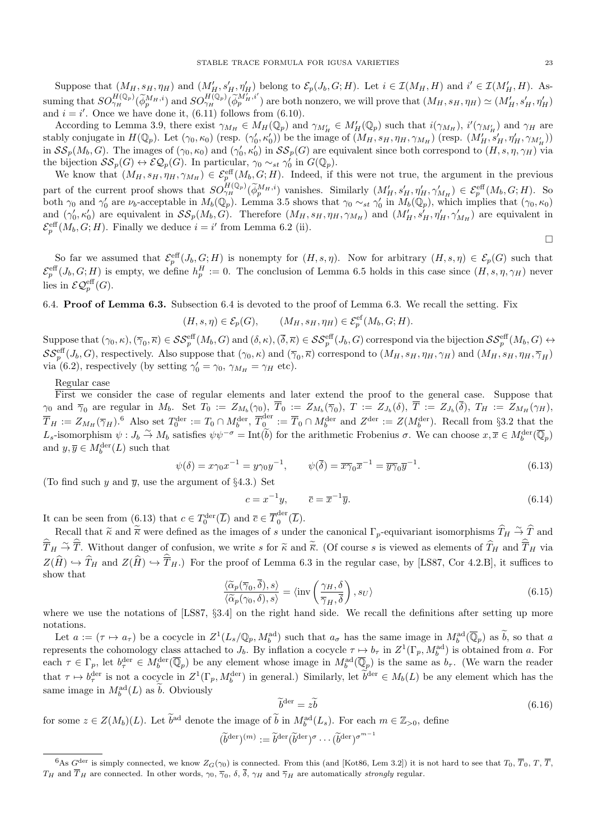Suppose that  $(M_H, s_H, \eta_H)$  and  $(M'_H, s'_H, \eta'_H)$  belong to  $\mathcal{E}_p(J_b, G; H)$ . Let  $i \in \mathcal{I}(M_H, H)$  and  $i' \in \mathcal{I}(M'_H, H)$ . Assuming that  $SO_{\gamma_H}^{H(\mathbb{Q}_p)}(\widetilde{\phi}_p^{M_H,i})$  and  $SO_{\gamma_H}^{H(\mathbb{Q}_p)}(\widetilde{\phi}_p^{M'_H,i'})$  are both nonzero, we will prove that  $(M_H, s_H, \eta_H) \simeq (M'_H, s'_H, \eta'_H)$ and  $i = i'$ . Once we have done it, (6.11) follows from (6.10).

According to Lemma 3.9, there exist  $\gamma_{M_H} \in M_H(\mathbb{Q}_p)$  and  $\gamma_{M'_H} \in M'_H(\mathbb{Q}_p)$  such that  $i(\gamma_{M'_H})$ ,  $i'(\gamma_{M'_H})$  and  $\gamma_H$  are stably conjugate in  $H(\mathbb{Q}_p)$ . Let  $(\gamma_0, \kappa_0)$  (resp.  $(\gamma'_0, \kappa'_0)$ ) be the image of  $(M_H, s_H, \eta_H, \gamma_{M_H})$  (resp.  $(M'_H, s'_H, \eta'_H, \gamma_{M'_H})$ ) in  $\mathcal{SS}_p(M_b, G)$ . The images of  $(\gamma_0, \kappa_0)$  and  $(\gamma'_0, \kappa'_0)$  in  $\mathcal{SS}_p(G)$  are equivalent since both correspond to  $(H, s, \eta, \gamma_H)$  via the bijection  $\mathcal{SS}_p(G) \leftrightarrow \mathcal{EQ}_p(G)$ . In particular,  $\gamma_0 \sim_{st} \gamma'_0$  in  $G(\mathbb{Q}_p)$ .

We know that  $(M_H, s_H, \eta_H, \gamma_{M_H}) \in \mathcal{E}_p^{\text{eff}}(M_b, G; H)$ . Indeed, if this were not true, the argument in the previous part of the current proof shows that  $SO_{(H)}^{H(\mathbb{Q}_p)}(\widetilde{\phi}_p^{M_H,i})$  vanishes. Similarly  $(M'_H, s'_H, \eta'_H, \gamma'_{M_H}) \in \mathcal{E}_p^{\text{eff}}(M_b, G; H)$ . So both  $\gamma_0$  and  $\gamma'_0$  are  $\nu_b$ -acceptable in  $M_b(\mathbb{Q}_p)$ . Lemma 3.5 shows that  $\gamma_0 \sim_{st} \gamma'_0$  in  $M_b(\mathbb{Q}_p)$ , which implies that  $(\gamma_0, \kappa_0)$ and  $(\gamma'_0, \kappa'_0)$  are equivalent in  $\mathcal{SS}_p(M_b, G)$ . Therefore  $(M_H, s_H, \eta_H, \gamma_{M_H})$  and  $(M'_H, s'_H, \eta'_H, \gamma'_{M_H})$  are equivalent in  $\mathcal{E}_p^{\text{eff}}(M_b, G; H)$ . Finally we deduce  $i = i'$  from Lemma 6.2 (ii).

So far we assumed that  $\mathcal{E}_p^{\text{eff}}(J_b, G; H)$  is nonempty for  $(H, s, \eta)$ . Now for arbitrary  $(H, s, \eta) \in \mathcal{E}_p(G)$  such that  $\mathcal{E}_p^{\text{eff}}(J_b, G; H)$  is empty, we define  $h_p^H := 0$ . The conclusion of Lemma 6.5 holds in this case since  $(H, s, \eta, \gamma_H)$  never lies in  $\mathcal{EQ}_p^{\text{eff}}(G)$ .

6.4. Proof of Lemma 6.3. Subsection 6.4 is devoted to the proof of Lemma 6.3. We recall the setting. Fix

$$
(H, s, \eta) \in \mathcal{E}_p(G), \qquad (M_H, s_H, \eta_H) \in \mathcal{E}_p^{\text{ef}}(M_b, G; H).
$$

Suppose that  $(\gamma_0, \kappa), (\overline{\gamma}_0, \overline{\kappa}) \in \mathcal{SS}_p^{\text{eff}}(M_b, G)$  and  $(\delta, \kappa), (\overline{\delta}, \overline{\kappa}) \in \mathcal{SS}_p^{\text{eff}}(J_b, G)$  correspond via the bijection  $\mathcal{SS}_p^{\text{eff}}(M_b, G) \leftrightarrow$  $\mathcal{SS}_{p}^{\text{eff}}(J_b, G)$ , respectively. Also suppose that  $(\gamma_0, \kappa)$  and  $(\overline{\gamma}_0, \overline{\kappa})$  correspond to  $(M_H, s_H, \eta_H, \gamma_H)$  and  $(M_H, s_H, \eta_H, \overline{\gamma}_H)$ via (6.2), respectively (by setting  $\gamma'_0 = \gamma_0$ ,  $\gamma_{M_H} = \gamma_H$  etc).

#### Regular case

First we consider the case of regular elements and later extend the proof to the general case. Suppose that  $\gamma_0$  and  $\overline{\gamma}_0$  are regular in  $M_b$ . Set  $T_0 := Z_{M_b}(\gamma_0)$ ,  $T_0 := Z_{M_b}(\overline{\gamma}_0)$ ,  $T := Z_{J_b}(\delta)$ ,  $T := Z_{J_b}(\delta)$ ,  $T_H := Z_{M_H}(\gamma_H)$ ,  $\overline{T}_H := Z_{M_H}(\overline{\gamma}_H)$ .<sup>6</sup> Also set  $T_0^{\text{der}} := T_0 \cap M_b^{\text{der}}, \overline{T}_0^{\text{der}}$  $\overline{Q}^{\text{der}}_{0} := \overline{T}_{0} \cap M_{b}^{\text{der}}$  and  $Z^{\text{der}} := Z(M_{b}^{\text{der}})$ . Recall from §3.2 that the L<sub>s</sub>-isomorphism  $\psi: J_b \overset{\sim}{\to} M_b$  satisfies  $\psi \psi^{-\sigma} = \text{Int}(\widetilde{b})$  for the arithmetic Frobenius  $\sigma$ . We can choose  $x, \overline{x} \in M_b^{\text{der}}(\overline{\mathbb{Q}}_p)$ and  $y, \overline{y} \in M_b^{\text{der}}(L)$  such that

$$
\psi(\delta) = x\gamma_0 x^{-1} = y\gamma_0 y^{-1}, \qquad \psi(\overline{\delta}) = \overline{x\gamma}_0 \overline{x}^{-1} = \overline{y\gamma}_0 \overline{y}^{-1}.
$$
\n(6.13)

(To find such y and  $\bar{y}$ , use the argument of §4.3.) Set

$$
c = x^{-1}y, \qquad \overline{c} = \overline{x}^{-1}\overline{y}.\tag{6.14}
$$

It can be seen from (6.13) that  $c \in T_0^{\text{der}}(\overline{L})$  and  $\overline{c} \in \overline{T}_0^{\text{der}}$  $\int_0^{\alpha}$  (*L*).

Recall that  $\widetilde{\kappa}$  and  $\widetilde{\overline{\kappa}}$  were defined as the images of s under the canonical  $\Gamma_p$ -equivariant isomorphisms  $\widehat{T}_H \stackrel{\sim}{\rightarrow} \widehat{T}$  and  $\sim \widetilde{\kappa}$  $\widehat{T}_H \stackrel{\sim}{\rightarrow} \widehat{T}$ . Without danger of confusion, we write s for  $\widetilde{\kappa}$  and  $\widetilde{\kappa}$ . (Of course s is viewed as elements of  $\widehat{T}_H$  and  $\widehat{T}_H$  via  $Z(H) \hookrightarrow T_H$  and  $Z(H) \hookrightarrow \overline{T}_H$ .) For the proof of Lemma 6.3 in the regular case, by [LS87, Cor 4.2.B], it suffices to show that

$$
\frac{\langle \widetilde{\alpha}_p(\overline{\gamma}_0, \delta), s \rangle}{\langle \widetilde{\alpha}_p(\gamma_0, \delta), s \rangle} = \langle \text{inv}\left(\frac{\gamma_H, \delta}{\overline{\gamma}_H, \overline{\delta}}\right), s_U \rangle \tag{6.15}
$$

where we use the notations of [LS87, §3.4] on the right hand side. We recall the definitions after setting up more notations.

Let  $a := (\tau \mapsto a_{\tau})$  be a cocycle in  $Z^1(L_s/\mathbb{Q}_p, M_b^{\text{ad}})$  such that  $a_{\sigma}$  has the same image in  $M_b^{\text{ad}}(\overline{\mathbb{Q}}_p)$  as  $\widetilde{b}$ , so that a represents the cohomology class attached to  $J_b$ . By inflation a cocycle  $\tau \mapsto b_\tau$  in  $Z^1(\Gamma_p, M_b^{\text{ad}})$  is obtained from a. For each  $\tau \in \Gamma_p$ , let  $b_{\tau}^{\text{der}} \in M_b^{\text{der}}(\overline{\mathbb{Q}}_p)$  be any element whose image in  $M_b^{\text{ad}}(\overline{\mathbb{Q}}_p)$  is the same as  $b_{\tau}$ . (We warn the reader that  $\tau \mapsto b_{\tau}^{\text{der}}$  is not a cocycle in  $Z^1(\Gamma_p, M_b^{\text{der}})$  in general.) Similarly, let  $b^{\text{der}} \in M_b(L)$  be any element which has the same image in  $M_b^{\text{ad}}(L)$  as  $\tilde{b}$ . Obviously

$$
\widetilde{b}^{\text{der}} = z\widetilde{b} \tag{6.16}
$$

for some  $z \in Z(M_b)(L)$ . Let  $\tilde{b}^{\text{ad}}$  denote the image of  $\tilde{b}$  in  $M_b^{\text{ad}}(L_s)$ . For each  $m \in \mathbb{Z}_{>0}$ , define

$$
(\widetilde{b}^{\mathrm{der}})^{(m)} := \widetilde{b}^{\mathrm{der}} (\widetilde{b}^{\mathrm{der}})^{\sigma} \cdots (\widetilde{b}^{\mathrm{der}})^{\sigma^{m-1}}
$$

 $\Box$ 

<sup>&</sup>lt;sup>6</sup>As  $G^{\text{der}}$  is simply connected, we know  $Z_G(\gamma_0)$  is connected. From this (and [Kot86, Lem 3.2]) it is not hard to see that  $T_0$ ,  $\overline{T}_0$ ,  $T$ ,  $\overline{T}$ ,  $T_H$  and  $T_H$  are connected. In other words,  $\gamma_0$ ,  $\overline{\gamma}_0$ ,  $\delta$ ,  $\delta$ ,  $\gamma_H$  and  $\overline{\gamma}_H$  are automatically *strongly* regular.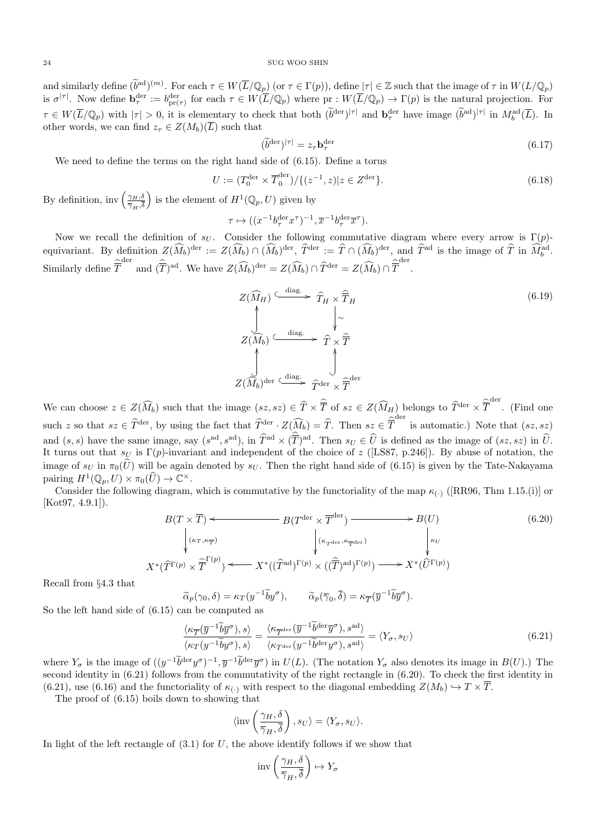and similarly define  $(\widetilde{b}^{ad})^{(m)}$ . For each  $\tau \in W(\overline{L}/\mathbb{Q}_p)$  (or  $\tau \in \Gamma(p)$ ), define  $|\tau| \in \mathbb{Z}$  such that the image of  $\tau$  in  $W(L/\mathbb{Q}_p)$ is  $\sigma^{|\tau|}$ . Now define  $\mathbf{b}_{\tau}^{\text{der}} := b_{\text{pr}(\tau)}^{\text{der}}$  for each  $\tau \in W(\overline{L}/\mathbb{Q}_p)$  where  $\text{pr}: W(\overline{L}/\mathbb{Q}_p) \to \Gamma(p)$  is the natural projection. For  $\tau \in W(\overline{L}/\mathbb{Q}_p)$  with  $|\tau| > 0$ , it is elementary to check that both  $(\widetilde{b}^{\text{der}})^{|\tau|}$  and  $\mathbf{b}^{\text{der}}_{\tau}$  have image  $(\widetilde{b}^{\text{ad}})^{|\tau|}$  in  $M_b^{\text{ad}}(\overline{L})$ . In other words, we can find  $z_{\tau} \in Z(M_b)(\overline{L})$  such that

$$
(\widetilde{b}^{\text{der}})^{|\tau|} = z_{\tau} \mathbf{b}_{\tau}^{\text{der}} \tag{6.17}
$$

We need to define the terms on the right hand side of (6.15). Define a torus

$$
U := (T_0^{\text{der}} \times \overline{T}_0^{\text{der}}) / \{ (z^{-1}, z) | z \in Z^{\text{der}} \}.
$$
\n(6.18)

By definition, inv $\left(\frac{\gamma_H,\delta}{\overline{\gamma}}\right)$  $\overline{\gamma}_H, \delta$ ) is the element of  $H^1(\mathbb{Q}_p, U)$  given by

$$
\tau \mapsto ((x^{-1}b_\tau^{\text{der}} x^\tau)^{-1}, \overline{x}^{-1} b_\tau^{\text{der}} \overline{x}^\tau).
$$

Now we recall the definition of  $s_U$ . Consider the following commutative diagram where every arrow is Γ(p)equivariant. By definition  $Z(\widehat{M}_b)^{\text{der}} := Z(\widehat{M}_b) \cap (\widehat{M}_b)^{\text{der}}, \widehat{T}^{\text{der}} := \widehat{T} \cap (\widehat{M}_b)^{\text{der}}, \text{ and } \widehat{T}^{\text{ad}}$  is the image of  $\widehat{T}$  in  $\widehat{M}_b^{\text{ad}}$ . Similarly define  $\hat{\overline{T}}^{\text{der}}$  and  $(\hat{\overline{T}})^{\text{ad}}$ . We have  $Z(\widehat{M}_b)^{\text{der}} = Z(\widehat{M}_b) \cap \hat{T}^{\text{der}} = Z(\widehat{M}_b) \cap \hat{\overline{T}}^{\text{der}}$ .

$$
Z(\widehat{M}_{H}) \xrightarrow{\text{diag.}} \widehat{T}_{H} \times \widehat{\overline{T}}_{H}
$$
\n
$$
Z(\widehat{M}_{b}) \xrightarrow{\text{diag.}} \widehat{T} \times \widehat{\overline{T}}
$$
\n
$$
Z(\widehat{M}_{b}) \xrightarrow{\text{diag.}} \widehat{T} \times \widehat{\overline{T}}
$$
\n
$$
Z(\widehat{M}_{b})^{\text{der}} \xrightarrow{\text{diag.}} \widehat{T}^{\text{der}} \times \widehat{\overline{T}}^{\text{der}}
$$
\n(6.19)

We can choose  $z \in Z(\widehat{M}_b)$  such that the image  $(sz, sz) \in \widehat{T} \times \widehat{T}$  of  $sz \in Z(\widehat{M}_H)$  belongs to  $\widehat{T}^{der} \times \widehat{T}^{der}$ . (Find one such z so that  $sz \in \hat{T}^{\text{der}}$ , by using the fact that  $\hat{T}^{\text{der}} \cdot Z(\widehat{M}_b) = \hat{T}$ . Then  $sz \in \hat{T}^{\text{der}}$  is automatic.) Note that  $(sz, sz)$ and  $(s, s)$  have the same image, say  $(s^{ad}, s^{ad})$ , in  $\widehat{T}^{ad} \times (\overline{T})^{ad}$ . Then  $s_U \in \widehat{U}$  is defined as the image of  $(sz, sz)$  in  $\widehat{U}$ . It turns out that  $s_U$  is  $\Gamma(p)$ -invariant and independent of the choice of z ([LS87, p.246]). By abuse of notation, the image of  $s_U$  in  $\pi_0(\hat{U})$  will be again denoted by  $s_U$ . Then the right hand side of (6.15) is given by the Tate-Nakayama pairing  $H^1(\mathbb{Q}_p, U) \times \pi_0(\widehat{U}) \to \mathbb{C}^\times$ .

Consider the following diagram, which is commutative by the functoriality of the map  $\kappa_{(.)}$  ([RR96, Thm 1.15.(i)] or  $[Kot97, 4.9.1]$ .

$$
B(T \times \overline{T}) \longleftarrow B(T^{\text{der}} \times \overline{T}^{\text{der}}) \longrightarrow B(U)
$$
(6.20)  

$$
\downarrow (\kappa_{T}, \kappa_{\overline{T}})
$$

$$
\downarrow (\kappa_{T^{\text{der}}}, \kappa_{\overline{T}^{\text{der}}})
$$

$$
K^*(\widehat{T}^{\Gamma(p)} \times \overline{\overline{T}}^{\Gamma(p)}) \longleftarrow X^*((\widehat{T}^{\text{ad}})^{\Gamma(p)} \times ((\widehat{T})^{\text{ad}})^{\Gamma(p)}) \longrightarrow X^*(\widehat{U}^{\Gamma(p)})
$$

Recall from §4.3 that

$$
\widetilde{\alpha}_p(\gamma_0, \delta) = \kappa_T(y^{-1}\widetilde{b}y^{\sigma}), \qquad \widetilde{\alpha}_p(\overline{\gamma}_0, \overline{\delta}) = \kappa_{\overline{T}}(\overline{y}^{-1}\widetilde{b}\overline{y}^{\sigma}).
$$
  
So the left hand side of (6.15) can be computed as

 $\mathcal{Y}^{\lambda}$ 

$$
\frac{\langle \kappa_{\overline{T}}(\overline{y}^{-1}\widetilde{b}\overline{y}^{\sigma}), s \rangle}{\langle \kappa_{T}(y^{-1}\widetilde{b}y^{\sigma}), s \rangle} = \frac{\langle \kappa_{\overline{T}^{\text{der}}}(\overline{y}^{-1}\widetilde{b}^{\text{der}}\overline{y}^{\sigma}), s^{\text{ad}} \rangle}{\langle \kappa_{T^{\text{der}}}(\overline{y}^{-1}\widetilde{b}^{\text{der}}y^{\sigma}), s^{\text{ad}} \rangle} = \langle Y_{\sigma}, s_{U} \rangle
$$
\n(6.21)

where  $Y_{\sigma}$  is the image of  $((y^{-1}\tilde{b}^{\text{der}}y^{\sigma})^{-1}, \overline{y}^{-1}\tilde{b}^{\text{der}}\overline{y}^{\sigma})$  in  $U(L)$ . (The notation  $Y_{\sigma}$  also denotes its image in  $B(U)$ .) The second identity in (6.21) follows from the commutativity of the right rectangle in (6.20). To check the first identity in (6.21), use (6.16) and the functoriality of  $\kappa_{(\cdot)}$  with respect to the diagonal embedding  $Z(M_b) \hookrightarrow T \times \overline{T}$ .

The proof of (6.15) boils down to showing that

$$
\langle \text{inv}\left(\frac{\gamma_H, \delta}{\overline{\gamma}_H, \overline{\delta}}\right), s_U \rangle = \langle Y_\sigma, s_U \rangle.
$$

In light of the left rectangle of  $(3.1)$  for U, the above identify follows if we show that

$$
inv\left(\frac{\gamma_H, \delta}{\overline{\gamma}_H, \overline{\delta}}\right) \mapsto Y_{\sigma}
$$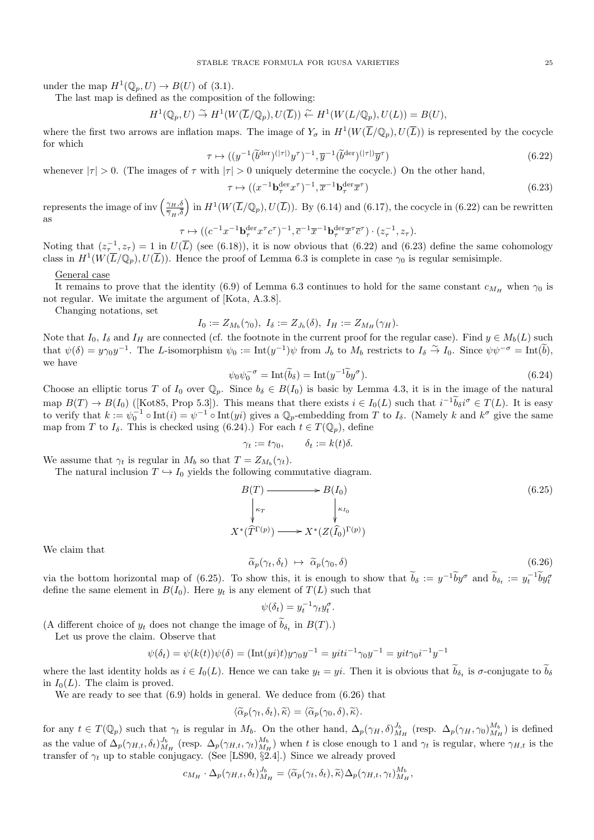under the map  $H^1(\mathbb{Q}_p, U) \to B(U)$  of (3.1).

The last map is defined as the composition of the following:

 $H^1(\mathbb{Q}_p, U) \overset{\sim}{\to} H^1(W(\overline{L}/\mathbb{Q}_p), U(\overline{L})) \overset{\sim}{\leftarrow} H^1(W(L/\mathbb{Q}_p), U(L)) = B(U),$ 

where the first two arrows are inflation maps. The image of  $Y_{\sigma}$  in  $H^1(W(\overline{L}/\mathbb{Q}_p), U(\overline{L}))$  is represented by the cocycle for which

$$
\tau \mapsto ((y^{-1}(\widetilde{b}^{\text{der}})^{(|\tau|)}y^{\tau})^{-1}, \overline{y}^{-1}(\widetilde{b}^{\text{der}})^{(|\tau|)}\overline{y}^{\tau})
$$
\n(6.22)

whenever  $|\tau| > 0$ . (The images of  $\tau$  with  $|\tau| > 0$  uniquely determine the cocycle.) On the other hand,

$$
\tau \mapsto ((x^{-1} \mathbf{b}_{\tau}^{\text{der}} x^{\tau})^{-1}, \overline{x}^{-1} \mathbf{b}_{\tau}^{\text{der}} \overline{x}^{\tau})
$$
\n(6.23)

represents the image of inv  $\left(\frac{\gamma_H,\delta}{\pi}\right)$  $\overline{\gamma}_H, \delta$ in  $H^1(W(\overline{L}/\mathbb{Q}_p), U(\overline{L}))$ . By (6.14) and (6.17), the cocycle in (6.22) can be rewritten as

$$
\tau \mapsto ((c^{-1}x^{-1}\mathbf{b}_{\tau}^{\text{der}} x^{\tau}c^{\tau})^{-1}, \overline{c}^{-1}\overline{x}^{-1}\mathbf{b}_{\tau}^{\text{der}} \overline{x}^{\tau} \overline{c}^{\tau}) \cdot (z_{\tau}^{-1}, z_{\tau}).
$$

Noting that  $(z_\tau^{-1}, z_\tau) = 1$  in  $U(\overline{L})$  (see (6.18)), it is now obvious that (6.22) and (6.23) define the same cohomology class in  $H^1(W(\overline{L}/\mathbb{Q}_p), U(\overline{L}))$ . Hence the proof of Lemma 6.3 is complete in case  $\gamma_0$  is regular semisimple.

General case

It remains to prove that the identity (6.9) of Lemma 6.3 continues to hold for the same constant  $c_{M_H}$  when  $\gamma_0$  is not regular. We imitate the argument of [Kota, A.3.8].

Changing notations, set

$$
I_0 := Z_{M_b}(\gamma_0), \ I_\delta := Z_{J_b}(\delta), \ I_H := Z_{M_H}(\gamma_H).
$$

Note that  $I_0$ ,  $I_\delta$  and  $I_H$  are connected (cf. the footnote in the current proof for the regular case). Find  $y \in M_b(L)$  such that  $\psi(\delta) = y\gamma_0 y^{-1}$ . The L-isomorphism  $\psi_0 := \text{Int}(y^{-1})\psi$  from  $J_b$  to  $M_b$  restricts to  $I_{\delta} \stackrel{\sim}{\to} I_0$ . Since  $\psi \psi^{-\sigma} = \text{Int}(\widetilde{b})$ , we have

$$
\psi_0 \psi_0^{-\sigma} = \text{Int}(\widetilde{b}_\delta) = \text{Int}(y^{-1}\widetilde{b}y^{\sigma}).\tag{6.24}
$$

Choose an elliptic torus T of I<sub>0</sub> over  $\mathbb{Q}_p$ . Since  $b_\delta \in B(I_0)$  is basic by Lemma 4.3, it is in the image of the natural map  $B(T) \to B(I_0)$  ([Kot85, Prop 5.3]). This means that there exists  $i \in I_0(L)$  such that  $i^{-1}\tilde{b}_\delta i^\sigma \in T(L)$ . It is easy to verify that  $k := \psi_0^{-1} \circ \text{Int}(i) = \psi^{-1} \circ \text{Int}(yi)$  gives a  $\mathbb{Q}_p$ -embedding from T to  $I_\delta$ . (Namely k and  $k^\sigma$  give the same map from T to  $I_{\delta}$ . This is checked using (6.24).) For each  $t \in T(\mathbb{Q}_p)$ , define

 $\gamma_t := t\gamma_0, \qquad \delta_t := k(t)\delta.$ 

We assume that  $\gamma_t$  is regular in  $M_b$  so that  $T = Z_{M_b}(\gamma_t)$ .

The natural inclusion  $T \hookrightarrow I_0$  yields the following commutative diagram.

$$
B(T) \longrightarrow B(I_0)
$$
\n
$$
\downarrow_{\kappa_T} \qquad \qquad \downarrow_{\kappa_{I_0}} \qquad (6.25)
$$
\n
$$
X^*(\widehat{T}^{\Gamma(p)}) \longrightarrow X^*(Z(\widehat{I}_0)^{\Gamma(p)})
$$

We claim that

$$
\widetilde{\alpha}_p(\gamma_t, \delta_t) \mapsto \widetilde{\alpha}_p(\gamma_0, \delta) \tag{6.26}
$$

via the bottom horizontal map of (6.25). To show this, it is enough to show that  $\tilde{b}_{\delta} := y^{-1} \tilde{b} y^{\sigma}$  and  $\tilde{b}_{\delta_t} := y_t^{-1} \tilde{b} y_t^{\sigma}$ define the same element in  $B(I_0)$ . Here  $y_t$  is any element of  $T(L)$  such that

$$
\psi(\delta_t) = y_t^{-1} \gamma_t y_t^{\sigma}.
$$

(A different choice of  $y_t$  does not change the image of  $b_{\delta_t}$  in  $B(T)$ .)

Let us prove the claim. Observe that

$$
\psi(\delta_t) = \psi(k(t))\psi(\delta) = (\text{Int}(yi)t)y\gamma_0y^{-1} = yiti^{-1}\gamma_0y^{-1} = yit\gamma_0i^{-1}y^{-1}
$$

where the last identity holds as  $i \in I_0(L)$ . Hence we can take  $y_t = yi$ . Then it is obvious that  $b_{\delta_t}$  is  $\sigma$ -conjugate to  $b_{\delta_t}$ in  $I_0(L)$ . The claim is proved.

We are ready to see that  $(6.9)$  holds in general. We deduce from  $(6.26)$  that

$$
\langle \widetilde{\alpha}_p(\gamma_t, \delta_t), \widetilde{\kappa} \rangle = \langle \widetilde{\alpha}_p(\gamma_0, \delta), \widetilde{\kappa} \rangle.
$$

for any  $t \in T(\mathbb{Q}_p)$  such that  $\gamma_t$  is regular in  $M_b$ . On the other hand,  $\Delta_p(\gamma_H, \delta)_{M_H}^{J_b}$  (resp.  $\Delta_p(\gamma_H, \gamma_0)_{M_H}^{M_b}$ ) is defined as the value of  $\Delta_p(\gamma_{H,t}, \delta_t)_{M_H}^{J_b}$  (resp.  $\Delta_p(\gamma_{H,t}, \gamma_t)_{M_H}^{M_b}$ ) when t is close enough to 1 and  $\gamma_t$  is regular, where  $\gamma_{H,t}$  is the transfer of  $\gamma_t$  up to stable conjugacy. (See [LS90, §2.4].) Since we already proved

$$
c_{M_H} \cdot \Delta_p(\gamma_{H,t}, \delta_t)_{M_H}^{J_b} = \langle \widetilde{\alpha}_p(\gamma_t, \delta_t), \widetilde{\kappa} \rangle \Delta_p(\gamma_{H,t}, \gamma_t)_{M_H}^{M_b},
$$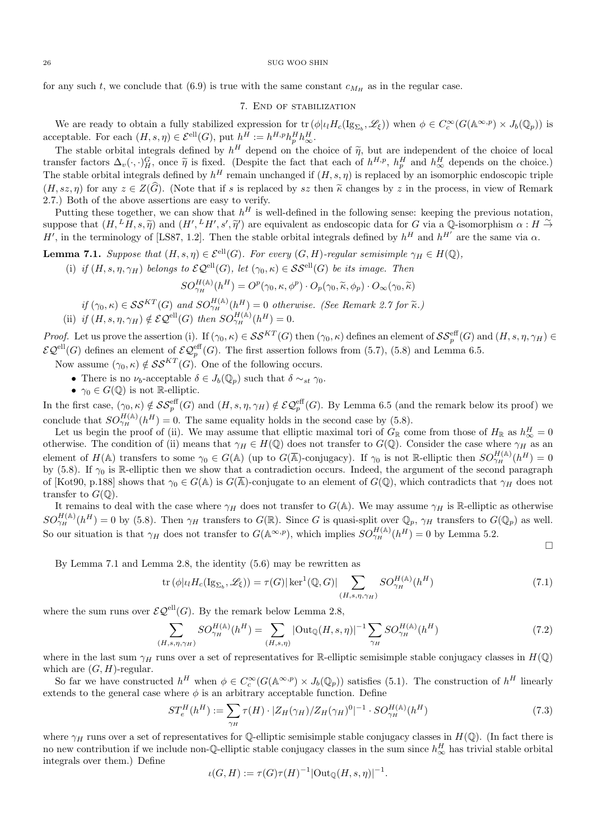for any such t, we conclude that (6.9) is true with the same constant  $c_{M_H}$  as in the regular case.

# 7. End of stabilization

We are ready to obtain a fully stabilized expression for  $\text{tr}(\phi | \iota_1 H_c(\mathrm{Ig}_{\Sigma_b}, \mathscr{L}_{\xi}))$  when  $\phi \in C_c^{\infty}(G(\mathbb{A}^{\infty, p}) \times J_b(\mathbb{Q}_p))$  is acceptable. For each  $(H, s, \eta) \in \mathcal{E}^{\text{ell}}(G)$ , put  $h^H := h^{H, p} h^H_p h^H_{\infty}$ .

The stable orbital integrals defined by  $h^H$  depend on the choice of  $\tilde{\eta}$ , but are independent of the choice of local transfer factors  $\Delta_v(\cdot, \cdot)_{H}^G$ , once  $\tilde{\eta}$  is fixed. (Despite the fact that each of  $h^{H,p}$ , The stable orbital integrals defined by  $h^H$  remain unchanged if  $(H, s, \eta)$  is replaced by an isomorphic endoscopic triple  $(H, sz, n)$  for any  $z \in Z(\widehat{G})$ . (Note that if s is replaced by sz then  $\widetilde{\kappa}$  changes by z in the process, in view of Remark 2.7.) Both of the above assertions are easy to verify.

Putting these together, we can show that  $h^H$  is well-defined in the following sense: keeping the previous notation, suppose that  $(H, {}^L H, s, \tilde{\eta})$  and  $(H', {}^L H', s', \tilde{\eta}')$  are equivalent as endoscopic data for G via a Q-isomorphism  $\alpha : H \to H'$  in the terminology of LSS7, 1.3]. Then the stable epital integrals defined by  $H$  and  $H'$  are th H', in the terminology of [LS87, 1.2]. Then the stable orbital integrals defined by  $h^H$  and  $h^{H'}$  are the same via  $\alpha$ .

**Lemma 7.1.** Suppose that  $(H, s, \eta) \in \mathcal{E}^{\text{ell}}(G)$ . For every  $(G, H)$ -regular semisimple  $\gamma_H \in H(\mathbb{Q})$ ,

(i) if  $(H, s, \eta, \gamma_H)$  belongs to  $\mathcal{EQ}^{\text{ell}}(G)$ , let  $(\gamma_0, \kappa) \in \mathcal{SS}^{\text{ell}}(G)$  be its image. Then

$$
SO_{\gamma_H}^{H(\mathbb{A})}(h^H) = O^p(\gamma_0, \kappa, \phi^p) \cdot O_p(\gamma_0, \widetilde{\kappa}, \phi_p) \cdot O_{\infty}(\gamma_0, \widetilde{\kappa})
$$

if  $(\gamma_0, \kappa) \in \mathcal{SS}^{KT}(G)$  and  $SO_{\gamma_H}^{H(\mathbb{A})}(h^H) = 0$  otherwise. (See Remark 2.7 for  $\tilde{\kappa}$ .)<br>(ii) if  $(H, s, \eta, \gamma_H) \notin \mathcal{EQ}^{\text{ell}}(G)$  then  $SO_{\gamma_H}^{H(\mathbb{A})}(h^H) = 0$ .

*Proof.* Let us prove the assertion (i). If  $(\gamma_0, \kappa) \in \mathcal{SS}^{KT}(G)$  then  $(\gamma_0, \kappa)$  defines an element of  $\mathcal{SS}^{\text{eff}}_p(G)$  and  $(H, s, \eta, \gamma_H) \in$  $\mathcal{EQ}^{ell}(G)$  defines an element of  $\mathcal{EQ}^{eff}_{p}(G)$ . The first assertion follows from (5.7), (5.8) and Lemma 6.5.

- Now assume  $(\gamma_0, \kappa) \notin \mathcal{SS}^{KT}(G)$ . One of the following occurs.
	- There is no  $\nu_b$ -acceptable  $\delta \in J_b(\mathbb{Q}_p)$  such that  $\delta \sim_{st} \gamma_0$ .
	- $\gamma_0 \in G(\mathbb{Q})$  is not R-elliptic.

In the first case,  $(\gamma_0, \kappa) \notin \mathcal{SS}_p^{\text{eff}}(G)$  and  $(H, s, \eta, \gamma_H) \notin \mathcal{EQ}_p^{\text{eff}}(G)$ . By Lemma 6.5 (and the remark below its proof) we conclude that  $SO_{\gamma_H}^{H(\mathbb{A})}(h^H) = 0$ . The same equality holds in the second case by (5.8).

Let us begin the proof of (ii). We may assume that elliptic maximal tori of  $G_{\mathbb{R}}$  come from those of  $H_{\mathbb{R}}$  as  $h_{\infty}^H=0$ otherwise. The condition of (ii) means that  $\gamma_H \in H(\mathbb{Q})$  does not transfer to  $G(\mathbb{Q})$ . Consider the case where  $\gamma_H$  as an element of  $H(\mathbb{A})$  transfers to some  $\gamma_0 \in G(\mathbb{A})$  (up to  $G(\overline{\mathbb{A}})$ -conjugacy). If  $\gamma_0$  is not R-elliptic then  $SO_{\gamma_H}^{H(\mathbb{A})}(h^H)=0$ by (5.8). If  $\gamma_0$  is R-elliptic then we show that a contradiction occurs. Indeed, the argument of the second paragraph of [Kot90, p.188] shows that  $\gamma_0 \in G(\mathbb{A})$  is  $G(\overline{\mathbb{A}})$ -conjugate to an element of  $G(\mathbb{Q})$ , which contradicts that  $\gamma_H$  does not transfer to  $G(\mathbb{Q})$ .

It remains to deal with the case where  $\gamma_H$  does not transfer to  $G(A)$ . We may assume  $\gamma_H$  is R-elliptic as otherwise  $SO_{\gamma_H}^{H(\mathbb{A})}(h^H) = 0$  by (5.8). Then  $\gamma_H$  transfers to  $G(\mathbb{R})$ . Since G is quasi-split over  $\mathbb{Q}_p$ ,  $\gamma_H$  transfers to  $G(\mathbb{Q}_p)$  as well. So our situation is that  $\gamma_H$  does not transfer to  $G(\mathbb{A}^{\infty,p})$ , which implies  $SO_{\gamma_H}^{H(\mathbb{A})}(h^H) = 0$  by Lemma 5.2.

 $\Box$ 

By Lemma 7.1 and Lemma 2.8, the identity (5.6) may be rewritten as

$$
\operatorname{tr}\left(\phi|\iota_l H_c(\operatorname{Ig}_{\Sigma_b}, \mathscr{L}_{\xi})\right) = \tau(G)|\operatorname{ker}^1(\mathbb{Q}, G)| \sum_{(H, s, \eta, \gamma_H)} SO_{\gamma_H}^{H(\mathbb{A})}(h^H)
$$
\n(7.1)

where the sum runs over  $\mathcal{EQ}^{\text{ell}}(G)$ . By the remark below Lemma 2.8,

$$
\sum_{(H,s,\eta,\gamma_H)} SO_{\gamma_H}^{H(\mathbb{A})}(h^H) = \sum_{(H,s,\eta)} |\text{Out}_{\mathbb{Q}}(H,s,\eta)|^{-1} \sum_{\gamma_H} SO_{\gamma_H}^{H(\mathbb{A})}(h^H)
$$
(7.2)

where in the last sum  $\gamma_H$  runs over a set of representatives for R-elliptic semisimple stable conjugacy classes in  $H(Q)$ which are  $(G, H)$ -regular.

So far we have constructed  $h^H$  when  $\phi \in C_c^{\infty}(G(\mathbb{A}^{\infty,p}) \times J_b(\mathbb{Q}_p))$  satisfies (5.1). The construction of  $h^H$  linearly extends to the general case where  $\phi$  is an arbitrary acceptable function. Define

$$
ST_e^H(h^H) := \sum_{\gamma_H} \tau(H) \cdot |Z_H(\gamma_H)/Z_H(\gamma_H)^0|^{-1} \cdot SO_{\gamma_H}^{H(\mathbb{A})}(h^H)
$$
\n(7.3)

where  $\gamma_H$  runs over a set of representatives for Q-elliptic semisimple stable conjugacy classes in  $H(Q)$ . (In fact there is no new contribution if we include non-Q-elliptic stable conjugacy classes in the sum since  $h^H_\infty$  has trivial stable orbital integrals over them.) Define

$$
\iota(G,H) := \tau(G)\tau(H)^{-1}|\text{Out}_{\mathbb{Q}}(H,s,\eta)|^{-1}.
$$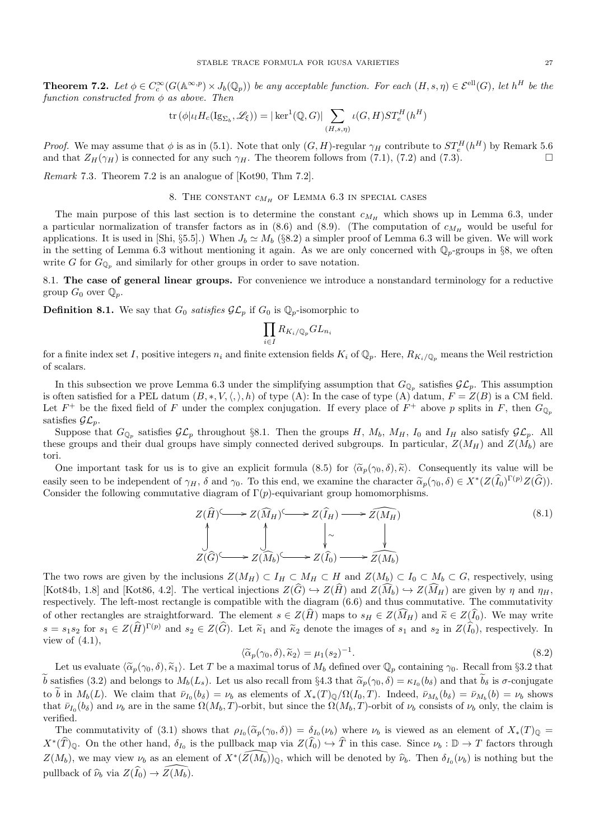**Theorem 7.2.** Let  $\phi \in C_c^{\infty}(G(\mathbb{A}^{\infty,p}) \times J_b(\mathbb{Q}_p))$  be any acceptable function. For each  $(H, s, \eta) \in \mathcal{E}^{\text{ell}}(G)$ , let  $h^H$  be the function constructed from  $\phi$  as above. Then

$$
\operatorname{tr}(\phi|\iota_l H_c(\operatorname{Ig}_{\Sigma_b},\mathscr{L}_\xi)) = |\ker^1(\mathbb{Q},G)| \sum_{(H,s,\eta)} \iota(G,H)ST_e^H(h^H)
$$

*Proof.* We may assume that  $\phi$  is as in (5.1). Note that only  $(G, H)$ -regular  $\gamma_H$  contribute to  $ST_e^H(h^H)$  by Remark 5.6 and that  $Z_H(\gamma_H)$  is connected for any such  $\gamma_H$ . The theorem follows from (7.1), (7.2) and (7.3).

Remark 7.3. Theorem 7.2 is an analogue of [Kot90, Thm 7.2].

# 8. THE CONSTANT  $c_{M_H}$  of Lemma 6.3 in special cases

The main purpose of this last section is to determine the constant  $c_{M_H}$  which shows up in Lemma 6.3, under a particular normalization of transfer factors as in  $(8.6)$  and  $(8.9)$ . (The computation of  $c_{M_H}$  would be useful for applications. It is used in [Shi, §5.5].) When  $J_b \simeq M_b$  (§8.2) a simpler proof of Lemma 6.3 will be given. We will work in the setting of Lemma 6.3 without mentioning it again. As we are only concerned with  $\mathbb{Q}_p$ -groups in §8, we often write G for  $G_{\mathbb{Q}_p}$  and similarly for other groups in order to save notation.

8.1. The case of general linear groups. For convenience we introduce a nonstandard terminology for a reductive group  $G_0$  over  $\mathbb{Q}_p$ .

**Definition 8.1.** We say that  $G_0$  satisfies  $\mathcal{GL}_p$  if  $G_0$  is  $\mathbb{Q}_p$ -isomorphic to

$$
\prod_{i\in I} R_{K_i/\mathbb{Q}_p}GL_{n_i}
$$

for a finite index set I, positive integers  $n_i$  and finite extension fields  $K_i$  of  $\mathbb{Q}_p$ . Here,  $R_{K_i/\mathbb{Q}_p}$  means the Weil restriction of scalars.

In this subsection we prove Lemma 6.3 under the simplifying assumption that  $G_{\mathbb{Q}_p}$  satisfies  $\mathcal{GL}_p$ . This assumption is often satisfied for a PEL datum  $(B,*,V,\langle,\rangle,h)$  of type (A): In the case of type (A) datum,  $F = Z(B)$  is a CM field. Let  $F^+$  be the fixed field of F under the complex conjugation. If every place of  $F^+$  above p splits in F, then  $G_{\mathbb{Q}_p}$ satisfies  $\mathcal{GL}_p$ .

Suppose that  $G_{\mathbb{Q}_p}$  satisfies  $\mathcal{GL}_p$  throughout §8.1. Then the groups H,  $M_b$ ,  $M_H$ ,  $I_0$  and  $I_H$  also satisfy  $\mathcal{GL}_p$ . All these groups and their dual groups have simply connected derived subgroups. In particular,  $Z(M_H)$  and  $Z(M_b)$  are tori.

One important task for us is to give an explicit formula (8.5) for  $\langle \tilde{\alpha}_p(\gamma_0, \delta), \tilde{\kappa} \rangle$ . Consequently its value will be easily seen to be independent of  $\gamma_H$ ,  $\delta$  and  $\gamma_0$ . To this end, we examine the character  $\widetilde{\alpha}_p(\gamma_0, \delta) \in X^*(Z(\widehat{I}_0)^{\Gamma(p)}Z(\widehat{G}))$ .<br>Consider the following commutative diagram of  $\Gamma(n)$  conjugationt group homomorph Consider the following commutative diagram of  $\Gamma(p)$ -equivariant group homomorphisms.

$$
Z(\widehat{H}) \longrightarrow Z(\widehat{M}_{H}) \longrightarrow Z(\widehat{I}_{H}) \longrightarrow \widehat{Z(M_{H})}
$$
\n
$$
\downarrow \sim \qquad \qquad \downarrow
$$
\n
$$
Z(\widehat{G}) \longrightarrow Z(\widehat{M}_{b}) \longrightarrow Z(\widehat{I}_{0}) \longrightarrow \widehat{Z(M_{b})}
$$
\n
$$
(8.1)
$$

The two rows are given by the inclusions  $Z(M_H) \subset I_H \subset M_H \subset H$  and  $Z(M_b) \subset I_0 \subset M_b \subset G$ , respectively, using [Kot84b, 1.8] and [Kot86, 4.2]. The vertical injections  $Z(\widehat{G}) \hookrightarrow Z(\widehat{H})$  and  $Z(\widehat{M}_h) \hookrightarrow Z(\widehat{M}_H)$  are given by  $\eta$  and  $\eta_H$ , respectively. The left-most rectangle is compatible with the diagram (6.6) and thus commutative. The commutativity of other rectangles are straightforward. The element  $s \in Z(\widehat{H})$  maps to  $s_H \in Z(\widehat{M}_H)$  and  $\widetilde{\kappa} \in Z(\widehat{I}_0)$ . We may write  $s = s_1 s_2$  for  $s_1 \in Z(\widehat{H})^{\Gamma(p)}$  and  $s_2 \in Z(\widehat{G})$ . Let  $\widetilde{\kappa}_1$  and  $\widetilde{\kappa}_2$  denote the images of  $s_1$  and  $s_2$  in  $Z(\widehat{I}_0)$ , respectively. In view of  $(4.1)$ ,

$$
\langle \widetilde{\alpha}_p(\gamma_0, \delta), \widetilde{\kappa}_2 \rangle = \mu_1(s_2)^{-1}.\tag{8.2}
$$

Let us evaluate  $\langle \tilde{\alpha}_p(\gamma_0, \delta), \tilde{\kappa}_1 \rangle$ . Let T be a maximal torus of  $M_b$  defined over  $\mathbb{Q}_p$  containing  $\gamma_0$ . Recall from §3.2 that b satisfies (3.2) and belongs to  $M_b(L_s)$ . Let us also recall from §4.3 that  $\tilde{\alpha}_p(\gamma_0, \delta) = \kappa_{I_0}(b_\delta)$  and that  $b_\delta$  is  $\sigma$ -conjugate to b in  $M_b(L)$ . We claim that  $\bar{\nu}_{I_0}(b_{\delta}) = \nu_b$  as elements of  $X_*(T)_{\mathbb{Q}}/\Omega(I_0, T)$ . Indeed,  $\bar{\nu}_{M_b}(b_{\delta}) = \bar{\nu}_{M_b}(b) = \nu_b$  shows that  $\bar{\nu}_{I_0}(b_\delta)$  and  $\nu_b$  are in the same  $\Omega(M_b, T)$ -orbit, but since the  $\Omega(M_b, T)$ -orbit of  $\nu_b$  consists of  $\nu_b$  only, the claim is verified.

The commutativity of (3.1) shows that  $\rho_{I_0}(\tilde{\alpha}_p(\gamma_0, \delta)) = \delta_{I_0}(\nu_b)$  where  $\nu_b$  is viewed as an element of  $X_*(T)_{\mathbb{Q}} =$  $X^*(\widehat{T})_{\mathbb{Q}}$ . On the other hand,  $\delta_{I_0}$  is the pullback map via  $Z(\widehat{I}_0) \hookrightarrow \widehat{T}$  in this case. Since  $\nu_b : \mathbb{D} \to T$  factors through  $Z(M_b)$ , we may view  $\nu_b$  as an element of  $X^*(\widehat{Z(M_b)})_{\mathbb{Q}}$ , which will be denoted by  $\widehat{\nu}_b$ . Then  $\delta_{I_0}(\nu_b)$  is nothing but the pullback of  $\widehat{\nu}_b$  via  $Z(\widehat{I}_0) \to \widehat{Z}(M_b)$ .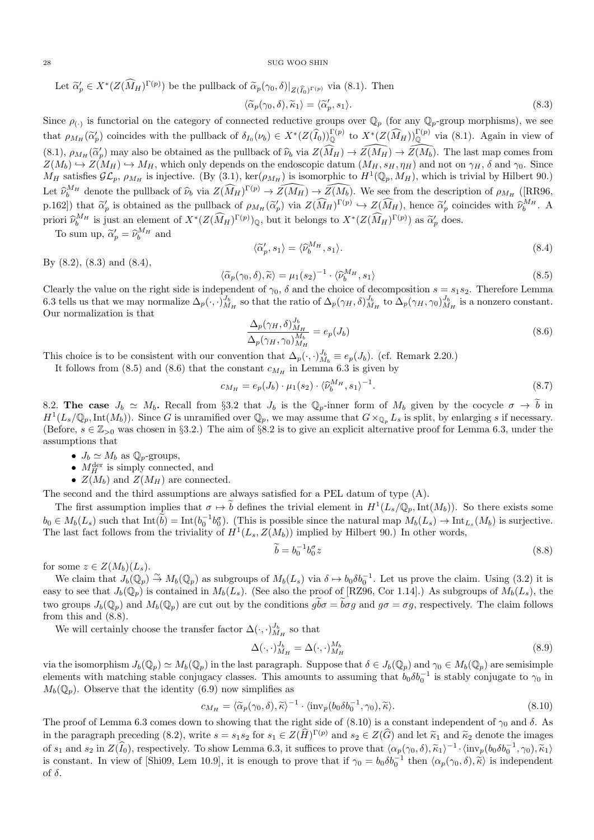Let  $\tilde{\alpha}'_p \in X^*(Z(\widehat{M}_H)^{\Gamma(p)})$  be the pullback of  $\tilde{\alpha}_p(\gamma_0, \delta)|_{Z(\widehat{I}_0)^{\Gamma(p)}}$  via (8.1). Then

$$
\langle \widetilde{\alpha}_p(\gamma_0, \delta), \widetilde{\kappa}_1 \rangle = \langle \widetilde{\alpha}_p', s_1 \rangle. \tag{8.3}
$$

Since  $\rho_{(\cdot)}$  is functorial on the category of connected reductive groups over  $\mathbb{Q}_p$  (for any  $\mathbb{Q}_p$ -group morphisms), we see that  $\rho_{M_H}(\widetilde{\alpha}_p')$  coincides with the pullback of  $\delta_{I_0}(\nu_b) \in X^*(Z(\widehat{I}_0))_{\mathbb Q}^{\Gamma(p)}$  to  $X^*(Z(\widehat{M}_H))_{\mathbb Q}^{\Gamma(p)}$  via (8.1). Again in view of  $(8.1), \rho_{M_H}(\tilde{\alpha}'_p)$  may also be obtained as the pullback of  $\hat{\nu}_b$  via  $Z(\tilde{M_H}) \to \widehat{Z(M_H)} \to \widehat{Z(M_b)}$ . The last map comes from  $Z(M_b) \leftrightarrow Z(M_c) \leftrightarrow M_{\text{tot}}$  which only dopends on the order completion  $(M_c, g_{\text{tot}})$  and not on  $Z(M_b) \hookrightarrow Z(M_H) \hookrightarrow M_H$ , which only depends on the endoscopic datum  $(M_H, s_H, \eta_H)$  and not on  $\gamma_H$ ,  $\delta$  and  $\gamma_0$ . Since  $M_H$  satisfies  $\mathcal{GL}_p$ ,  $\rho_{M_H}$  is injective. (By (3.1), ker( $\rho_{M_H}$ ) is isomorphic to  $H^1(\mathbb{Q}_p, M_H)$ , which is trivial by Hilbert 90.) Let  $\widehat{\nu}_{b}^{M_H}$  denote the pullback of  $\widehat{\nu}_{b}$  via  $Z(\widehat{M_H})^{\Gamma(p)} \to \widehat{Z(M_H)} \to \widehat{Z(M_b)}$ . We see from the description of  $\rho_{M_H}$  ([RR96, p.162]) that  $\tilde{\alpha}'_p$  is obtained as the pullback of  $\rho_{M_H}(\tilde{\alpha}'_p)$  via  $Z(\widehat{M}_H)^{\Gamma(p)} \hookrightarrow Z(\widehat{M}_H)$ , hence  $\tilde{\alpha}'_p$  coincides with  $\tilde{\nu}_b^{M_H}$ . A priori  $\widehat{\nu}_b^{M_H}$  is just an element of  $X^*(Z(\widehat{M}_H)^{\Gamma(p)})_\mathbb{Q}$ , but it belongs to  $X^*(Z(\widehat{M}_H)^{\Gamma(p)})$  as  $\widetilde{\alpha}_p'$  does.

To sum up,  $\widetilde{\alpha}_p' = \widehat{\nu}_b^{M_H}$  and

$$
\langle \widetilde{\alpha}'_p, s_1 \rangle = \langle \widehat{\nu}_b^{M_H}, s_1 \rangle. \tag{8.4}
$$

By (8.2), (8.3) and (8.4),

$$
\widetilde{\chi}_p(\gamma_0, \delta), \widetilde{\kappa} \rangle = \mu_1(s_2)^{-1} \cdot \langle \widehat{\nu}_b^{M_H}, s_1 \rangle \tag{8.5}
$$

 $\langle \tilde{\alpha}_p(\gamma_0, \delta), \tilde{\kappa} \rangle = \mu_1(s_2)^{-1} \cdot \langle \tilde{\nu}_b^{M_H}, s_1 \rangle$  (8.5)<br>Clearly the value on the right side is independent of  $\gamma_0$ ,  $\delta$  and the choice of decomposition  $s = s_1 s_2$ . Therefore Lemma 6.3 tells us that we may normalize  $\Delta_p(\cdot,\cdot)_{M_H}^{J_b}$  so that the ratio of  $\Delta_p(\gamma_H,\delta)_{M_H}^{J_b}$  to  $\Delta_p(\gamma_H,\gamma_0)_{M_H}^{J_b}$  is a nonzero constant. Our normalization is that

$$
\frac{\Delta_p(\gamma_H, \delta)_{M_H}^{J_b}}{\Delta_p(\gamma_H, \gamma_0)_{M_H}^{M_b}} = e_p(J_b)
$$
\n(8.6)

This choice is to be consistent with our convention that  $\Delta_p(\cdot, \cdot)_{M_b}^{J_b} \equiv e_p(J_b)$ . (cf. Remark 2.20.)

It follows from (8.5) and (8.6) that the constant  $c_{M_H}$  in Lemma 6.3 is given by

$$
c_{M_H} = e_p(J_b) \cdot \mu_1(s_2) \cdot \langle \hat{\nu}_b^{M_H}, s_1 \rangle^{-1}.
$$
\n(8.7)

8.2. The case  $J_b \simeq M_b$ . Recall from §3.2 that  $J_b$  is the  $\mathbb{Q}_p$ -inner form of  $M_b$  given by the cocycle  $\sigma \to \tilde{b}$  in  $H^1(L_s/\mathbb{Q}_p,\text{Int}(M_b))$ . Since G is unramified over  $\mathbb{Q}_p$ , we may assume that  $G\times_{\mathbb{Q}_p}L_s$  is split, by enlarging s if necessary. (Before,  $s \in \mathbb{Z}_{>0}$  was chosen in §3.2.) The aim of §8.2 is to give an explicit alternative proof for Lemma 6.3, under the assumptions that

- $J_b \simeq M_b$  as  $\mathbb{Q}_p$ -groups,
- $M_H^{\text{der}}$  is simply connected, and
- $Z(M_b)$  and  $Z(M_H)$  are connected.

The second and the third assumptions are always satisfied for a PEL datum of type (A).

The first assumption implies that  $\sigma \mapsto \tilde{b}$  defines the trivial element in  $H^1(L_s/\mathbb{Q}_p,\text{Int}(M_b))$ . So there exists some  $b_0 \in M_b(L_s)$  such that  $\text{Int}(\widetilde{b}) = \text{Int}(b_0^{-1}b_0^{\sigma})$ . (This is possible since the natural map  $M_b(L_s) \to \text{Int}_{L_s}(M_b)$  is surjective. The last fact follows from the triviality of  $H^1(L_s, Z(M_b))$  implied by Hilbert 90.) In other words,

$$
\widetilde{b} = b_0^{-1} b_0^{\sigma} z \tag{8.8}
$$

for some  $z \in Z(M_b)(L_s)$ .

We claim that  $J_b(\mathbb{Q}_p) \stackrel{\sim}{\to} M_b(\mathbb{Q}_p)$  as subgroups of  $M_b(L_s)$  via  $\delta \mapsto b_0 \delta b_0^{-1}$ . Let us prove the claim. Using (3.2) it is easy to see that  $J_b(\mathbb{Q}_p)$  is contained in  $M_b(L_s)$ . (See also the proof of [RZ96, Cor 1.14].) As subgroups of  $M_b(L_s)$ , the two groups  $J_b(\mathbb{Q}_p)$  and  $M_b(\mathbb{Q}_p)$  are cut out by the conditions  $g\overline{b\sigma} = \overline{b\sigma}g$  and  $g\sigma = \sigma g$ , respectively. The claim follows from this and (8.8).

We will certainly choose the transfer factor  $\Delta(\cdot,\cdot)_{M_H}^{J_b}$  so that

$$
\Delta(\cdot,\cdot)_{M_H}^{J_b} = \Delta(\cdot,\cdot)_{M_H}^{M_b} \tag{8.9}
$$

via the isomorphism  $J_b(\mathbb{Q}_p) \simeq M_b(\mathbb{Q}_p)$  in the last paragraph. Suppose that  $\delta \in J_b(\mathbb{Q}_p)$  and  $\gamma_0 \in M_b(\mathbb{Q}_p)$  are semisimple elements with matching stable conjugacy classes. This amounts to assuming that  $b_0 \delta b_0^{-1}$  is stably conjugate to  $\gamma_0$  in  $M_b(\mathbb{Q}_p)$ . Observe that the identity (6.9) now simplifies as

$$
c_{M_H} = \langle \widetilde{\alpha}_p(\gamma_0, \delta), \widetilde{\kappa} \rangle^{-1} \cdot \langle \text{inv}_p(b_0 \delta b_0^{-1}, \gamma_0), \widetilde{\kappa} \rangle. \tag{8.10}
$$

The proof of Lemma 6.3 comes down to showing that the right side of  $(8.10)$  is a constant independent of  $\gamma_0$  and  $\delta$ . As in the paragraph preceding (8.2), write  $s = s_1s_2$  for  $s_1 \in Z(\hat{H})^{\Gamma(p)}$  and  $s_2 \in Z(\hat{G})$  and let  $\tilde{\kappa}_1$  and  $\tilde{\kappa}_2$  denote the images of  $s_1$  and  $s_2$  in  $Z(\hat{I}_0)$ , respectively. To show Lemma 6.3, it suffices to prove that  $\langle \alpha_p(\gamma_0, \delta), \tilde{\kappa}_1 \rangle^{-1} \cdot \langle \text{inv}_p(b_0 \delta b_0^{-1}, \gamma_0), \tilde{\kappa}_1 \rangle$ <br>is constant. In view of Shi00, Lam 10.0 it is enough to prove t is constant. In view of [Shi09, Lem 10.9], it is enough to prove that if  $\gamma_0 = b_0 \delta b_0^{-1}$  then  $\langle \alpha_p(\gamma_0, \delta), \tilde{\kappa} \rangle$  is independent of  $\delta$ .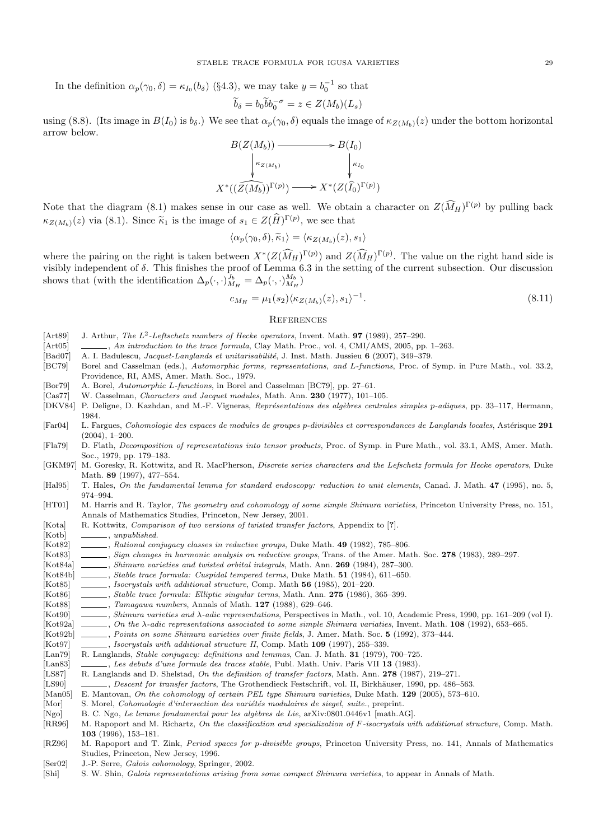In the definition  $\alpha_p(\gamma_0, \delta) = \kappa_{I_0}(b_{\delta})$  (§4.3), we may take  $y = b_0^{-1}$  so that

$$
\widetilde{b}_{\delta} = b_0 \widetilde{b} b_0^{-\sigma} = z \in Z(M_b)(L_s)
$$

using (8.8). (Its image in  $B(I_0)$  is  $b_\delta$ .) We see that  $\alpha_p(\gamma_0, \delta)$  equals the image of  $\kappa_{Z(M_b)}(z)$  under the bottom horizontal arrow below.

$$
B(Z(M_b)) \longrightarrow B(I_0)
$$
  
\n
$$
\downarrow \kappa_{Z(M_b)} \qquad \qquad \downarrow \kappa_{I_0}
$$
  
\n
$$
X^*((\widehat{Z(M_b)})^{\Gamma(p)}) \longrightarrow X^*(Z(\widehat{I}_0)^{\Gamma(p)})
$$

Note that the diagram (8.1) makes sense in our case as well. We obtain a character on  $Z(\widehat{M}_H)^{\Gamma(p)}$  by pulling back  $\kappa_{Z(M_b)}(z)$  via (8.1). Since  $\tilde{\kappa}_1$  is the image of  $s_1 \in Z(\tilde{H})^{\Gamma(p)}$ , we see that

$$
\langle \alpha_p(\gamma_0, \delta), \widetilde{\kappa}_1 \rangle = \langle \kappa_{Z(M_b)}(z), s_1 \rangle
$$

where the pairing on the right is taken between  $X^*(Z(\widehat{M}_H)^{\Gamma(p)})$  and  $Z(\widehat{M}_H)^{\Gamma(p)}$ . The value on the right hand side is visibly independent of  $\delta$ . This finishes the proof of Lemma 6.3 in the setting of the current subsection. Our discussion shows that (with the identification  $\Delta_p(\cdot,\cdot)_{M_H}^{J_b} = \Delta_p(\cdot,\cdot)_{M_H}^{M_b}$ )

$$
c_{M_H} = \mu_1(s_2) \langle \kappa_{Z(M_b)}(z), s_1 \rangle^{-1}.
$$
\n(8.11)

## **REFERENCES**

- [Art89] J. Arthur, The  $L^2$ -Leftschetz numbers of Hecke operators, Invent. Math. **97** (1989), 257–290.
- [Art05] , An introduction to the trace formula, Clay Math. Proc., vol. 4, CMI/AMS, 2005, pp. 1–263.
- [Bad07] A. I. Badulescu, *Jacquet-Langlands et unitarisabilité*, J. Inst. Math. Jussieu 6 (2007), 349–379.
- [BC79] Borel and Casselman (eds.), Automorphic forms, representations, and L-functions, Proc. of Symp. in Pure Math., vol. 33.2, Providence, RI, AMS, Amer. Math. Soc., 1979.
- [Bor79] A. Borel, Automorphic L-functions, in Borel and Casselman [BC79], pp. 27–61.

[Cas77] W. Casselman, Characters and Jacquet modules, Math. Ann. 230 (1977), 101–105.

- [DKV84] P. Deligne, D. Kazhdan, and M.-F. Vigneras, Représentations des algèbres centrales simples p-adiques, pp. 33-117, Hermann, 1984.
- [Far04] L. Fargues, Cohomologie des espaces de modules de groupes p-divisibles et correspondances de Langlands locales, Astérisque 291 (2004), 1–200.
- [Fla79] D. Flath, Decomposition of representations into tensor products, Proc. of Symp. in Pure Math., vol. 33.1, AMS, Amer. Math. Soc., 1979, pp. 179–183.
- [GKM97] M. Goresky, R. Kottwitz, and R. MacPherson, Discrete series characters and the Lefschetz formula for Hecke operators, Duke Math. 89 (1997), 477–554.
- [Hal95] T. Hales, On the fundamental lemma for standard endoscopy: reduction to unit elements, Canad. J. Math. 47 (1995), no. 5, 974–994.
- [HT01] M. Harris and R. Taylor, *The geometry and cohomology of some simple Shimura varieties*, Princeton University Press, no. 151, Annals of Mathematics Studies, Princeton, New Jersey, 2001.
- [Kota] R. Kottwitz, Comparison of two versions of twisted transfer factors, Appendix to [?].
- [Kotb] \_\_\_\_\_\_\_\_, unpublished.
- [Kot82] , Rational conjugacy classes in reductive groups, Duke Math. 49 (1982), 785–806.
- [Kot83] , Sign changes in harmonic analysis on reductive groups, Trans. of the Amer. Math. Soc. 278 (1983), 289–297.
- [Kot84a] , Shimura varieties and twisted orbital integrals, Math. Ann. 269 (1984), 287–300.
- [Kot84b] , Stable trace formula: Cuspidal tempered terms, Duke Math. 51 (1984), 611-650.
- [Kot85] , Isocrystals with additional structure, Comp. Math 56 (1985), 201–220.
- [Kot86] , Stable trace formula: Elliptic singular terms, Math. Ann. 275 (1986), 365–399.
- [Kot88] , Tamagawa numbers, Annals of Math. 127 (1988), 629-646.
- [Kot90] , Shimura varieties and  $\lambda$ -adic representations, Perspectives in Math., vol. 10, Academic Press, 1990, pp. 161–209 (vol I).
- [Kot92a] , On the  $\lambda$ -adic representations associated to some simple Shimura variaties, Invent. Math. 108 (1992), 653–665.
- [Kot92b]  $\qquad \qquad$ , Points on some Shimura varieties over finite fields, J. Amer. Math. Soc. 5 (1992), 373–444.
- [Kot97] , Isocrystals with additional structure II, Comp. Math 109 (1997), 255–339.
- [Lan79] R. Langlands, Stable conjugacy: definitions and lemmas, Can. J. Math. 31 (1979), 700–725.
- [Lan83] , Les debuts d'une formule des traces stable, Publ. Math. Univ. Paris VII 13 (1983).
- [LS87] R. Langlands and D. Shelstad, On the definition of transfer factors, Math. Ann. 278 (1987), 219–271.
- [LS90] , Descent for transfer factors, The Grothendieck Festschrift, vol. II, Birkhäuser, 1990, pp. 486–563.
- [Man05] E. Mantovan, On the cohomology of certain PEL type Shimura varieties, Duke Math. 129 (2005), 573–610.
- [Mor] S. Morel, Cohomologie d'intersection des variétés modulaires de siegel, suite., preprint.
- [Ngo] B. C. Ngo, Le lemme fondamental pour les algèbres de Lie, arXiv:0801.0446v1 [math.AG].
- [RR96] M. Rapoport and M. Richartz, On the classification and specialization of F-isocrystals with additional structure, Comp. Math. 103 (1996), 153–181.
- [RZ96] M. Rapoport and T. Zink, Period spaces for p-divisible groups, Princeton University Press, no. 141, Annals of Mathematics Studies, Princeton, New Jersey, 1996.
- [Ser02] J.-P. Serre, Galois cohomology, Springer, 2002.
- [Shi] S. W. Shin, Galois representations arising from some compact Shimura varieties, to appear in Annals of Math.